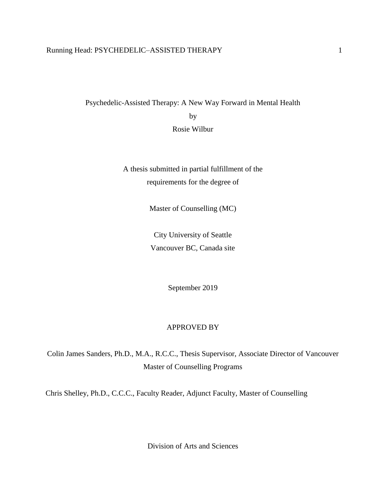# Running Head: PSYCHEDELIC-ASSISTED THERAPY 1

Psychedelic-Assisted Therapy: A New Way Forward in Mental Health by Rosie Wilbur

> A thesis submitted in partial fulfillment of the requirements for the degree of

> > Master of Counselling (MC)

City University of Seattle Vancouver BC, Canada site

September 2019

### APPROVED BY

Colin James Sanders, Ph.D., M.A., R.C.C., Thesis Supervisor, Associate Director of Vancouver Master of Counselling Programs

Chris Shelley, Ph.D., C.C.C., Faculty Reader, Adjunct Faculty, Master of Counselling

Division of Arts and Sciences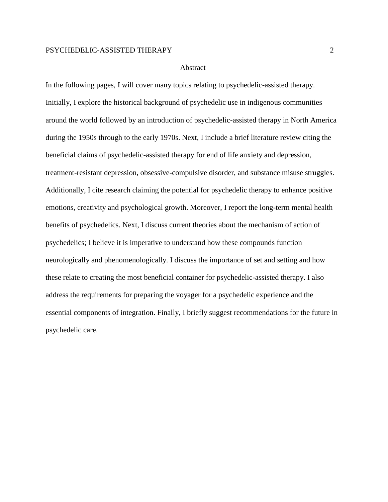#### Abstract

In the following pages, I will cover many topics relating to psychedelic-assisted therapy. Initially, I explore the historical background of psychedelic use in indigenous communities around the world followed by an introduction of psychedelic-assisted therapy in North America during the 1950s through to the early 1970s. Next, I include a brief literature review citing the beneficial claims of psychedelic-assisted therapy for end of life anxiety and depression, treatment-resistant depression, obsessive-compulsive disorder, and substance misuse struggles. Additionally, I cite research claiming the potential for psychedelic therapy to enhance positive emotions, creativity and psychological growth. Moreover, I report the long-term mental health benefits of psychedelics. Next, I discuss current theories about the mechanism of action of psychedelics; I believe it is imperative to understand how these compounds function neurologically and phenomenologically. I discuss the importance of set and setting and how these relate to creating the most beneficial container for psychedelic-assisted therapy. I also address the requirements for preparing the voyager for a psychedelic experience and the essential components of integration. Finally, I briefly suggest recommendations for the future in psychedelic care.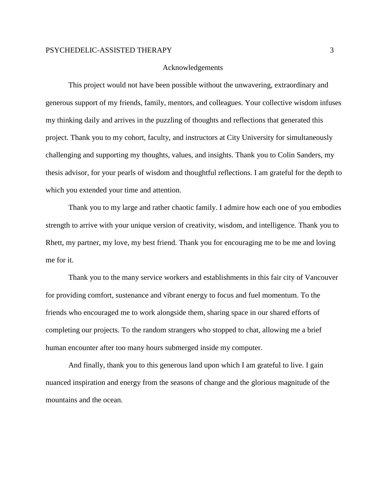#### Acknowledgements

This project would not have been possible without the unwavering, extraordinary and generous support of my friends, family, mentors, and colleagues. Your collective wisdom infuses my thinking daily and arrives in the puzzling of thoughts and reflections that generated this project. Thank you to my cohort, faculty, and instructors at City University for simultaneously challenging and supporting my thoughts, values, and insights. Thank you to Colin Sanders, my thesis advisor, for your pearls of wisdom and thoughtful reflections. I am grateful for the depth to which you extended your time and attention.

Thank you to my large and rather chaotic family. I admire how each one of you embodies strength to arrive with your unique version of creativity, wisdom, and intelligence. Thank you to Rhett, my partner, my love, my best friend. Thank you for encouraging me to be me and loving me for it.

Thank you to the many service workers and establishments in this fair city of Vancouver for providing comfort, sustenance and vibrant energy to focus and fuel momentum. To the friends who encouraged me to work alongside them, sharing space in our shared efforts of completing our projects. To the random strangers who stopped to chat, allowing me a brief human encounter after too many hours submerged inside my computer.

And finally, thank you to this generous land upon which I am grateful to live. I gain nuanced inspiration and energy from the seasons of change and the glorious magnitude of the mountains and the ocean.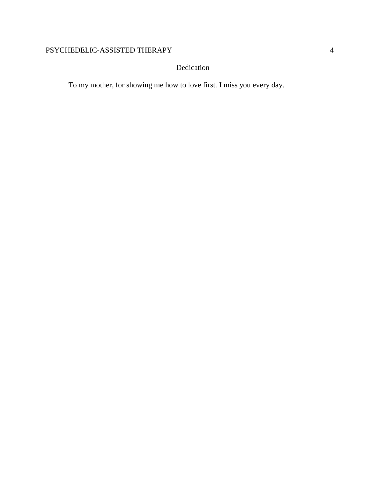# Dedication

To my mother, for showing me how to love first. I miss you every day.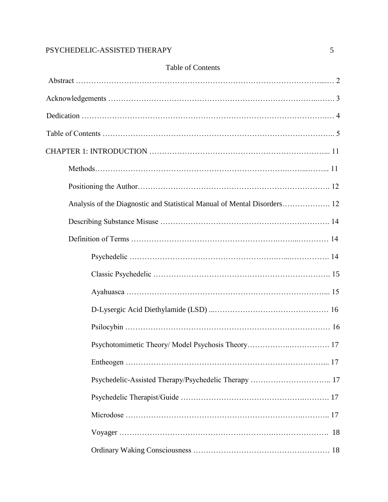| Table of Contents                                    |  |  |
|------------------------------------------------------|--|--|
|                                                      |  |  |
|                                                      |  |  |
|                                                      |  |  |
|                                                      |  |  |
|                                                      |  |  |
|                                                      |  |  |
|                                                      |  |  |
|                                                      |  |  |
|                                                      |  |  |
|                                                      |  |  |
|                                                      |  |  |
|                                                      |  |  |
|                                                      |  |  |
|                                                      |  |  |
|                                                      |  |  |
|                                                      |  |  |
|                                                      |  |  |
| Psychedelic-Assisted Therapy/Psychedelic Therapy  17 |  |  |
|                                                      |  |  |
|                                                      |  |  |
|                                                      |  |  |
|                                                      |  |  |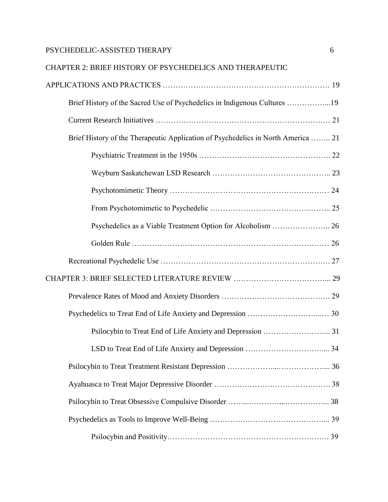# CHAPTER 2: BRIEF HISTORY OF PSYCHEDELICS AND THERAPEUTIC

| Brief History of the Sacred Use of Psychedelics in Indigenous Cultures 19         |  |
|-----------------------------------------------------------------------------------|--|
|                                                                                   |  |
| Brief History of the Therapeutic Application of Psychedelics in North America  21 |  |
|                                                                                   |  |
|                                                                                   |  |
|                                                                                   |  |
|                                                                                   |  |
| Psychedelics as a Viable Treatment Option for Alcoholism  26                      |  |
|                                                                                   |  |
|                                                                                   |  |
|                                                                                   |  |
|                                                                                   |  |
|                                                                                   |  |
| Psilocybin to Treat End of Life Anxiety and Depression  31                        |  |
|                                                                                   |  |
|                                                                                   |  |
|                                                                                   |  |
|                                                                                   |  |
|                                                                                   |  |
|                                                                                   |  |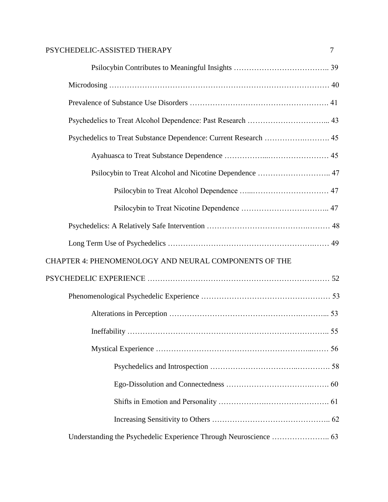| PSYCHEDELIC-ASSISTED THERAPY                            | 7 |
|---------------------------------------------------------|---|
|                                                         |   |
|                                                         |   |
|                                                         |   |
|                                                         |   |
|                                                         |   |
|                                                         |   |
| Psilocybin to Treat Alcohol and Nicotine Dependence  47 |   |
|                                                         |   |
|                                                         |   |
|                                                         |   |
|                                                         |   |
| CHAPTER 4: PHENOMENOLOGY AND NEURAL COMPONENTS OF THE   |   |
|                                                         |   |
|                                                         |   |
|                                                         |   |
|                                                         |   |
|                                                         |   |
|                                                         |   |
|                                                         |   |
|                                                         |   |
|                                                         |   |
|                                                         |   |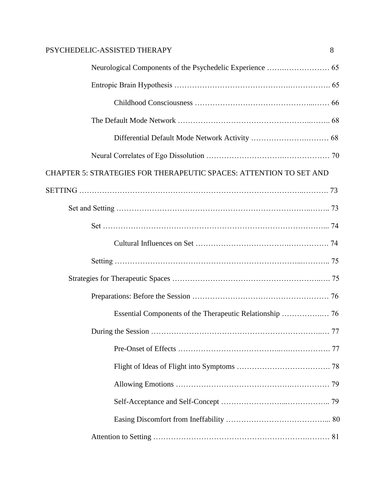| PSYCHEDELIC-ASSISTED THERAPY<br>8                                         |  |
|---------------------------------------------------------------------------|--|
|                                                                           |  |
|                                                                           |  |
|                                                                           |  |
|                                                                           |  |
|                                                                           |  |
|                                                                           |  |
| <b>CHAPTER 5: STRATEGIES FOR THERAPEUTIC SPACES: ATTENTION TO SET AND</b> |  |
|                                                                           |  |
|                                                                           |  |
|                                                                           |  |
|                                                                           |  |
|                                                                           |  |
|                                                                           |  |
|                                                                           |  |
|                                                                           |  |
|                                                                           |  |
|                                                                           |  |
|                                                                           |  |
|                                                                           |  |
|                                                                           |  |
|                                                                           |  |
|                                                                           |  |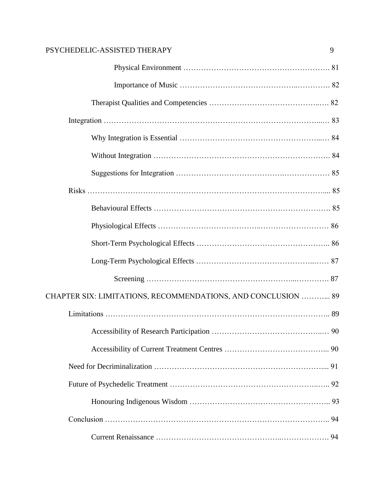| PSYCHEDELIC-ASSISTED THERAPY                                  | 9 |
|---------------------------------------------------------------|---|
|                                                               |   |
|                                                               |   |
|                                                               |   |
|                                                               |   |
|                                                               |   |
|                                                               |   |
|                                                               |   |
|                                                               |   |
|                                                               |   |
|                                                               |   |
|                                                               |   |
|                                                               |   |
|                                                               |   |
| CHAPTER SIX: LIMITATIONS, RECOMMENDATIONS, AND CONCLUSION  89 |   |
|                                                               |   |
|                                                               |   |
|                                                               |   |
|                                                               |   |
|                                                               |   |
|                                                               |   |
|                                                               |   |
|                                                               |   |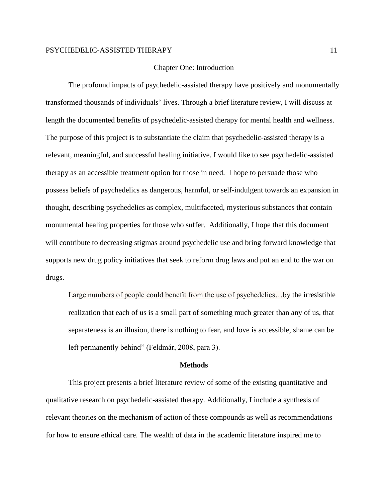#### Chapter One: Introduction

The profound impacts of psychedelic-assisted therapy have positively and monumentally transformed thousands of individuals' lives. Through a brief literature review, I will discuss at length the documented benefits of psychedelic-assisted therapy for mental health and wellness. The purpose of this project is to substantiate the claim that psychedelic-assisted therapy is a relevant, meaningful, and successful healing initiative. I would like to see psychedelic-assisted therapy as an accessible treatment option for those in need. I hope to persuade those who possess beliefs of psychedelics as dangerous, harmful, or self-indulgent towards an expansion in thought, describing psychedelics as complex, multifaceted, mysterious substances that contain monumental healing properties for those who suffer. Additionally, I hope that this document will contribute to decreasing stigmas around psychedelic use and bring forward knowledge that supports new drug policy initiatives that seek to reform drug laws and put an end to the war on drugs.

Large numbers of people could benefit from the use of psychedelics...by the irresistible realization that each of us is a small part of something much greater than any of us, that separateness is an illusion, there is nothing to fear, and love is accessible, shame can be left permanently behind" (Feldmár, 2008, para 3).

#### **Methods**

This project presents a brief literature review of some of the existing quantitative and qualitative research on psychedelic-assisted therapy. Additionally, I include a synthesis of relevant theories on the mechanism of action of these compounds as well as recommendations for how to ensure ethical care. The wealth of data in the academic literature inspired me to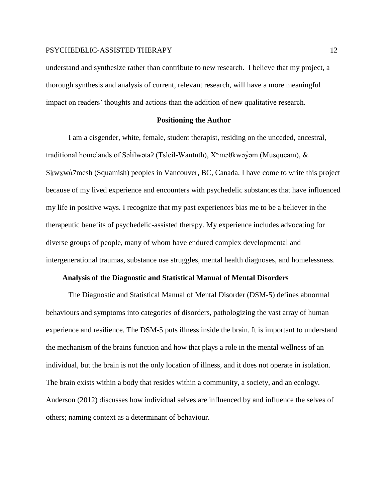understand and synthesize rather than contribute to new research. I believe that my project, a thorough synthesis and analysis of current, relevant research, will have a more meaningful impact on readers' thoughts and actions than the addition of new qualitative research.

#### **Positioning the Author**

I am a cisgender, white, female, student therapist, residing on the unceded, ancestral, traditional homelands of Səlílwəta? (Tsleil-Waututh), X™məθkwəy̓əm (Musqueam), & ̓ Sḵwx̱wú7mesh (Squamish) peoples in Vancouver, BC, Canada. I have come to write this project because of my lived experience and encounters with psychedelic substances that have influenced my life in positive ways. I recognize that my past experiences bias me to be a believer in the therapeutic benefits of psychedelic-assisted therapy. My experience includes advocating for diverse groups of people, many of whom have endured complex developmental and intergenerational traumas, substance use struggles, mental health diagnoses, and homelessness.

#### **Analysis of the Diagnostic and Statistical Manual of Mental Disorders**

The Diagnostic and Statistical Manual of Mental Disorder (DSM-5) defines abnormal behaviours and symptoms into categories of disorders, pathologizing the vast array of human experience and resilience. The DSM-5 puts illness inside the brain. It is important to understand the mechanism of the brains function and how that plays a role in the mental wellness of an individual, but the brain is not the only location of illness, and it does not operate in isolation. The brain exists within a body that resides within a community, a society, and an ecology. Anderson (2012) discusses how individual selves are influenced by and influence the selves of others; naming context as a determinant of behaviour.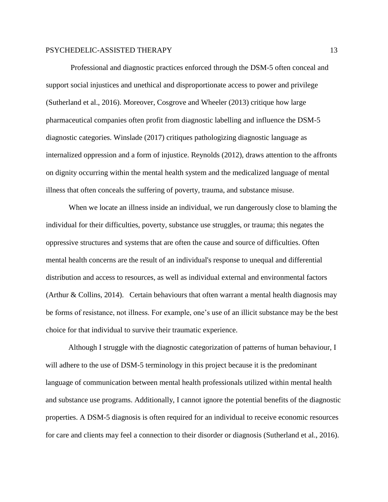Professional and diagnostic practices enforced through the DSM-5 often conceal and support social injustices and unethical and disproportionate access to power and privilege (Sutherland et al., 2016). Moreover, Cosgrove and Wheeler (2013) critique how large pharmaceutical companies often profit from diagnostic labelling and influence the DSM-5 diagnostic categories. Winslade (2017) critiques pathologizing diagnostic language as internalized oppression and a form of injustice. Reynolds (2012), draws attention to the affronts on dignity occurring within the mental health system and the medicalized language of mental illness that often conceals the suffering of poverty, trauma, and substance misuse.

When we locate an illness inside an individual, we run dangerously close to blaming the individual for their difficulties, poverty, substance use struggles, or trauma; this negates the oppressive structures and systems that are often the cause and source of difficulties. Often mental health concerns are the result of an individual's response to unequal and differential distribution and access to resources, as well as individual external and environmental factors (Arthur & Collins, 2014). Certain behaviours that often warrant a mental health diagnosis may be forms of resistance, not illness. For example, one's use of an illicit substance may be the best choice for that individual to survive their traumatic experience.

Although I struggle with the diagnostic categorization of patterns of human behaviour, I will adhere to the use of DSM-5 terminology in this project because it is the predominant language of communication between mental health professionals utilized within mental health and substance use programs. Additionally, I cannot ignore the potential benefits of the diagnostic properties. A DSM-5 diagnosis is often required for an individual to receive economic resources for care and clients may feel a connection to their disorder or diagnosis (Sutherland et al., 2016).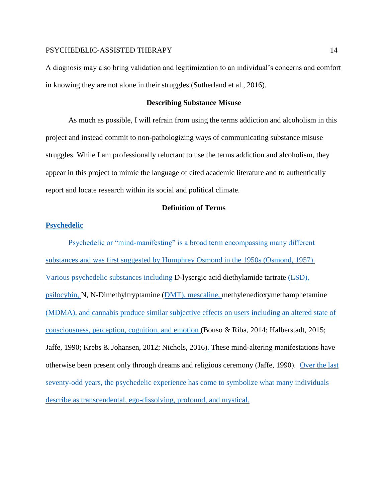A diagnosis may also bring validation and legitimization to an individual's concerns and comfort in knowing they are not alone in their struggles (Sutherland et al., 2016).

#### **Describing Substance Misuse**

As much as possible, I will refrain from using the terms addiction and alcoholism in this project and instead commit to non-pathologizing ways of communicating substance misuse struggles. While I am professionally reluctant to use the terms addiction and alcoholism, they appear in this project to mimic the language of cited academic literature and to authentically report and locate research within its social and political climate.

# **Definition of Terms**

### **Psychedelic**

Psychedelic or "mind-manifesting" is a broad term encompassing many different substances and was first suggested by Humphrey Osmond in the 1950s (Osmond, 1957). Various psychedelic substances including D-lysergic acid diethylamide tartrate (LSD), psilocybin, N, N-Dimethyltryptamine (DMT), mescaline, methylenedioxymethamphetamine (MDMA), and cannabis produce similar subjective effects on users including an altered state of consciousness, perception, cognition, and emotion (Bouso & Riba, 2014; Halberstadt, 2015; Jaffe, 1990; Krebs & Johansen, 2012; Nichols, 2016). These mind-altering manifestations have otherwise been present only through dreams and religious ceremony (Jaffe, 1990). Over the last seventy-odd years, the psychedelic experience has come to symbolize what many individuals describe as transcendental, ego-dissolving, profound, and mystical.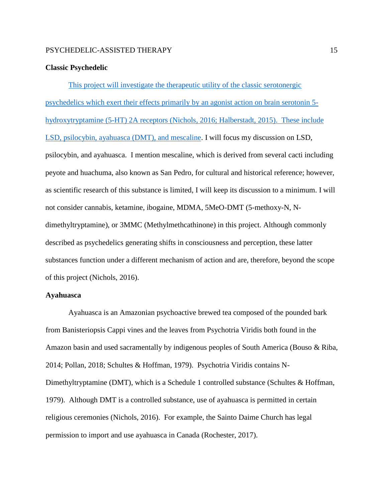#### **Classic Psychedelic**

This project will investigate the therapeutic utility of the classic serotonergic psychedelics which exert their effects primarily by an agonist action on brain serotonin 5 hydroxytryptamine (5-HT) 2A receptors (Nichols, 2016; Halberstadt, 2015). These include LSD, psilocybin, ayahuasca (DMT), and mescaline. I will focus my discussion on LSD, psilocybin, and ayahuasca. I mention mescaline, which is derived from several cacti including peyote and huachuma, also known as San Pedro, for cultural and historical reference; however, as scientific research of this substance is limited, I will keep its discussion to a minimum. I will not consider cannabis, ketamine, ibogaine, MDMA, 5MeO-DMT (5-methoxy-N, Ndimethyltryptamine), or 3MMC (Methylmethcathinone) in this project. Although commonly described as psychedelics generating shifts in consciousness and perception, these latter substances function under a different mechanism of action and are, therefore, beyond the scope of this project (Nichols, 2016).

### **Ayahuasca**

Ayahuasca is an Amazonian psychoactive brewed tea composed of the pounded bark from Banisteriopsis Cappi vines and the leaves from Psychotria Viridis both found in the Amazon basin and used sacramentally by indigenous peoples of South America (Bouso & Riba, 2014; Pollan, 2018; Schultes & Hoffman, 1979). Psychotria Viridis contains N-Dimethyltryptamine (DMT), which is a Schedule 1 controlled substance (Schultes & Hoffman, 1979). Although DMT is a controlled substance, use of ayahuasca is permitted in certain religious ceremonies (Nichols, 2016). For example, the Sainto Daime Church has legal permission to import and use ayahuasca in Canada (Rochester, 2017).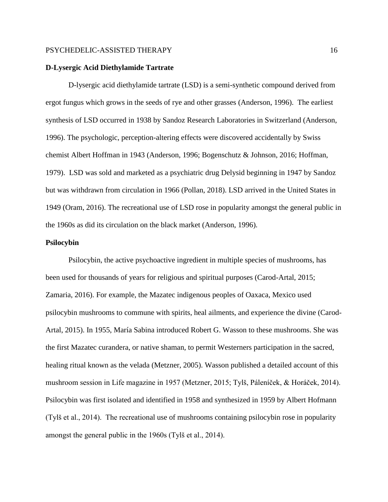#### **D-Lysergic Acid Diethylamide Tartrate**

D-lysergic acid diethylamide tartrate (LSD) is a semi-synthetic compound derived from ergot fungus which grows in the seeds of rye and other grasses (Anderson, 1996). The earliest synthesis of LSD occurred in 1938 by Sandoz Research Laboratories in Switzerland (Anderson, 1996). The psychologic, perception-altering effects were discovered accidentally by Swiss chemist Albert Hoffman in 1943 (Anderson, 1996; Bogenschutz & Johnson, 2016; Hoffman, 1979). LSD was sold and marketed as a psychiatric drug Delysid beginning in 1947 by Sandoz but was withdrawn from circulation in 1966 (Pollan, 2018). LSD arrived in the United States in 1949 (Oram, 2016). The recreational use of LSD rose in popularity amongst the general public in the 1960s as did its circulation on the black market (Anderson, 1996).

#### **Psilocybin**

Psilocybin, the active psychoactive ingredient in multiple species of mushrooms, has been used for thousands of years for religious and spiritual purposes (Carod-Artal, 2015; Zamaria, 2016). For example, the Mazatec indigenous peoples of Oaxaca, Mexico used psilocybin mushrooms to commune with spirits, heal ailments, and experience the divine (Carod-Artal, 2015). In 1955, María Sabina introduced Robert G. Wasson to these mushrooms. She was the first Mazatec curandera, or native shaman, to permit Westerners participation in the sacred, healing ritual known as the velada (Metzner, 2005). Wasson published a detailed account of this mushroom session in Life magazine in 1957 (Metzner, 2015; Tylš, Páleníček, & Horáček, 2014). Psilocybin was first isolated and identified in 1958 and synthesized in 1959 by Albert Hofmann (Tylš et al., 2014). The recreational use of mushrooms containing psilocybin rose in popularity amongst the general public in the 1960s (Tylš et al., 2014).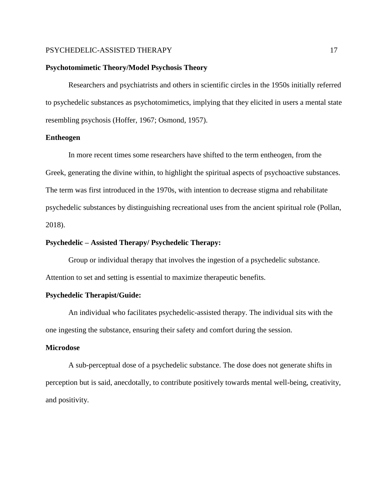#### **Psychotomimetic Theory/Model Psychosis Theory**

Researchers and psychiatrists and others in scientific circles in the 1950s initially referred to psychedelic substances as psychotomimetics, implying that they elicited in users a mental state resembling psychosis (Hoffer, 1967; Osmond, 1957).

#### **Entheogen**

In more recent times some researchers have shifted to the term entheogen, from the Greek, generating the divine within, to highlight the spiritual aspects of psychoactive substances. The term was first introduced in the 1970s, with intention to decrease stigma and rehabilitate psychedelic substances by distinguishing recreational uses from the ancient spiritual role (Pollan, 2018).

#### **Psychedelic – Assisted Therapy/ Psychedelic Therapy:**

Group or individual therapy that involves the ingestion of a psychedelic substance. Attention to set and setting is essential to maximize therapeutic benefits.

#### **Psychedelic Therapist/Guide:**

An individual who facilitates psychedelic-assisted therapy. The individual sits with the one ingesting the substance, ensuring their safety and comfort during the session.

#### **Microdose**

A sub-perceptual dose of a psychedelic substance. The dose does not generate shifts in perception but is said, anecdotally, to contribute positively towards mental well-being, creativity, and positivity.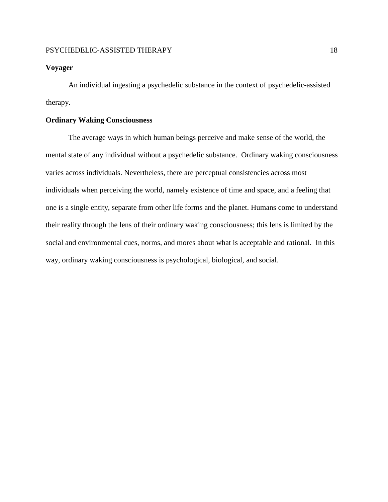#### **Voyager**

An individual ingesting a psychedelic substance in the context of psychedelic-assisted therapy.

# **Ordinary Waking Consciousness**

The average ways in which human beings perceive and make sense of the world, the mental state of any individual without a psychedelic substance. Ordinary waking consciousness varies across individuals. Nevertheless, there are perceptual consistencies across most individuals when perceiving the world, namely existence of time and space, and a feeling that one is a single entity, separate from other life forms and the planet. Humans come to understand their reality through the lens of their ordinary waking consciousness; this lens is limited by the social and environmental cues, norms, and mores about what is acceptable and rational. In this way, ordinary waking consciousness is psychological, biological, and social.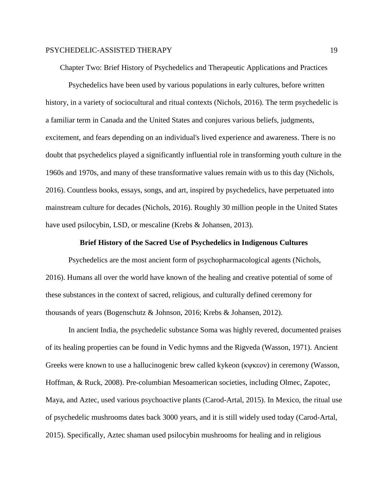Chapter Two: Brief History of Psychedelics and Therapeutic Applications and Practices

Psychedelics have been used by various populations in early cultures, before written history, in a variety of sociocultural and ritual contexts (Nichols, 2016). The term psychedelic is a familiar term in Canada and the United States and conjures various beliefs, judgments, excitement, and fears depending on an individual's lived experience and awareness. There is no doubt that psychedelics played a significantly influential role in transforming youth culture in the 1960s and 1970s, and many of these transformative values remain with us to this day (Nichols, 2016). Countless books, essays, songs, and art, inspired by psychedelics, have perpetuated into mainstream culture for decades (Nichols, 2016). Roughly 30 million people in the United States have used psilocybin, LSD, or mescaline (Krebs & Johansen, 2013).

#### **Brief History of the Sacred Use of Psychedelics in Indigenous Cultures**

Psychedelics are the most ancient form of psychopharmacological agents (Nichols, 2016). Humans all over the world have known of the healing and creative potential of some of these substances in the context of sacred, religious, and culturally defined ceremony for thousands of years (Bogenschutz & Johnson, 2016; Krebs & Johansen, 2012).

In ancient India, the psychedelic substance Soma was highly revered, documented praises of its healing properties can be found in Vedic hymns and the Rigveda (Wasson, 1971). Ancient Greeks were known to use a hallucinogenic brew called kykeon (κψκεον) in ceremony (Wasson, Hoffman, & Ruck, 2008). Pre-columbian Mesoamerican societies, including Olmec, Zapotec, Maya, and Aztec, used various psychoactive plants (Carod-Artal, 2015). In Mexico, the ritual use of psychedelic mushrooms dates back 3000 years, and it is still widely used today (Carod-Artal, 2015). Specifically, Aztec shaman used psilocybin mushrooms for healing and in religious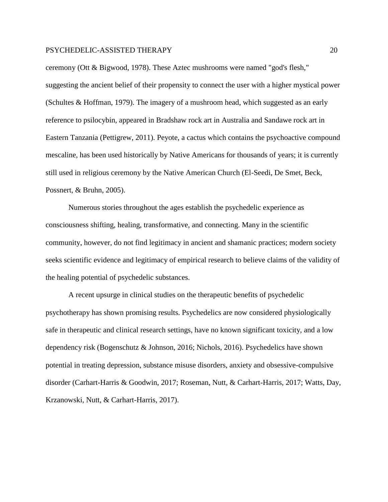ceremony (Ott & Bigwood, 1978). These Aztec mushrooms were named "god's flesh," suggesting the ancient belief of their propensity to connect the user with a higher mystical power (Schultes & Hoffman, 1979). The imagery of a mushroom head, which suggested as an early reference to psilocybin, appeared in Bradshaw rock art in Australia and Sandawe rock art in Eastern Tanzania (Pettigrew, 2011). Peyote, a cactus which contains the psychoactive compound mescaline, has been used historically by Native Americans for thousands of years; it is currently still used in religious ceremony by the Native American Church (El-Seedi, De Smet, Beck, Possnert, & Bruhn, 2005).

Numerous stories throughout the ages establish the psychedelic experience as consciousness shifting, healing, transformative, and connecting. Many in the scientific community, however, do not find legitimacy in ancient and shamanic practices; modern society seeks scientific evidence and legitimacy of empirical research to believe claims of the validity of the healing potential of psychedelic substances.

A recent upsurge in clinical studies on the therapeutic benefits of psychedelic psychotherapy has shown promising results. Psychedelics are now considered physiologically safe in therapeutic and clinical research settings, have no known significant toxicity, and a low dependency risk (Bogenschutz & Johnson, 2016; Nichols, 2016). Psychedelics have shown potential in treating depression, substance misuse disorders, anxiety and obsessive-compulsive disorder (Carhart-Harris & Goodwin, 2017; Roseman, Nutt, & Carhart-Harris, 2017; Watts, Day, Krzanowski, Nutt, & Carhart-Harris, 2017).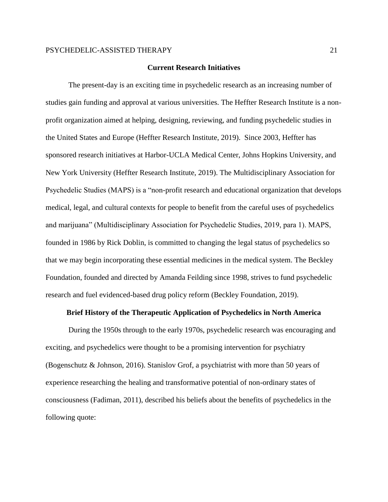#### **Current Research Initiatives**

The present-day is an exciting time in psychedelic research as an increasing number of studies gain funding and approval at various universities. The Heffter Research Institute is a nonprofit organization aimed at helping, designing, reviewing, and funding psychedelic studies in the United States and Europe (Heffter Research Institute, 2019). Since 2003, Heffter has sponsored research initiatives at Harbor-UCLA Medical Center, Johns Hopkins University, and New York University (Heffter Research Institute, 2019). The Multidisciplinary Association for Psychedelic Studies (MAPS) is a "non-profit research and educational organization that develops medical, legal, and cultural contexts for people to benefit from the careful uses of psychedelics and marijuana" (Multidisciplinary Association for Psychedelic Studies, 2019, para 1). MAPS, founded in 1986 by Rick Doblin, is committed to changing the legal status of psychedelics so that we may begin incorporating these essential medicines in the medical system. The Beckley Foundation, founded and directed by Amanda Feilding since 1998, strives to fund psychedelic research and fuel evidenced-based drug policy reform (Beckley Foundation, 2019).

#### **Brief History of the Therapeutic Application of Psychedelics in North America**

During the 1950s through to the early 1970s, psychedelic research was encouraging and exciting, and psychedelics were thought to be a promising intervention for psychiatry (Bogenschutz & Johnson, 2016). Stanislov Grof, a psychiatrist with more than 50 years of experience researching the healing and transformative potential of non-ordinary states of consciousness (Fadiman, 2011), described his beliefs about the benefits of psychedelics in the following quote: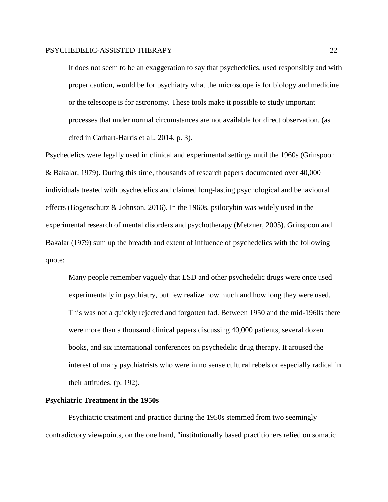It does not seem to be an exaggeration to say that psychedelics, used responsibly and with proper caution, would be for psychiatry what the microscope is for biology and medicine or the telescope is for astronomy. These tools make it possible to study important processes that under normal circumstances are not available for direct observation. (as cited in Carhart-Harris et al., 2014, p. 3).

Psychedelics were legally used in clinical and experimental settings until the 1960s (Grinspoon & Bakalar, 1979). During this time, thousands of research papers documented over 40,000 individuals treated with psychedelics and claimed long-lasting psychological and behavioural effects (Bogenschutz & Johnson, 2016). In the 1960s, psilocybin was widely used in the experimental research of mental disorders and psychotherapy (Metzner, 2005). Grinspoon and Bakalar (1979) sum up the breadth and extent of influence of psychedelics with the following quote:

Many people remember vaguely that LSD and other psychedelic drugs were once used experimentally in psychiatry, but few realize how much and how long they were used. This was not a quickly rejected and forgotten fad. Between 1950 and the mid-1960s there were more than a thousand clinical papers discussing 40,000 patients, several dozen books, and six international conferences on psychedelic drug therapy. It aroused the interest of many psychiatrists who were in no sense cultural rebels or especially radical in their attitudes. (p. 192).

#### **Psychiatric Treatment in the 1950s**

Psychiatric treatment and practice during the 1950s stemmed from two seemingly contradictory viewpoints, on the one hand, "institutionally based practitioners relied on somatic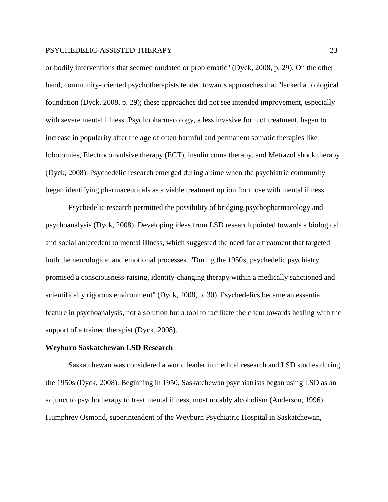or bodily interventions that seemed outdated or problematic" (Dyck, 2008, p. 29). On the other hand, community-oriented psychotherapists tended towards approaches that "lacked a biological foundation (Dyck, 2008, p. 29); these approaches did not see intended improvement, especially with severe mental illness. Psychopharmacology, a less invasive form of treatment, began to increase in popularity after the age of often harmful and permanent somatic therapies like lobotomies, Electroconvulsive therapy (ECT), insulin coma therapy, and Metrazol shock therapy (Dyck, 2008). Psychedelic research emerged during a time when the psychiatric community began identifying pharmaceuticals as a viable treatment option for those with mental illness.

Psychedelic research permitted the possibility of bridging psychopharmacology and psychoanalysis (Dyck, 2008). Developing ideas from LSD research pointed towards a biological and social antecedent to mental illness, which suggested the need for a treatment that targeted both the neurological and emotional processes. "During the 1950s, psychedelic psychiatry promised a consciousness-raising, identity-changing therapy within a medically sanctioned and scientifically rigorous environment" (Dyck, 2008, p. 30). Psychedelics became an essential feature in psychoanalysis, not a solution but a tool to facilitate the client towards healing with the support of a trained therapist (Dyck, 2008).

#### **Weyburn Saskatchewan LSD Research**

Saskatchewan was considered a world leader in medical research and LSD studies during the 1950s (Dyck, 2008). Beginning in 1950, Saskatchewan psychiatrists began using LSD as an adjunct to psychotherapy to treat mental illness, most notably alcoholism (Anderson, 1996). Humphrey Osmond, superintendent of the Weyburn Psychiatric Hospital in Saskatchewan,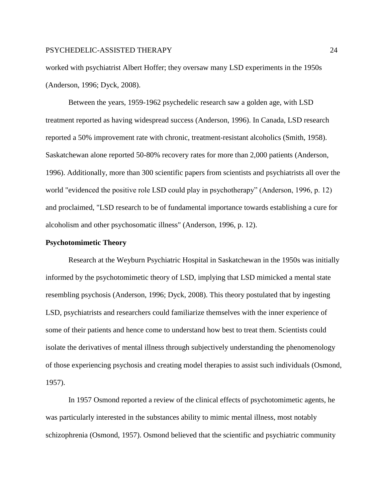worked with psychiatrist Albert Hoffer; they oversaw many LSD experiments in the 1950s (Anderson, 1996; Dyck, 2008).

Between the years, 1959-1962 psychedelic research saw a golden age, with LSD treatment reported as having widespread success (Anderson, 1996). In Canada, LSD research reported a 50% improvement rate with chronic, treatment-resistant alcoholics (Smith, 1958). Saskatchewan alone reported 50-80% recovery rates for more than 2,000 patients (Anderson, 1996). Additionally, more than 300 scientific papers from scientists and psychiatrists all over the world "evidenced the positive role LSD could play in psychotherapy" (Anderson, 1996, p. 12) and proclaimed, "LSD research to be of fundamental importance towards establishing a cure for alcoholism and other psychosomatic illness" (Anderson, 1996, p. 12).

#### **Psychotomimetic Theory**

Research at the Weyburn Psychiatric Hospital in Saskatchewan in the 1950s was initially informed by the psychotomimetic theory of LSD, implying that LSD mimicked a mental state resembling psychosis (Anderson, 1996; Dyck, 2008). This theory postulated that by ingesting LSD, psychiatrists and researchers could familiarize themselves with the inner experience of some of their patients and hence come to understand how best to treat them. Scientists could isolate the derivatives of mental illness through subjectively understanding the phenomenology of those experiencing psychosis and creating model therapies to assist such individuals (Osmond, 1957).

In 1957 Osmond reported a review of the clinical effects of psychotomimetic agents, he was particularly interested in the substances ability to mimic mental illness, most notably schizophrenia (Osmond, 1957). Osmond believed that the scientific and psychiatric community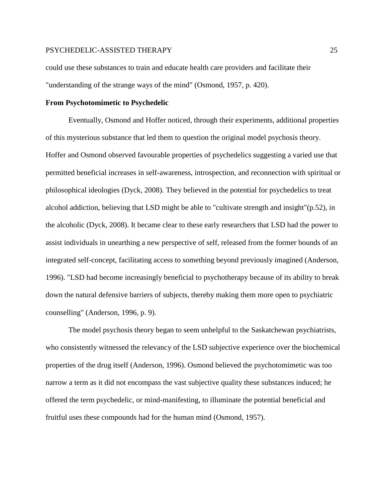could use these substances to train and educate health care providers and facilitate their "understanding of the strange ways of the mind" (Osmond, 1957, p. 420).

#### **From Psychotomimetic to Psychedelic**

Eventually, Osmond and Hoffer noticed, through their experiments, additional properties of this mysterious substance that led them to question the original model psychosis theory. Hoffer and Osmond observed favourable properties of psychedelics suggesting a varied use that permitted beneficial increases in self-awareness, introspection, and reconnection with spiritual or philosophical ideologies (Dyck, 2008). They believed in the potential for psychedelics to treat alcohol addiction, believing that LSD might be able to "cultivate strength and insight"(p.52), in the alcoholic (Dyck, 2008). It became clear to these early researchers that LSD had the power to assist individuals in unearthing a new perspective of self, released from the former bounds of an integrated self-concept, facilitating access to something beyond previously imagined (Anderson, 1996). "LSD had become increasingly beneficial to psychotherapy because of its ability to break down the natural defensive barriers of subjects, thereby making them more open to psychiatric counselling" (Anderson, 1996, p. 9).

The model psychosis theory began to seem unhelpful to the Saskatchewan psychiatrists, who consistently witnessed the relevancy of the LSD subjective experience over the biochemical properties of the drug itself (Anderson, 1996). Osmond believed the psychotomimetic was too narrow a term as it did not encompass the vast subjective quality these substances induced; he offered the term psychedelic, or mind-manifesting, to illuminate the potential beneficial and fruitful uses these compounds had for the human mind (Osmond, 1957).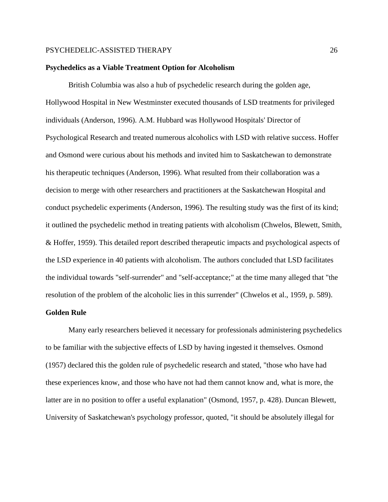#### **Psychedelics as a Viable Treatment Option for Alcoholism**

British Columbia was also a hub of psychedelic research during the golden age, Hollywood Hospital in New Westminster executed thousands of LSD treatments for privileged individuals (Anderson, 1996). A.M. Hubbard was Hollywood Hospitals' Director of Psychological Research and treated numerous alcoholics with LSD with relative success. Hoffer and Osmond were curious about his methods and invited him to Saskatchewan to demonstrate his therapeutic techniques (Anderson, 1996). What resulted from their collaboration was a decision to merge with other researchers and practitioners at the Saskatchewan Hospital and conduct psychedelic experiments (Anderson, 1996). The resulting study was the first of its kind; it outlined the psychedelic method in treating patients with alcoholism (Chwelos, Blewett, Smith, & Hoffer, 1959). This detailed report described therapeutic impacts and psychological aspects of the LSD experience in 40 patients with alcoholism. The authors concluded that LSD facilitates the individual towards "self-surrender" and "self-acceptance;" at the time many alleged that "the resolution of the problem of the alcoholic lies in this surrender" (Chwelos et al., 1959, p. 589).

#### **Golden Rule**

Many early researchers believed it necessary for professionals administering psychedelics to be familiar with the subjective effects of LSD by having ingested it themselves. Osmond (1957) declared this the golden rule of psychedelic research and stated, "those who have had these experiences know, and those who have not had them cannot know and, what is more, the latter are in no position to offer a useful explanation" (Osmond, 1957, p. 428). Duncan Blewett, University of Saskatchewan's psychology professor, quoted, "it should be absolutely illegal for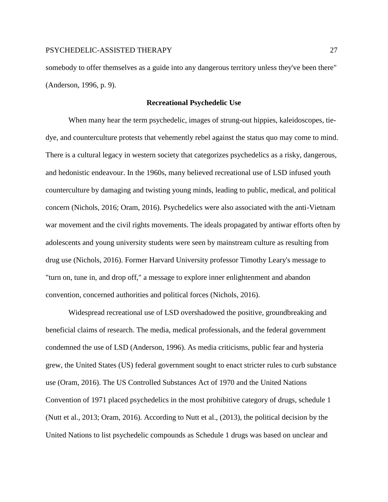somebody to offer themselves as a guide into any dangerous territory unless they've been there" (Anderson, 1996, p. 9).

#### **Recreational Psychedelic Use**

When many hear the term psychedelic, images of strung-out hippies, kaleidoscopes, tiedye, and counterculture protests that vehemently rebel against the status quo may come to mind. There is a cultural legacy in western society that categorizes psychedelics as a risky, dangerous, and hedonistic endeavour. In the 1960s, many believed recreational use of LSD infused youth counterculture by damaging and twisting young minds, leading to public, medical, and political concern (Nichols, 2016; Oram, 2016). Psychedelics were also associated with the anti-Vietnam war movement and the civil rights movements. The ideals propagated by antiwar efforts often by adolescents and young university students were seen by mainstream culture as resulting from drug use (Nichols, 2016). Former Harvard University professor Timothy Leary's message to "turn on, tune in, and drop off," a message to explore inner enlightenment and abandon convention, concerned authorities and political forces (Nichols, 2016).

Widespread recreational use of LSD overshadowed the positive, groundbreaking and beneficial claims of research. The media, medical professionals, and the federal government condemned the use of LSD (Anderson, 1996). As media criticisms, public fear and hysteria grew, the United States (US) federal government sought to enact stricter rules to curb substance use (Oram, 2016). The US Controlled Substances Act of 1970 and the United Nations Convention of 1971 placed psychedelics in the most prohibitive category of drugs, schedule 1 (Nutt et al., 2013; Oram, 2016). According to Nutt et al., (2013), the political decision by the United Nations to list psychedelic compounds as Schedule 1 drugs was based on unclear and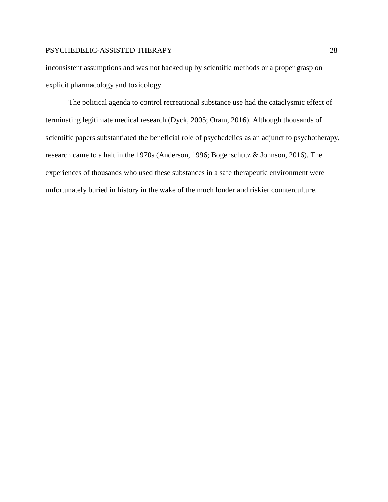inconsistent assumptions and was not backed up by scientific methods or a proper grasp on explicit pharmacology and toxicology.

The political agenda to control recreational substance use had the cataclysmic effect of terminating legitimate medical research (Dyck, 2005; Oram, 2016). Although thousands of scientific papers substantiated the beneficial role of psychedelics as an adjunct to psychotherapy, research came to a halt in the 1970s (Anderson, 1996; Bogenschutz & Johnson, 2016). The experiences of thousands who used these substances in a safe therapeutic environment were unfortunately buried in history in the wake of the much louder and riskier counterculture.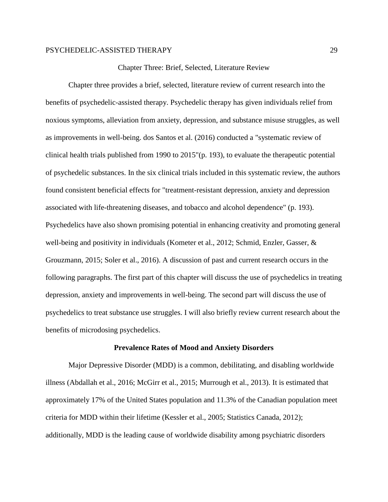Chapter Three: Brief, Selected, Literature Review

Chapter three provides a brief, selected, literature review of current research into the benefits of psychedelic-assisted therapy. Psychedelic therapy has given individuals relief from noxious symptoms, alleviation from anxiety, depression, and substance misuse struggles, as well as improvements in well-being. dos Santos et al. (2016) conducted a "systematic review of clinical health trials published from 1990 to 2015"(p. 193), to evaluate the therapeutic potential of psychedelic substances. In the six clinical trials included in this systematic review, the authors found consistent beneficial effects for "treatment-resistant depression, anxiety and depression associated with life-threatening diseases, and tobacco and alcohol dependence" (p. 193). Psychedelics have also shown promising potential in enhancing creativity and promoting general well-being and positivity in individuals (Kometer et al., 2012; Schmid, Enzler, Gasser, & Grouzmann, 2015; Soler et al., 2016). A discussion of past and current research occurs in the following paragraphs. The first part of this chapter will discuss the use of psychedelics in treating depression, anxiety and improvements in well-being. The second part will discuss the use of psychedelics to treat substance use struggles. I will also briefly review current research about the benefits of microdosing psychedelics.

#### **Prevalence Rates of Mood and Anxiety Disorders**

Major Depressive Disorder (MDD) is a common, debilitating, and disabling worldwide illness (Abdallah et al., 2016; McGirr et al., 2015; Murrough et al., 2013). It is estimated that approximately 17% of the United States population and 11.3% of the Canadian population meet criteria for MDD within their lifetime (Kessler et al., 2005; Statistics Canada, 2012); additionally, MDD is the leading cause of worldwide disability among psychiatric disorders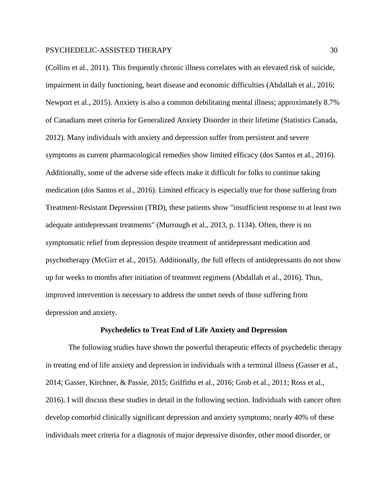(Collins et al., 2011). This frequently chronic illness correlates with an elevated risk of suicide, impairment in daily functioning, heart disease and economic difficulties (Abdallah et al., 2016; Newport et al., 2015). Anxiety is also a common debilitating mental illness; approximately 8.7% of Canadians meet criteria for Generalized Anxiety Disorder in their lifetime (Statistics Canada, 2012). Many individuals with anxiety and depression suffer from persistent and severe symptoms as current pharmacological remedies show limited efficacy (dos Santos et al., 2016). Additionally, some of the adverse side effects make it difficult for folks to continue taking medication (dos Santos et al., 2016). Limited efficacy is especially true for those suffering from Treatment-Resistant Depression (TRD), these patients show "insufficient response to at least two adequate antidepressant treatments" (Murrough et al., 2013, p. 1134). Often, there is no symptomatic relief from depression despite treatment of antidepressant medication and psychotherapy (McGirr et al., 2015). Additionally, the full effects of antidepressants do not show up for weeks to months after initiation of treatment regimens (Abdallah et al., 2016). Thus, improved intervention is necessary to address the unmet needs of those suffering from depression and anxiety.

#### **Psychedelics to Treat End of Life Anxiety and Depression**

The following studies have shown the powerful therapeutic effects of psychedelic therapy in treating end of life anxiety and depression in individuals with a terminal illness (Gasser et al., 2014; Gasser, Kirchner, & Passie, 2015; Griffiths et al., 2016; Grob et al., 2011; Ross et al., 2016). I will discuss these studies in detail in the following section. Individuals with cancer often develop comorbid clinically significant depression and anxiety symptoms; nearly 40% of these individuals meet criteria for a diagnosis of major depressive disorder, other mood disorder, or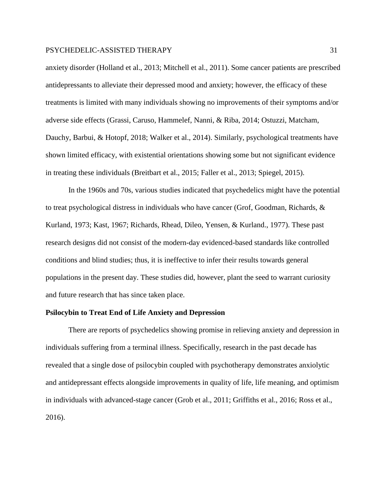anxiety disorder (Holland et al., 2013; Mitchell et al., 2011). Some cancer patients are prescribed antidepressants to alleviate their depressed mood and anxiety; however, the efficacy of these treatments is limited with many individuals showing no improvements of their symptoms and/or adverse side effects (Grassi, Caruso, Hammelef, Nanni, & Riba, 2014; Ostuzzi, Matcham, Dauchy, Barbui, & Hotopf, 2018; Walker et al., 2014). Similarly, psychological treatments have shown limited efficacy, with existential orientations showing some but not significant evidence in treating these individuals (Breitbart et al., 2015; Faller et al., 2013; Spiegel, 2015).

In the 1960s and 70s, various studies indicated that psychedelics might have the potential to treat psychological distress in individuals who have cancer (Grof, Goodman, Richards, & Kurland, 1973; Kast, 1967; Richards, Rhead, Dileo, Yensen, & Kurland., 1977). These past research designs did not consist of the modern-day evidenced-based standards like controlled conditions and blind studies; thus, it is ineffective to infer their results towards general populations in the present day. These studies did, however, plant the seed to warrant curiosity and future research that has since taken place.

#### **Psilocybin to Treat End of Life Anxiety and Depression**

There are reports of psychedelics showing promise in relieving anxiety and depression in individuals suffering from a terminal illness. Specifically, research in the past decade has revealed that a single dose of psilocybin coupled with psychotherapy demonstrates anxiolytic and antidepressant effects alongside improvements in quality of life, life meaning, and optimism in individuals with advanced-stage cancer (Grob et al., 2011; Griffiths et al., 2016; Ross et al., 2016).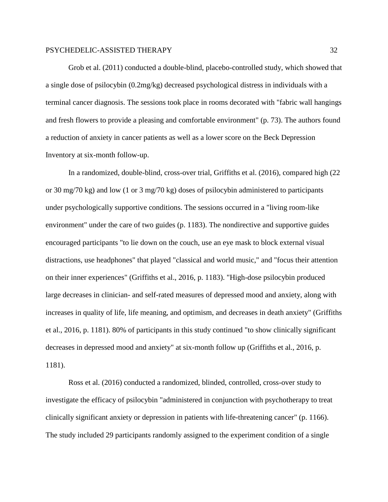Grob et al. (2011) conducted a double-blind, placebo-controlled study, which showed that a single dose of psilocybin (0.2mg/kg) decreased psychological distress in individuals with a terminal cancer diagnosis. The sessions took place in rooms decorated with "fabric wall hangings and fresh flowers to provide a pleasing and comfortable environment" (p. 73). The authors found a reduction of anxiety in cancer patients as well as a lower score on the Beck Depression Inventory at six-month follow-up.

In a randomized, double-blind, cross-over trial, Griffiths et al. (2016), compared high (22 or 30 mg/70 kg) and low (1 or 3 mg/70 kg) doses of psilocybin administered to participants under psychologically supportive conditions. The sessions occurred in a "living room-like environment" under the care of two guides (p. 1183). The nondirective and supportive guides encouraged participants "to lie down on the couch, use an eye mask to block external visual distractions, use headphones" that played "classical and world music," and "focus their attention on their inner experiences" (Griffiths et al., 2016, p. 1183). "High-dose psilocybin produced large decreases in clinician- and self-rated measures of depressed mood and anxiety, along with increases in quality of life, life meaning, and optimism, and decreases in death anxiety" (Griffiths et al., 2016, p. 1181). 80% of participants in this study continued "to show clinically significant decreases in depressed mood and anxiety" at six-month follow up (Griffiths et al., 2016, p. 1181).

Ross et al. (2016) conducted a randomized, blinded, controlled, cross-over study to investigate the efficacy of psilocybin "administered in conjunction with psychotherapy to treat clinically significant anxiety or depression in patients with life-threatening cancer" (p. 1166). The study included 29 participants randomly assigned to the experiment condition of a single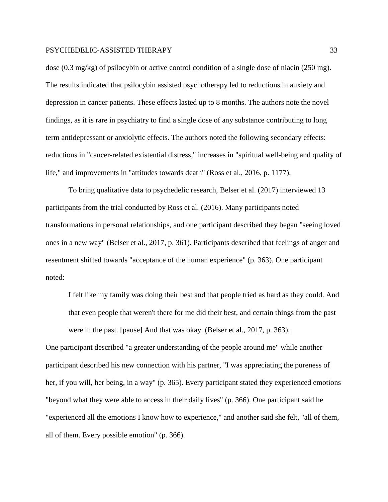dose (0.3 mg/kg) of psilocybin or active control condition of a single dose of niacin (250 mg). The results indicated that psilocybin assisted psychotherapy led to reductions in anxiety and depression in cancer patients. These effects lasted up to 8 months. The authors note the novel findings, as it is rare in psychiatry to find a single dose of any substance contributing to long term antidepressant or anxiolytic effects. The authors noted the following secondary effects: reductions in "cancer-related existential distress," increases in "spiritual well-being and quality of life," and improvements in "attitudes towards death" (Ross et al., 2016, p. 1177).

To bring qualitative data to psychedelic research, Belser et al. (2017) interviewed 13 participants from the trial conducted by Ross et al. (2016). Many participants noted transformations in personal relationships, and one participant described they began "seeing loved ones in a new way" (Belser et al., 2017, p. 361). Participants described that feelings of anger and resentment shifted towards "acceptance of the human experience" (p. 363). One participant noted:

I felt like my family was doing their best and that people tried as hard as they could. And that even people that weren't there for me did their best, and certain things from the past were in the past. [pause] And that was okay. (Belser et al., 2017, p. 363).

One participant described "a greater understanding of the people around me" while another participant described his new connection with his partner, "I was appreciating the pureness of her, if you will, her being, in a way" (p. 365). Every participant stated they experienced emotions "beyond what they were able to access in their daily lives" (p. 366). One participant said he "experienced all the emotions I know how to experience," and another said she felt, "all of them, all of them. Every possible emotion" (p. 366).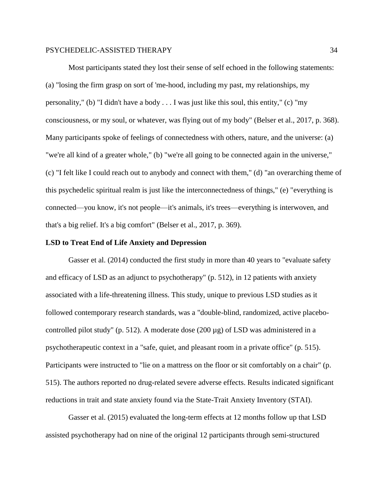Most participants stated they lost their sense of self echoed in the following statements: (a) "losing the firm grasp on sort of 'me-hood, including my past, my relationships, my personality," (b) "I didn't have a body  $\dots$  I was just like this soul, this entity," (c) "my consciousness, or my soul, or whatever, was flying out of my body" (Belser et al., 2017, p. 368). Many participants spoke of feelings of connectedness with others, nature, and the universe: (a) "we're all kind of a greater whole," (b) "we're all going to be connected again in the universe," (c) "I felt like I could reach out to anybody and connect with them," (d) "an overarching theme of this psychedelic spiritual realm is just like the interconnectedness of things," (e) "everything is connected—you know, it's not people—it's animals, it's trees—everything is interwoven, and that's a big relief. It's a big comfort" (Belser et al., 2017, p. 369).

#### **LSD to Treat End of Life Anxiety and Depression**

Gasser et al. (2014) conducted the first study in more than 40 years to "evaluate safety and efficacy of LSD as an adjunct to psychotherapy" (p. 512), in 12 patients with anxiety associated with a life-threatening illness. This study, unique to previous LSD studies as it followed contemporary research standards, was a "double-blind, randomized, active placebocontrolled pilot study" (p. 512). A moderate dose (200 µg) of LSD was administered in a psychotherapeutic context in a "safe, quiet, and pleasant room in a private office" (p. 515). Participants were instructed to "lie on a mattress on the floor or sit comfortably on a chair" (p. 515). The authors reported no drug-related severe adverse effects. Results indicated significant reductions in trait and state anxiety found via the State-Trait Anxiety Inventory (STAI).

Gasser et al. (2015) evaluated the long-term effects at 12 months follow up that LSD assisted psychotherapy had on nine of the original 12 participants through semi-structured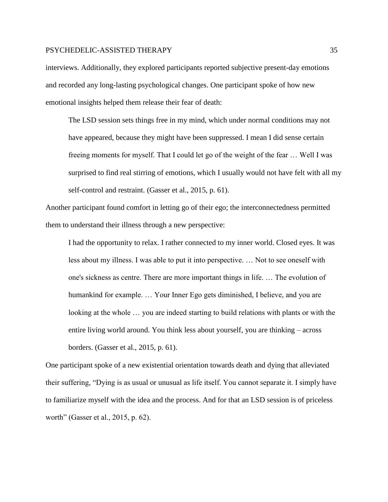interviews. Additionally, they explored participants reported subjective present-day emotions and recorded any long-lasting psychological changes. One participant spoke of how new emotional insights helped them release their fear of death:

The LSD session sets things free in my mind, which under normal conditions may not have appeared, because they might have been suppressed. I mean I did sense certain freeing moments for myself. That I could let go of the weight of the fear … Well I was surprised to find real stirring of emotions, which I usually would not have felt with all my self-control and restraint. (Gasser et al., 2015, p. 61).

Another participant found comfort in letting go of their ego; the interconnectedness permitted them to understand their illness through a new perspective:

I had the opportunity to relax. I rather connected to my inner world. Closed eyes. It was less about my illness. I was able to put it into perspective. … Not to see oneself with one's sickness as centre. There are more important things in life. … The evolution of humankind for example. … Your Inner Ego gets diminished, I believe, and you are looking at the whole … you are indeed starting to build relations with plants or with the entire living world around. You think less about yourself, you are thinking – across borders. (Gasser et al., 2015, p. 61).

One participant spoke of a new existential orientation towards death and dying that alleviated their suffering, "Dying is as usual or unusual as life itself. You cannot separate it. I simply have to familiarize myself with the idea and the process. And for that an LSD session is of priceless worth" (Gasser et al., 2015, p. 62).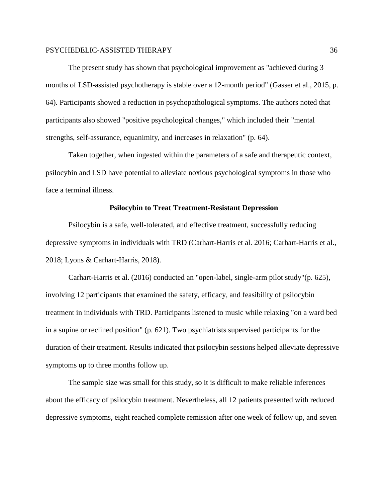The present study has shown that psychological improvement as "achieved during 3 months of LSD-assisted psychotherapy is stable over a 12-month period" (Gasser et al., 2015, p. 64). Participants showed a reduction in psychopathological symptoms. The authors noted that participants also showed "positive psychological changes," which included their "mental strengths, self-assurance, equanimity, and increases in relaxation" (p. 64).

Taken together, when ingested within the parameters of a safe and therapeutic context, psilocybin and LSD have potential to alleviate noxious psychological symptoms in those who face a terminal illness.

#### **Psilocybin to Treat Treatment-Resistant Depression**

Psilocybin is a safe, well-tolerated, and effective treatment, successfully reducing depressive symptoms in individuals with TRD (Carhart-Harris et al. 2016; Carhart-Harris et al., 2018; Lyons & Carhart-Harris, 2018).

Carhart-Harris et al. (2016) conducted an "open-label, single-arm pilot study"(p. 625), involving 12 participants that examined the safety, efficacy, and feasibility of psilocybin treatment in individuals with TRD. Participants listened to music while relaxing "on a ward bed in a supine or reclined position" (p. 621). Two psychiatrists supervised participants for the duration of their treatment. Results indicated that psilocybin sessions helped alleviate depressive symptoms up to three months follow up.

The sample size was small for this study, so it is difficult to make reliable inferences about the efficacy of psilocybin treatment. Nevertheless, all 12 patients presented with reduced depressive symptoms, eight reached complete remission after one week of follow up, and seven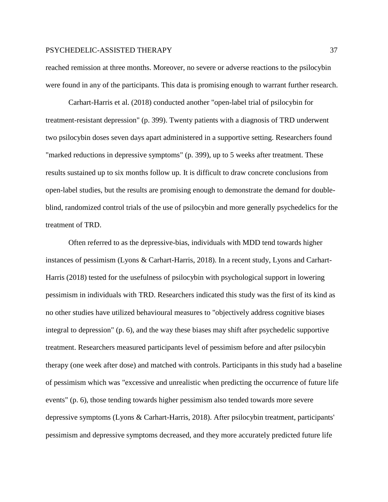reached remission at three months. Moreover, no severe or adverse reactions to the psilocybin were found in any of the participants. This data is promising enough to warrant further research.

Carhart-Harris et al. (2018) conducted another "open-label trial of psilocybin for treatment-resistant depression" (p. 399). Twenty patients with a diagnosis of TRD underwent two psilocybin doses seven days apart administered in a supportive setting. Researchers found "marked reductions in depressive symptoms" (p. 399), up to 5 weeks after treatment. These results sustained up to six months follow up*.* It is difficult to draw concrete conclusions from open-label studies, but the results are promising enough to demonstrate the demand for doubleblind, randomized control trials of the use of psilocybin and more generally psychedelics for the treatment of TRD.

Often referred to as the depressive-bias, individuals with MDD tend towards higher instances of pessimism (Lyons & Carhart-Harris, 2018). In a recent study, Lyons and Carhart-Harris (2018) tested for the usefulness of psilocybin with psychological support in lowering pessimism in individuals with TRD. Researchers indicated this study was the first of its kind as no other studies have utilized behavioural measures to "objectively address cognitive biases integral to depression" (p. 6), and the way these biases may shift after psychedelic supportive treatment. Researchers measured participants level of pessimism before and after psilocybin therapy (one week after dose) and matched with controls. Participants in this study had a baseline of pessimism which was "excessive and unrealistic when predicting the occurrence of future life events" (p. 6), those tending towards higher pessimism also tended towards more severe depressive symptoms (Lyons & Carhart-Harris, 2018). After psilocybin treatment, participants' pessimism and depressive symptoms decreased, and they more accurately predicted future life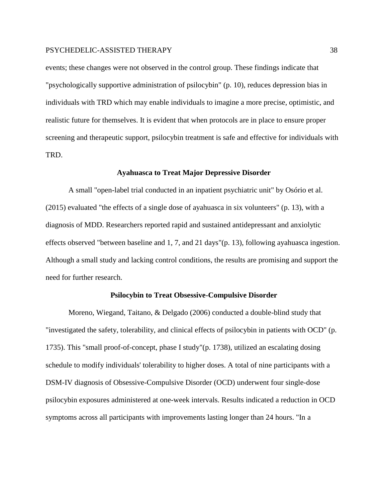events; these changes were not observed in the control group. These findings indicate that "psychologically supportive administration of psilocybin" (p. 10), reduces depression bias in individuals with TRD which may enable individuals to imagine a more precise, optimistic, and realistic future for themselves. It is evident that when protocols are in place to ensure proper screening and therapeutic support, psilocybin treatment is safe and effective for individuals with TRD.

#### **Ayahuasca to Treat Major Depressive Disorder**

A small "open-label trial conducted in an inpatient psychiatric unit" by Osório et al. (2015) evaluated "the effects of a single dose of ayahuasca in six volunteers" (p. 13), with a diagnosis of MDD. Researchers reported rapid and sustained antidepressant and anxiolytic effects observed "between baseline and 1, 7, and 21 days"(p. 13), following ayahuasca ingestion. Although a small study and lacking control conditions, the results are promising and support the need for further research.

#### **Psilocybin to Treat Obsessive-Compulsive Disorder**

Moreno, Wiegand, Taitano, & Delgado (2006) conducted a double-blind study that "investigated the safety, tolerability, and clinical effects of psilocybin in patients with OCD" (p. 1735). This "small proof-of-concept, phase I study"(p. 1738), utilized an escalating dosing schedule to modify individuals' tolerability to higher doses. A total of nine participants with a DSM-IV diagnosis of Obsessive-Compulsive Disorder (OCD) underwent four single-dose psilocybin exposures administered at one-week intervals. Results indicated a reduction in OCD symptoms across all participants with improvements lasting longer than 24 hours. "In a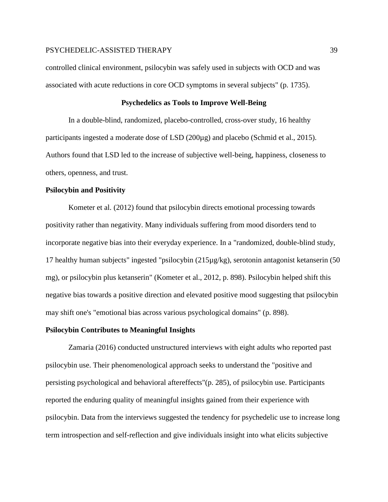controlled clinical environment, psilocybin was safely used in subjects with OCD and was associated with acute reductions in core OCD symptoms in several subjects" (p. 1735).

## **Psychedelics as Tools to Improve Well-Being**

In a double-blind, randomized, placebo-controlled, cross-over study, 16 healthy participants ingested a moderate dose of LSD (200µg) and placebo (Schmid et al., 2015). Authors found that LSD led to the increase of subjective well-being, happiness, closeness to others, openness, and trust.

## **Psilocybin and Positivity**

Kometer et al. (2012) found that psilocybin directs emotional processing towards positivity rather than negativity. Many individuals suffering from mood disorders tend to incorporate negative bias into their everyday experience. In a "randomized, double-blind study, 17 healthy human subjects" ingested "psilocybin (215µg/kg), serotonin antagonist ketanserin (50 mg), or psilocybin plus ketanserin" (Kometer et al., 2012, p. 898). Psilocybin helped shift this negative bias towards a positive direction and elevated positive mood suggesting that psilocybin may shift one's "emotional bias across various psychological domains" (p. 898).

#### **Psilocybin Contributes to Meaningful Insights**

Zamaria (2016) conducted unstructured interviews with eight adults who reported past psilocybin use. Their phenomenological approach seeks to understand the "positive and persisting psychological and behavioral aftereffects"(p. 285), of psilocybin use. Participants reported the enduring quality of meaningful insights gained from their experience with psilocybin. Data from the interviews suggested the tendency for psychedelic use to increase long term introspection and self-reflection and give individuals insight into what elicits subjective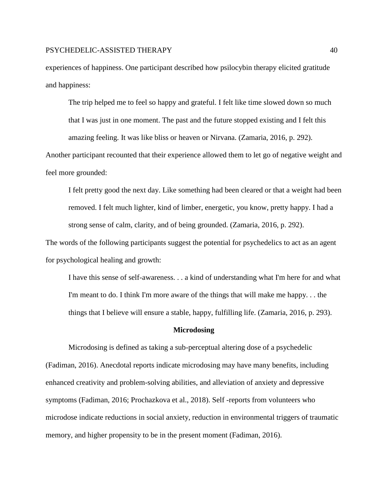experiences of happiness. One participant described how psilocybin therapy elicited gratitude and happiness:

The trip helped me to feel so happy and grateful. I felt like time slowed down so much that I was just in one moment. The past and the future stopped existing and I felt this amazing feeling. It was like bliss or heaven or Nirvana. (Zamaria, 2016, p. 292).

Another participant recounted that their experience allowed them to let go of negative weight and feel more grounded:

I felt pretty good the next day. Like something had been cleared or that a weight had been removed. I felt much lighter, kind of limber, energetic, you know, pretty happy. I had a strong sense of calm, clarity, and of being grounded. (Zamaria, 2016, p. 292).

The words of the following participants suggest the potential for psychedelics to act as an agent for psychological healing and growth:

I have this sense of self-awareness. . . a kind of understanding what I'm here for and what I'm meant to do. I think I'm more aware of the things that will make me happy. . . the things that I believe will ensure a stable, happy, fulfilling life. (Zamaria, 2016, p. 293).

#### **Microdosing**

Microdosing is defined as taking a sub-perceptual altering dose of a psychedelic (Fadiman, 2016). Anecdotal reports indicate microdosing may have many benefits, including enhanced creativity and problem-solving abilities, and alleviation of anxiety and depressive symptoms (Fadiman, 2016; Prochazkova et al., 2018). Self -reports from volunteers who microdose indicate reductions in social anxiety, reduction in environmental triggers of traumatic memory, and higher propensity to be in the present moment (Fadiman, 2016).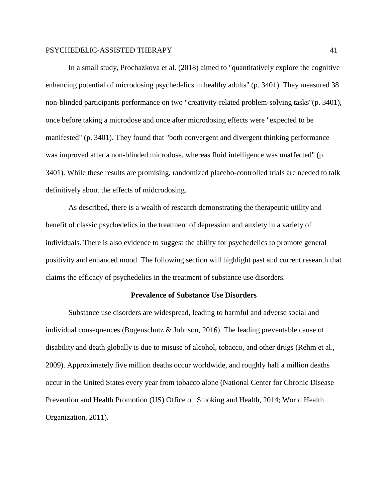In a small study, Prochazkova et al. (2018) aimed to "quantitatively explore the cognitive enhancing potential of microdosing psychedelics in healthy adults" (p. 3401). They measured 38 non-blinded participants performance on two "creativity-related problem-solving tasks"(p. 3401), once before taking a microdose and once after microdosing effects were "expected to be manifested" (p. 3401). They found that "both convergent and divergent thinking performance was improved after a non-blinded microdose, whereas fluid intelligence was unaffected" (p. 3401). While these results are promising, randomized placebo-controlled trials are needed to talk definitively about the effects of midcrodosing.

As described, there is a wealth of research demonstrating the therapeutic utility and benefit of classic psychedelics in the treatment of depression and anxiety in a variety of individuals. There is also evidence to suggest the ability for psychedelics to promote general positivity and enhanced mood. The following section will highlight past and current research that claims the efficacy of psychedelics in the treatment of substance use disorders.

#### **Prevalence of Substance Use Disorders**

Substance use disorders are widespread, leading to harmful and adverse social and individual consequences (Bogenschutz & Johnson, 2016). The leading preventable cause of disability and death globally is due to misuse of alcohol, tobacco, and other drugs (Rehm et al., 2009). Approximately five million deaths occur worldwide, and roughly half a million deaths occur in the United States every year from tobacco alone (National Center for Chronic Disease Prevention and Health Promotion (US) Office on Smoking and Health, 2014; World Health Organization, 2011).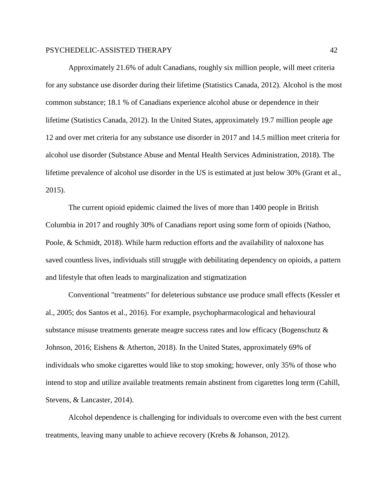Approximately 21.6% of adult Canadians, roughly six million people, will meet criteria for any substance use disorder during their lifetime (Statistics Canada, 2012). Alcohol is the most common substance; 18.1 % of Canadians experience alcohol abuse or dependence in their lifetime (Statistics Canada, 2012). In the United States, approximately 19.7 million people age 12 and over met criteria for any substance use disorder in 2017 and 14.5 million meet criteria for alcohol use disorder (Substance Abuse and Mental Health Services Administration, 2018). The lifetime prevalence of alcohol use disorder in the US is estimated at just below 30% (Grant et al., 2015).

The current opioid epidemic claimed the lives of more than 1400 people in British Columbia in 2017 and roughly 30% of Canadians report using some form of opioids (Nathoo, Poole, & Schmidt, 2018). While harm reduction efforts and the availability of naloxone has saved countless lives, individuals still struggle with debilitating dependency on opioids, a pattern and lifestyle that often leads to marginalization and stigmatization

Conventional "treatments" for deleterious substance use produce small effects (Kessler et al., 2005; dos Santos et al., 2016). For example, psychopharmacological and behavioural substance misuse treatments generate meagre success rates and low efficacy (Bogenschutz & Johnson, 2016; Eishens & Atherton, 2018). In the United States, approximately 69% of individuals who smoke cigarettes would like to stop smoking; however, only 35% of those who intend to stop and utilize available treatments remain abstinent from cigarettes long term (Cahill, Stevens, & Lancaster, 2014).

Alcohol dependence is challenging for individuals to overcome even with the best current treatments, leaving many unable to achieve recovery (Krebs & Johanson, 2012).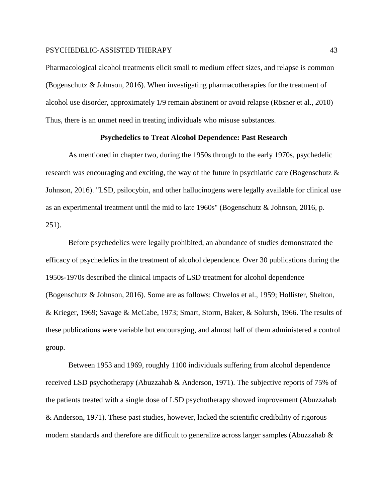Pharmacological alcohol treatments elicit small to medium effect sizes, and relapse is common (Bogenschutz & Johnson, 2016). When investigating pharmacotherapies for the treatment of alcohol use disorder, approximately 1/9 remain abstinent or avoid relapse (Rösner et al., 2010) Thus, there is an unmet need in treating individuals who misuse substances.

## **Psychedelics to Treat Alcohol Dependence: Past Research**

As mentioned in chapter two, during the 1950s through to the early 1970s, psychedelic research was encouraging and exciting, the way of the future in psychiatric care (Bogenschutz  $\&$ Johnson, 2016). "LSD, psilocybin, and other hallucinogens were legally available for clinical use as an experimental treatment until the mid to late 1960s" (Bogenschutz & Johnson, 2016, p. 251).

Before psychedelics were legally prohibited, an abundance of studies demonstrated the efficacy of psychedelics in the treatment of alcohol dependence. Over 30 publications during the 1950s-1970s described the clinical impacts of LSD treatment for alcohol dependence (Bogenschutz & Johnson, 2016). Some are as follows: Chwelos et al., 1959; Hollister, Shelton, & Krieger, 1969; Savage & McCabe, 1973; Smart, Storm, Baker, & Solursh, 1966. The results of these publications were variable but encouraging, and almost half of them administered a control group.

Between 1953 and 1969, roughly 1100 individuals suffering from alcohol dependence received LSD psychotherapy (Abuzzahab & Anderson, 1971). The subjective reports of 75% of the patients treated with a single dose of LSD psychotherapy showed improvement (Abuzzahab & Anderson, 1971). These past studies, however, lacked the scientific credibility of rigorous modern standards and therefore are difficult to generalize across larger samples (Abuzzahab  $\&$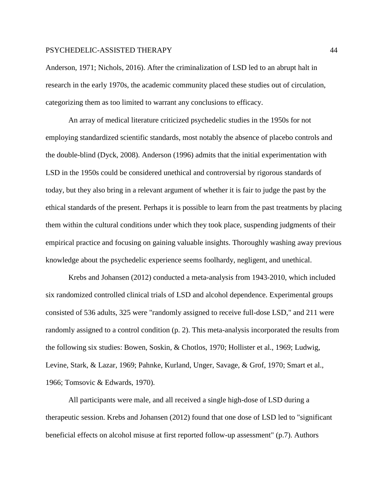Anderson, 1971; Nichols, 2016). After the criminalization of LSD led to an abrupt halt in research in the early 1970s, the academic community placed these studies out of circulation, categorizing them as too limited to warrant any conclusions to efficacy.

An array of medical literature criticized psychedelic studies in the 1950s for not employing standardized scientific standards, most notably the absence of placebo controls and the double-blind (Dyck, 2008). Anderson (1996) admits that the initial experimentation with LSD in the 1950s could be considered unethical and controversial by rigorous standards of today, but they also bring in a relevant argument of whether it is fair to judge the past by the ethical standards of the present. Perhaps it is possible to learn from the past treatments by placing them within the cultural conditions under which they took place, suspending judgments of their empirical practice and focusing on gaining valuable insights. Thoroughly washing away previous knowledge about the psychedelic experience seems foolhardy, negligent, and unethical.

Krebs and Johansen (2012) conducted a meta-analysis from 1943-2010, which included six randomized controlled clinical trials of LSD and alcohol dependence. Experimental groups consisted of 536 adults, 325 were "randomly assigned to receive full-dose LSD," and 211 were randomly assigned to a control condition (p. 2). This meta-analysis incorporated the results from the following six studies: Bowen, Soskin, & Chotlos, 1970; Hollister et al., 1969; Ludwig, Levine, Stark, & Lazar, 1969; Pahnke, Kurland, Unger, Savage, & Grof, 1970; Smart et al., 1966; Tomsovic & Edwards, 1970).

All participants were male, and all received a single high-dose of LSD during a therapeutic session. Krebs and Johansen (2012) found that one dose of LSD led to "significant beneficial effects on alcohol misuse at first reported follow-up assessment" (p.7). Authors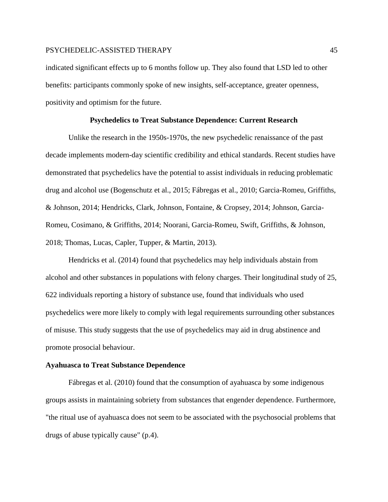indicated significant effects up to 6 months follow up. They also found that LSD led to other benefits: participants commonly spoke of new insights, self-acceptance, greater openness, positivity and optimism for the future.

## **Psychedelics to Treat Substance Dependence: Current Research**

Unlike the research in the 1950s-1970s, the new psychedelic renaissance of the past decade implements modern-day scientific credibility and ethical standards. Recent studies have demonstrated that psychedelics have the potential to assist individuals in reducing problematic drug and alcohol use (Bogenschutz et al., 2015; Fábregas et al., 2010; Garcia-Romeu, Griffiths, & Johnson, 2014; Hendricks, Clark, Johnson, Fontaine, & Cropsey, 2014; Johnson, Garcia-Romeu, Cosimano, & Griffiths, 2014; Noorani, Garcia-Romeu, Swift, Griffiths, & Johnson, 2018; Thomas, Lucas, Capler, Tupper, & Martin, 2013).

Hendricks et al. (2014) found that psychedelics may help individuals abstain from alcohol and other substances in populations with felony charges. Their longitudinal study of 25, 622 individuals reporting a history of substance use, found that individuals who used psychedelics were more likely to comply with legal requirements surrounding other substances of misuse. This study suggests that the use of psychedelics may aid in drug abstinence and promote prosocial behaviour.

#### **Ayahuasca to Treat Substance Dependence**

Fábregas et al. (2010) found that the consumption of ayahuasca by some indigenous groups assists in maintaining sobriety from substances that engender dependence. Furthermore, "the ritual use of ayahuasca does not seem to be associated with the psychosocial problems that drugs of abuse typically cause" (p.4).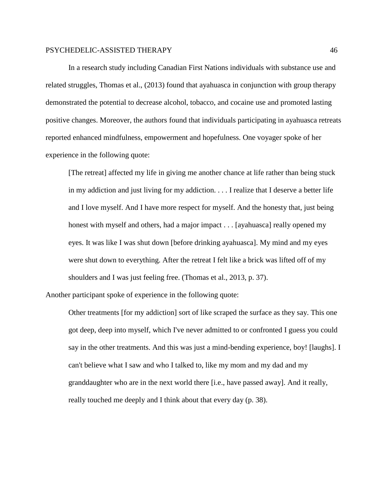In a research study including Canadian First Nations individuals with substance use and related struggles, Thomas et al., (2013) found that ayahuasca in conjunction with group therapy demonstrated the potential to decrease alcohol, tobacco, and cocaine use and promoted lasting positive changes. Moreover, the authors found that individuals participating in ayahuasca retreats reported enhanced mindfulness, empowerment and hopefulness. One voyager spoke of her experience in the following quote:

[The retreat] affected my life in giving me another chance at life rather than being stuck in my addiction and just living for my addiction. . . . I realize that I deserve a better life and I love myself. And I have more respect for myself. And the honesty that, just being honest with myself and others, had a major impact . . . [ayahuasca] really opened my eyes. It was like I was shut down [before drinking ayahuasca]. My mind and my eyes were shut down to everything. After the retreat I felt like a brick was lifted off of my shoulders and I was just feeling free. (Thomas et al., 2013, p. 37).

Another participant spoke of experience in the following quote:

Other treatments [for my addiction] sort of like scraped the surface as they say. This one got deep, deep into myself, which I've never admitted to or confronted I guess you could say in the other treatments. And this was just a mind-bending experience, boy! [laughs]. I can't believe what I saw and who I talked to, like my mom and my dad and my granddaughter who are in the next world there [i.e., have passed away]. And it really, really touched me deeply and I think about that every day (p. 38).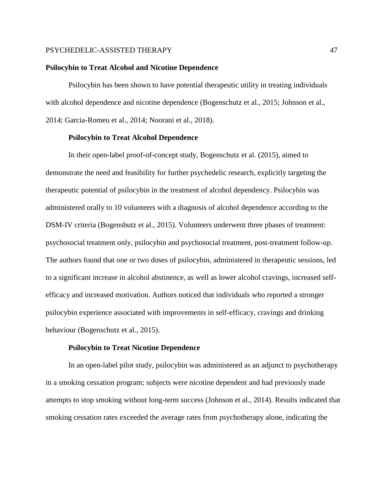### **Psilocybin to Treat Alcohol and Nicotine Dependence**

Psilocybin has been shown to have potential therapeutic utility in treating individuals with alcohol dependence and nicotine dependence (Bogenschutz et al., 2015; Johnson et al., 2014; Garcia-Romeu et al., 2014; Noorani et al., 2018).

## **Psilocybin to Treat Alcohol Dependence**

In their open-label proof-of-concept study, Bogenschutz et al. (2015), aimed to demonstrate the need and feasibility for further psychedelic research, explicitly targeting the therapeutic potential of psilocybin in the treatment of alcohol dependency. Psilocybin was administered orally to 10 volunteers with a diagnosis of alcohol dependence according to the DSM-IV criteria (Bogenshutz et al., 2015). Volunteers underwent three phases of treatment: psychosocial treatment only, psilocybin and psychosocial treatment, post-treatment follow-up. The authors found that one or two doses of psilocybin, administered in therapeutic sessions, led to a significant increase in alcohol abstinence, as well as lower alcohol cravings, increased selfefficacy and increased motivation. Authors noticed that individuals who reported a stronger psilocybin experience associated with improvements in self-efficacy, cravings and drinking behaviour (Bogenschutz et al., 2015).

#### **Psilocybin to Treat Nicotine Dependence**

In an open-label pilot study, psilocybin was administered as an adjunct to psychotherapy in a smoking cessation program; subjects were nicotine dependent and had previously made attempts to stop smoking without long-term success (Johnson et al., 2014). Results indicated that smoking cessation rates exceeded the average rates from psychotherapy alone, indicating the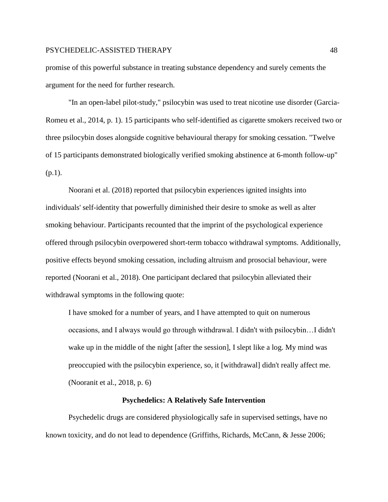promise of this powerful substance in treating substance dependency and surely cements the argument for the need for further research.

"In an open-label pilot-study," psilocybin was used to treat nicotine use disorder (Garcia-Romeu et al., 2014, p. 1). 15 participants who self-identified as cigarette smokers received two or three psilocybin doses alongside cognitive behavioural therapy for smoking cessation. "Twelve of 15 participants demonstrated biologically verified smoking abstinence at 6-month follow-up" (p.1).

Noorani et al. (2018) reported that psilocybin experiences ignited insights into individuals' self-identity that powerfully diminished their desire to smoke as well as alter smoking behaviour. Participants recounted that the imprint of the psychological experience offered through psilocybin overpowered short-term tobacco withdrawal symptoms. Additionally, positive effects beyond smoking cessation, including altruism and prosocial behaviour, were reported (Noorani et al., 2018). One participant declared that psilocybin alleviated their withdrawal symptoms in the following quote:

I have smoked for a number of years, and I have attempted to quit on numerous occasions, and I always would go through withdrawal. I didn't with psilocybin…I didn't wake up in the middle of the night [after the session], I slept like a log. My mind was preoccupied with the psilocybin experience, so, it [withdrawal] didn't really affect me. (Nooranit et al., 2018, p. 6)

## **Psychedelics: A Relatively Safe Intervention**

Psychedelic drugs are considered physiologically safe in supervised settings, have no known toxicity, and do not lead to dependence (Griffiths, Richards, McCann, & Jesse 2006;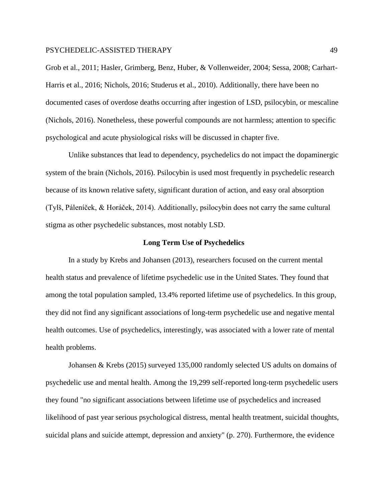Grob et al., 2011; Hasler, Grimberg, Benz, Huber, & Vollenweider, 2004; Sessa, 2008; Carhart-Harris et al., 2016; Nichols, 2016; Studerus et al., 2010). Additionally, there have been no documented cases of overdose deaths occurring after ingestion of LSD, psilocybin, or mescaline (Nichols, 2016). Nonetheless, these powerful compounds are not harmless; attention to specific psychological and acute physiological risks will be discussed in chapter five.

Unlike substances that lead to dependency, psychedelics do not impact the dopaminergic system of the brain (Nichols, 2016). Psilocybin is used most frequently in psychedelic research because of its known relative safety, significant duration of action, and easy oral absorption (Tylš, Páleníček, & Horáček, 2014). Additionally, psilocybin does not carry the same cultural stigma as other psychedelic substances, most notably LSD.

#### **Long Term Use of Psychedelics**

In a study by Krebs and Johansen (2013), researchers focused on the current mental health status and prevalence of lifetime psychedelic use in the United States. They found that among the total population sampled, 13.4% reported lifetime use of psychedelics. In this group, they did not find any significant associations of long-term psychedelic use and negative mental health outcomes. Use of psychedelics, interestingly, was associated with a lower rate of mental health problems.

Johansen & Krebs (2015) surveyed 135,000 randomly selected US adults on domains of psychedelic use and mental health. Among the 19,299 self-reported long-term psychedelic users they found "no significant associations between lifetime use of psychedelics and increased likelihood of past year serious psychological distress, mental health treatment, suicidal thoughts, suicidal plans and suicide attempt, depression and anxiety" (p. 270). Furthermore, the evidence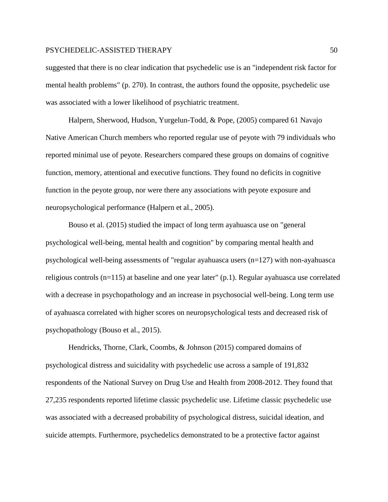suggested that there is no clear indication that psychedelic use is an "independent risk factor for mental health problems" (p. 270). In contrast, the authors found the opposite, psychedelic use was associated with a lower likelihood of psychiatric treatment.

Halpern, Sherwood, Hudson, Yurgelun-Todd, & Pope, (2005) compared 61 Navajo Native American Church members who reported regular use of peyote with 79 individuals who reported minimal use of peyote. Researchers compared these groups on domains of cognitive function, memory, attentional and executive functions. They found no deficits in cognitive function in the peyote group, nor were there any associations with peyote exposure and neuropsychological performance (Halpern et al., 2005).

Bouso et al. (2015) studied the impact of long term ayahuasca use on "general psychological well-being, mental health and cognition" by comparing mental health and psychological well-being assessments of "regular ayahuasca users (n=127) with non-ayahuasca religious controls (n=115) at baseline and one year later" (p.1). Regular ayahuasca use correlated with a decrease in psychopathology and an increase in psychosocial well-being. Long term use of ayahuasca correlated with higher scores on neuropsychological tests and decreased risk of psychopathology (Bouso et al., 2015).

Hendricks, Thorne, Clark, Coombs, & Johnson (2015) compared domains of psychological distress and suicidality with psychedelic use across a sample of 191,832 respondents of the National Survey on Drug Use and Health from 2008-2012. They found that 27,235 respondents reported lifetime classic psychedelic use. Lifetime classic psychedelic use was associated with a decreased probability of psychological distress, suicidal ideation, and suicide attempts. Furthermore, psychedelics demonstrated to be a protective factor against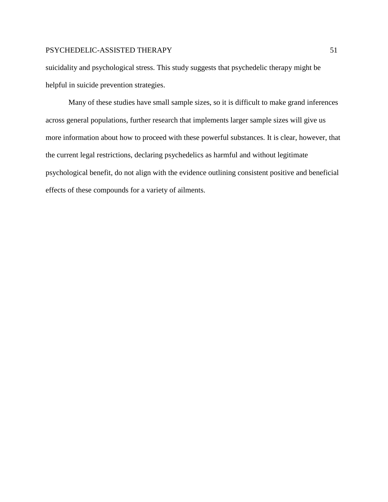suicidality and psychological stress. This study suggests that psychedelic therapy might be helpful in suicide prevention strategies.

Many of these studies have small sample sizes, so it is difficult to make grand inferences across general populations, further research that implements larger sample sizes will give us more information about how to proceed with these powerful substances. It is clear, however, that the current legal restrictions, declaring psychedelics as harmful and without legitimate psychological benefit, do not align with the evidence outlining consistent positive and beneficial effects of these compounds for a variety of ailments.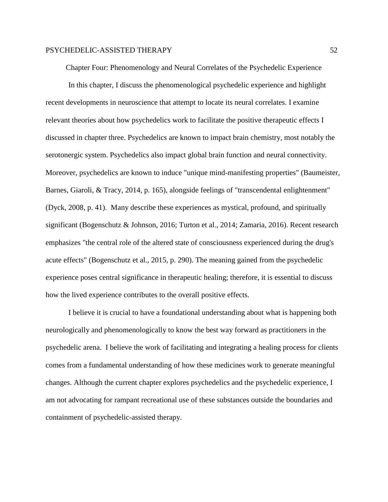Chapter Four: Phenomenology and Neural Correlates of the Psychedelic Experience

In this chapter, I discuss the phenomenological psychedelic experience and highlight recent developments in neuroscience that attempt to locate its neural correlates. I examine relevant theories about how psychedelics work to facilitate the positive therapeutic effects I discussed in chapter three. Psychedelics are known to impact brain chemistry, most notably the serotonergic system. Psychedelics also impact global brain function and neural connectivity. Moreover, psychedelics are known to induce "unique mind-manifesting properties" (Baumeister, Barnes, Giaroli, & Tracy, 2014, p. 165), alongside feelings of "transcendental enlightenment" (Dyck, 2008, p. 41). Many describe these experiences as mystical, profound, and spiritually significant (Bogenschutz & Johnson, 2016; Turton et al., 2014; Zamaria, 2016). Recent research emphasizes "the central role of the altered state of consciousness experienced during the drug's acute effects" (Bogenschutz et al., 2015, p. 290). The meaning gained from the psychedelic experience poses central significance in therapeutic healing; therefore, it is essential to discuss how the lived experience contributes to the overall positive effects.

I believe it is crucial to have a foundational understanding about what is happening both neurologically and phenomenologically to know the best way forward as practitioners in the psychedelic arena. I believe the work of facilitating and integrating a healing process for clients comes from a fundamental understanding of how these medicines work to generate meaningful changes. Although the current chapter explores psychedelics and the psychedelic experience, I am not advocating for rampant recreational use of these substances outside the boundaries and containment of psychedelic-assisted therapy.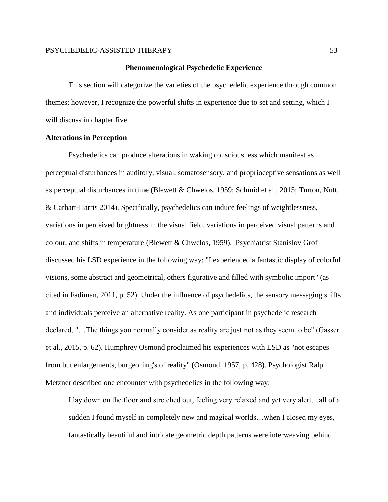#### **Phenomenological Psychedelic Experience**

This section will categorize the varieties of the psychedelic experience through common themes; however, I recognize the powerful shifts in experience due to set and setting, which I will discuss in chapter five.

## **Alterations in Perception**

Psychedelics can produce alterations in waking consciousness which manifest as perceptual disturbances in auditory, visual, somatosensory, and proprioceptive sensations as well as perceptual disturbances in time (Blewett & Chwelos, 1959; Schmid et al., 2015; Turton, Nutt, & Carhart-Harris 2014). Specifically, psychedelics can induce feelings of weightlessness, variations in perceived brightness in the visual field, variations in perceived visual patterns and colour, and shifts in temperature (Blewett & Chwelos, 1959). Psychiatrist Stanislov Grof discussed his LSD experience in the following way: "I experienced a fantastic display of colorful visions, some abstract and geometrical, others figurative and filled with symbolic import" (as cited in Fadiman, 2011, p. 52). Under the influence of psychedelics, the sensory messaging shifts and individuals perceive an alternative reality. As one participant in psychedelic research declared, "…The things you normally consider as reality are just not as they seem to be" (Gasser et al., 2015, p. 62). Humphrey Osmond proclaimed his experiences with LSD as "not escapes from but enlargements, burgeoning's of reality" (Osmond, 1957, p. 428). Psychologist Ralph Metzner described one encounter with psychedelics in the following way:

I lay down on the floor and stretched out, feeling very relaxed and yet very alert…all of a sudden I found myself in completely new and magical worlds…when I closed my eyes, fantastically beautiful and intricate geometric depth patterns were interweaving behind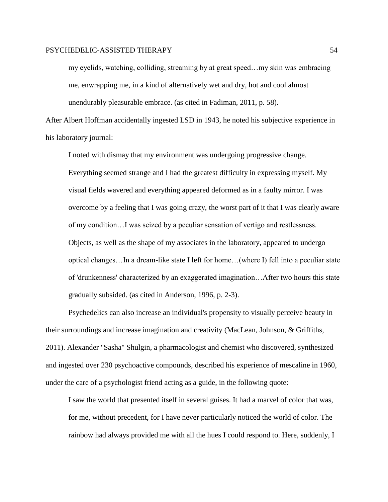my eyelids, watching, colliding, streaming by at great speed…my skin was embracing me, enwrapping me, in a kind of alternatively wet and dry, hot and cool almost unendurably pleasurable embrace. (as cited in Fadiman, 2011, p. 58).

After Albert Hoffman accidentally ingested LSD in 1943, he noted his subjective experience in his laboratory journal:

I noted with dismay that my environment was undergoing progressive change. Everything seemed strange and I had the greatest difficulty in expressing myself. My visual fields wavered and everything appeared deformed as in a faulty mirror. I was overcome by a feeling that I was going crazy, the worst part of it that I was clearly aware of my condition…I was seized by a peculiar sensation of vertigo and restlessness. Objects, as well as the shape of my associates in the laboratory, appeared to undergo optical changes…In a dream-like state I left for home…(where I) fell into a peculiar state of 'drunkenness' characterized by an exaggerated imagination…After two hours this state gradually subsided. (as cited in Anderson, 1996, p. 2-3).

Psychedelics can also increase an individual's propensity to visually perceive beauty in their surroundings and increase imagination and creativity (MacLean, Johnson, & Griffiths, 2011). Alexander "Sasha" Shulgin, a pharmacologist and chemist who discovered, synthesized and ingested over 230 psychoactive compounds, described his experience of mescaline in 1960, under the care of a psychologist friend acting as a guide, in the following quote:

I saw the world that presented itself in several guises. It had a marvel of color that was, for me, without precedent, for I have never particularly noticed the world of color. The rainbow had always provided me with all the hues I could respond to. Here, suddenly, I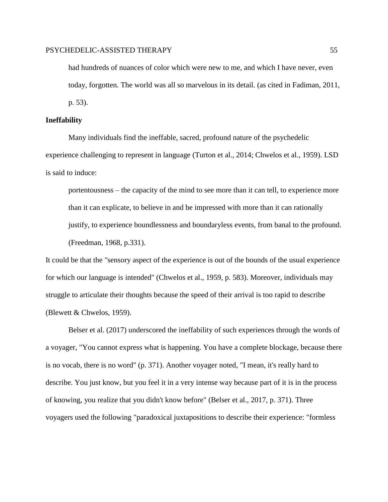had hundreds of nuances of color which were new to me, and which I have never, even today, forgotten. The world was all so marvelous in its detail. (as cited in Fadiman, 2011, p. 53).

#### **Ineffability**

Many individuals find the ineffable, sacred, profound nature of the psychedelic experience challenging to represent in language (Turton et al., 2014; Chwelos et al., 1959). LSD is said to induce:

portentousness – the capacity of the mind to see more than it can tell, to experience more than it can explicate, to believe in and be impressed with more than it can rationally justify, to experience boundlessness and boundaryless events, from banal to the profound. (Freedman, 1968, p.331).

It could be that the "sensory aspect of the experience is out of the bounds of the usual experience for which our language is intended" (Chwelos et al., 1959, p. 583). Moreover, individuals may struggle to articulate their thoughts because the speed of their arrival is too rapid to describe (Blewett & Chwelos, 1959).

Belser et al. (2017) underscored the ineffability of such experiences through the words of a voyager, "You cannot express what is happening. You have a complete blockage, because there is no vocab, there is no word" (p. 371). Another voyager noted, "I mean, it's really hard to describe. You just know, but you feel it in a very intense way because part of it is in the process of knowing, you realize that you didn't know before" (Belser et al., 2017, p. 371). Three voyagers used the following "paradoxical juxtapositions to describe their experience: "formless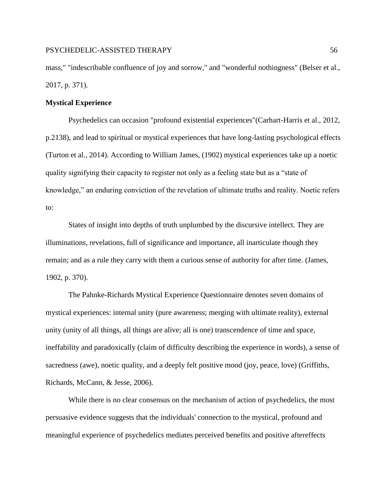mass," "indescribable confluence of joy and sorrow," and "wonderful nothingness" (Belser et al., 2017, p. 371).

## **Mystical Experience**

Psychedelics can occasion "profound existential experiences"(Carhart-Harris et al., 2012, p.2138), and lead to spiritual or mystical experiences that have long-lasting psychological effects (Turton et al., 2014). According to William James, (1902) mystical experiences take up a noetic quality signifying their capacity to register not only as a feeling state but as a "state of knowledge," an enduring conviction of the revelation of ultimate truths and reality. Noetic refers to:

States of insight into depths of truth unplumbed by the discursive intellect. They are illuminations, revelations, full of significance and importance, all inarticulate though they remain; and as a rule they carry with them a curious sense of authority for after time. (James, 1902, p. 370).

The Pahnke-Richards Mystical Experience Questionnaire denotes seven domains of mystical experiences: internal unity (pure awareness; merging with ultimate reality), external unity (unity of all things, all things are alive; all is one) transcendence of time and space, ineffability and paradoxically (claim of difficulty describing the experience in words), a sense of sacredness (awe), noetic quality, and a deeply felt positive mood (joy, peace, love) (Griffiths, Richards, McCann, & Jesse, 2006).

While there is no clear consensus on the mechanism of action of psychedelics, the most persuasive evidence suggests that the individuals' connection to the mystical, profound and meaningful experience of psychedelics mediates perceived benefits and positive aftereffects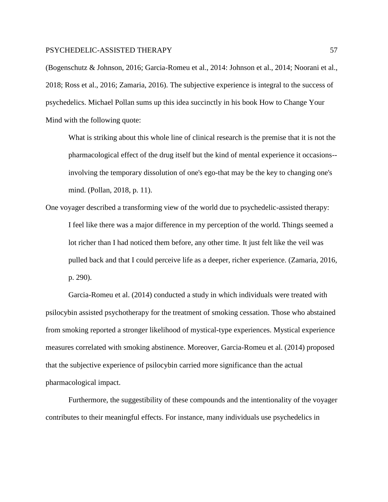(Bogenschutz & Johnson, 2016; Garcia-Romeu et al., 2014: Johnson et al., 2014; Noorani et al., 2018; Ross et al., 2016; Zamaria*,* 2016). The subjective experience is integral to the success of psychedelics. Michael Pollan sums up this idea succinctly in his book How to Change Your Mind with the following quote:

What is striking about this whole line of clinical research is the premise that it is not the pharmacological effect of the drug itself but the kind of mental experience it occasions- involving the temporary dissolution of one's ego-that may be the key to changing one's mind. (Pollan, 2018, p. 11).

One voyager described a transforming view of the world due to psychedelic-assisted therapy: I feel like there was a major difference in my perception of the world. Things seemed a lot richer than I had noticed them before, any other time. It just felt like the veil was pulled back and that I could perceive life as a deeper, richer experience. (Zamaria, 2016, p. 290).

Garcia-Romeu et al. (2014) conducted a study in which individuals were treated with psilocybin assisted psychotherapy for the treatment of smoking cessation. Those who abstained from smoking reported a stronger likelihood of mystical-type experiences. Mystical experience measures correlated with smoking abstinence. Moreover, Garcia-Romeu et al. (2014) proposed that the subjective experience of psilocybin carried more significance than the actual pharmacological impact.

Furthermore, the suggestibility of these compounds and the intentionality of the voyager contributes to their meaningful effects. For instance, many individuals use psychedelics in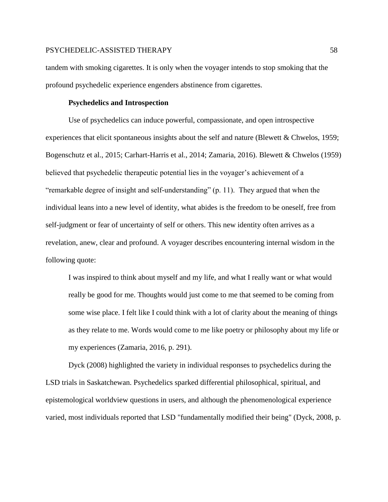tandem with smoking cigarettes. It is only when the voyager intends to stop smoking that the profound psychedelic experience engenders abstinence from cigarettes.

## **Psychedelics and Introspection**

Use of psychedelics can induce powerful, compassionate, and open introspective experiences that elicit spontaneous insights about the self and nature (Blewett  $&$ Chwelos, 1959; Bogenschutz et al., 2015; Carhart-Harris et al., 2014; Zamaria, 2016). Blewett & Chwelos (1959) believed that psychedelic therapeutic potential lies in the voyager's achievement of a "remarkable degree of insight and self-understanding" (p. 11). They argued that when the individual leans into a new level of identity, what abides is the freedom to be oneself, free from self-judgment or fear of uncertainty of self or others. This new identity often arrives as a revelation, anew, clear and profound. A voyager describes encountering internal wisdom in the following quote:

I was inspired to think about myself and my life, and what I really want or what would really be good for me. Thoughts would just come to me that seemed to be coming from some wise place. I felt like I could think with a lot of clarity about the meaning of things as they relate to me. Words would come to me like poetry or philosophy about my life or my experiences (Zamaria, 2016, p. 291).

Dyck (2008) highlighted the variety in individual responses to psychedelics during the LSD trials in Saskatchewan. Psychedelics sparked differential philosophical, spiritual, and epistemological worldview questions in users, and although the phenomenological experience varied, most individuals reported that LSD "fundamentally modified their being" (Dyck, 2008, p.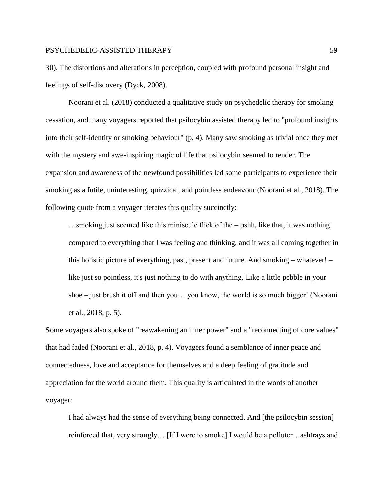30). The distortions and alterations in perception, coupled with profound personal insight and feelings of self-discovery (Dyck, 2008).

Noorani et al. (2018) conducted a qualitative study on psychedelic therapy for smoking cessation, and many voyagers reported that psilocybin assisted therapy led to "profound insights into their self-identity or smoking behaviour" (p. 4). Many saw smoking as trivial once they met with the mystery and awe-inspiring magic of life that psilocybin seemed to render. The expansion and awareness of the newfound possibilities led some participants to experience their smoking as a futile, uninteresting, quizzical, and pointless endeavour (Noorani et al., 2018). The following quote from a voyager iterates this quality succinctly:

…smoking just seemed like this miniscule flick of the – pshh, like that, it was nothing compared to everything that I was feeling and thinking, and it was all coming together in this holistic picture of everything, past, present and future. And smoking – whatever! – like just so pointless, it's just nothing to do with anything. Like a little pebble in your shoe – just brush it off and then you… you know, the world is so much bigger! (Noorani et al., 2018, p. 5).

Some voyagers also spoke of "reawakening an inner power" and a "reconnecting of core values" that had faded (Noorani et al., 2018, p. 4). Voyagers found a semblance of inner peace and connectedness, love and acceptance for themselves and a deep feeling of gratitude and appreciation for the world around them. This quality is articulated in the words of another voyager:

I had always had the sense of everything being connected. And [the psilocybin session] reinforced that, very strongly… [If I were to smoke] I would be a polluter…ashtrays and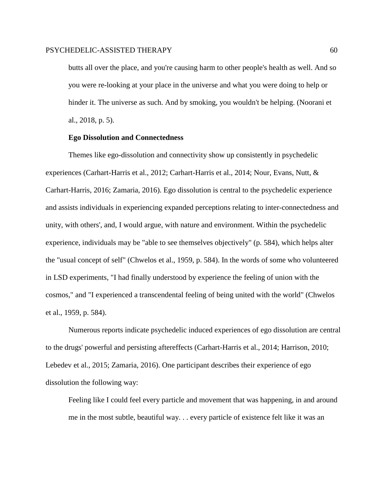butts all over the place, and you're causing harm to other people's health as well. And so you were re-looking at your place in the universe and what you were doing to help or hinder it. The universe as such. And by smoking, you wouldn't be helping. (Noorani et al., 2018, p. 5).

## **Ego Dissolution and Connectedness**

Themes like ego-dissolution and connectivity show up consistently in psychedelic experiences (Carhart-Harris et al., 2012; Carhart-Harris et al., 2014; Nour, Evans, Nutt, & Carhart-Harris, 2016; Zamaria, 2016). Ego dissolution is central to the psychedelic experience and assists individuals in experiencing expanded perceptions relating to inter-connectedness and unity, with others', and, I would argue, with nature and environment. Within the psychedelic experience, individuals may be "able to see themselves objectively" (p. 584), which helps alter the "usual concept of self" (Chwelos et al., 1959, p. 584). In the words of some who volunteered in LSD experiments, "I had finally understood by experience the feeling of union with the cosmos," and "I experienced a transcendental feeling of being united with the world" (Chwelos et al., 1959, p. 584).

Numerous reports indicate psychedelic induced experiences of ego dissolution are central to the drugs' powerful and persisting aftereffects (Carhart-Harris et al., 2014; Harrison, 2010; Lebedev et al., 2015; Zamaria, 2016). One participant describes their experience of ego dissolution the following way:

Feeling like I could feel every particle and movement that was happening, in and around me in the most subtle, beautiful way. . . every particle of existence felt like it was an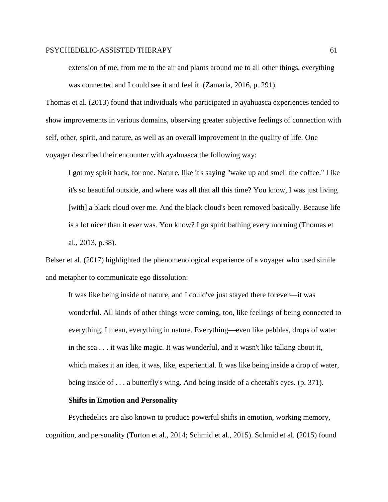extension of me, from me to the air and plants around me to all other things, everything was connected and I could see it and feel it. (Zamaria, 2016, p. 291).

Thomas et al. (2013) found that individuals who participated in ayahuasca experiences tended to show improvements in various domains, observing greater subjective feelings of connection with self, other, spirit, and nature, as well as an overall improvement in the quality of life. One voyager described their encounter with ayahuasca the following way:

I got my spirit back, for one. Nature, like it's saying "wake up and smell the coffee." Like it's so beautiful outside, and where was all that all this time? You know, I was just living [with] a black cloud over me. And the black cloud's been removed basically. Because life is a lot nicer than it ever was. You know? I go spirit bathing every morning (Thomas et al., 2013, p.38).

Belser et al. (2017) highlighted the phenomenological experience of a voyager who used simile and metaphor to communicate ego dissolution:

It was like being inside of nature, and I could've just stayed there forever—it was wonderful. All kinds of other things were coming, too, like feelings of being connected to everything, I mean, everything in nature. Everything—even like pebbles, drops of water in the sea . . . it was like magic. It was wonderful, and it wasn't like talking about it, which makes it an idea, it was, like, experiential. It was like being inside a drop of water, being inside of . . . a butterfly's wing. And being inside of a cheetah's eyes. (p. 371).

#### **Shifts in Emotion and Personality**

Psychedelics are also known to produce powerful shifts in emotion, working memory, cognition, and personality (Turton et al., 2014; Schmid et al., 2015). Schmid et al. (2015) found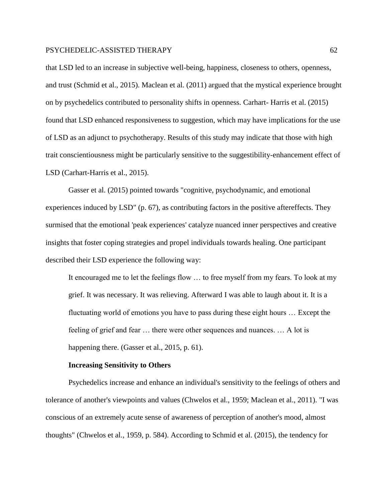that LSD led to an increase in subjective well-being, happiness, closeness to others, openness, and trust (Schmid et al., 2015). Maclean et al. (2011) argued that the mystical experience brought on by psychedelics contributed to personality shifts in openness. Carhart- Harris et al. (2015) found that LSD enhanced responsiveness to suggestion, which may have implications for the use of LSD as an adjunct to psychotherapy. Results of this study may indicate that those with high trait conscientiousness might be particularly sensitive to the suggestibility-enhancement effect of LSD (Carhart-Harris et al., 2015).

Gasser et al. (2015) pointed towards "cognitive, psychodynamic, and emotional experiences induced by LSD" (p. 67), as contributing factors in the positive aftereffects. They surmised that the emotional 'peak experiences' catalyze nuanced inner perspectives and creative insights that foster coping strategies and propel individuals towards healing. One participant described their LSD experience the following way:

It encouraged me to let the feelings flow … to free myself from my fears. To look at my grief. It was necessary. It was relieving. Afterward I was able to laugh about it. It is a fluctuating world of emotions you have to pass during these eight hours … Except the feeling of grief and fear … there were other sequences and nuances. … A lot is happening there. (Gasser et al., 2015, p. 61).

#### **Increasing Sensitivity to Others**

Psychedelics increase and enhance an individual's sensitivity to the feelings of others and tolerance of another's viewpoints and values (Chwelos et al., 1959; Maclean et al., 2011). "I was conscious of an extremely acute sense of awareness of perception of another's mood, almost thoughts" (Chwelos et al., 1959, p. 584). According to Schmid et al. (2015), the tendency for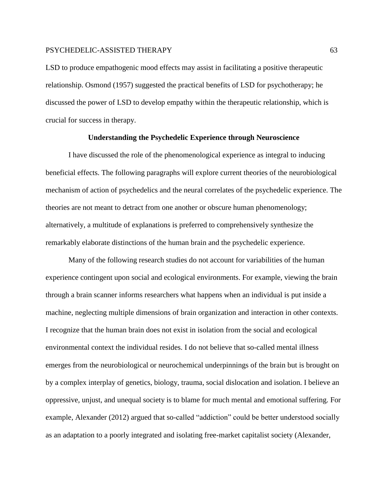LSD to produce empathogenic mood effects may assist in facilitating a positive therapeutic relationship. Osmond (1957) suggested the practical benefits of LSD for psychotherapy; he discussed the power of LSD to develop empathy within the therapeutic relationship, which is crucial for success in therapy.

## **Understanding the Psychedelic Experience through Neuroscience**

I have discussed the role of the phenomenological experience as integral to inducing beneficial effects. The following paragraphs will explore current theories of the neurobiological mechanism of action of psychedelics and the neural correlates of the psychedelic experience. The theories are not meant to detract from one another or obscure human phenomenology; alternatively, a multitude of explanations is preferred to comprehensively synthesize the remarkably elaborate distinctions of the human brain and the psychedelic experience.

Many of the following research studies do not account for variabilities of the human experience contingent upon social and ecological environments. For example, viewing the brain through a brain scanner informs researchers what happens when an individual is put inside a machine, neglecting multiple dimensions of brain organization and interaction in other contexts. I recognize that the human brain does not exist in isolation from the social and ecological environmental context the individual resides. I do not believe that so-called mental illness emerges from the neurobiological or neurochemical underpinnings of the brain but is brought on by a complex interplay of genetics, biology, trauma, social dislocation and isolation. I believe an oppressive, unjust, and unequal society is to blame for much mental and emotional suffering. For example, Alexander (2012) argued that so-called "addiction" could be better understood socially as an adaptation to a poorly integrated and isolating free-market capitalist society (Alexander,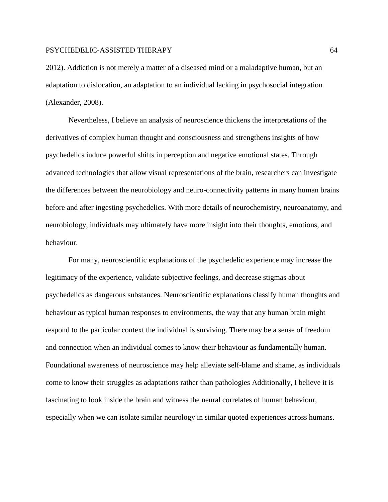2012). Addiction is not merely a matter of a diseased mind or a maladaptive human, but an adaptation to dislocation, an adaptation to an individual lacking in psychosocial integration (Alexander, 2008).

Nevertheless, I believe an analysis of neuroscience thickens the interpretations of the derivatives of complex human thought and consciousness and strengthens insights of how psychedelics induce powerful shifts in perception and negative emotional states. Through advanced technologies that allow visual representations of the brain, researchers can investigate the differences between the neurobiology and neuro-connectivity patterns in many human brains before and after ingesting psychedelics. With more details of neurochemistry, neuroanatomy, and neurobiology, individuals may ultimately have more insight into their thoughts, emotions, and behaviour.

For many, neuroscientific explanations of the psychedelic experience may increase the legitimacy of the experience, validate subjective feelings, and decrease stigmas about psychedelics as dangerous substances. Neuroscientific explanations classify human thoughts and behaviour as typical human responses to environments, the way that any human brain might respond to the particular context the individual is surviving. There may be a sense of freedom and connection when an individual comes to know their behaviour as fundamentally human. Foundational awareness of neuroscience may help alleviate self-blame and shame, as individuals come to know their struggles as adaptations rather than pathologies Additionally, I believe it is fascinating to look inside the brain and witness the neural correlates of human behaviour, especially when we can isolate similar neurology in similar quoted experiences across humans.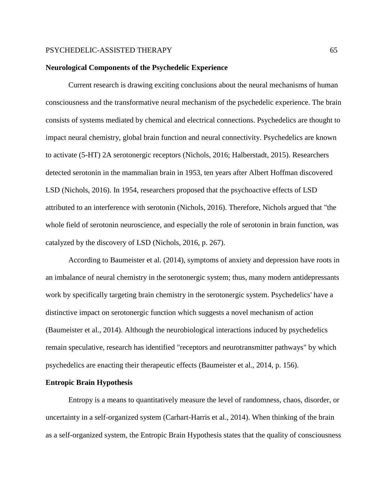#### **Neurological Components of the Psychedelic Experience**

Current research is drawing exciting conclusions about the neural mechanisms of human consciousness and the transformative neural mechanism of the psychedelic experience. The brain consists of systems mediated by chemical and electrical connections. Psychedelics are thought to impact neural chemistry, global brain function and neural connectivity. Psychedelics are known to activate (5-HT) 2A serotonergic receptors (Nichols, 2016; Halberstadt, 2015). Researchers detected serotonin in the mammalian brain in 1953, ten years after Albert Hoffman discovered LSD (Nichols, 2016). In 1954, researchers proposed that the psychoactive effects of LSD attributed to an interference with serotonin (Nichols, 2016). Therefore, Nichols argued that "the whole field of serotonin neuroscience, and especially the role of serotonin in brain function, was catalyzed by the discovery of LSD (Nichols, 2016, p. 267).

According to Baumeister et al. (2014), symptoms of anxiety and depression have roots in an imbalance of neural chemistry in the serotonergic system; thus, many modern antidepressants work by specifically targeting brain chemistry in the serotonergic system. Psychedelics' have a distinctive impact on serotonergic function which suggests a novel mechanism of action (Baumeister et al., 2014). Although the neurobiological interactions induced by psychedelics remain speculative, research has identified "receptors and neurotransmitter pathways" by which psychedelics are enacting their therapeutic effects (Baumeister et al., 2014, p. 156).

#### **Entropic Brain Hypothesis**

Entropy is a means to quantitatively measure the level of randomness, chaos, disorder, or uncertainty in a self-organized system (Carhart-Harris et al., 2014). When thinking of the brain as a self-organized system, the Entropic Brain Hypothesis states that the quality of consciousness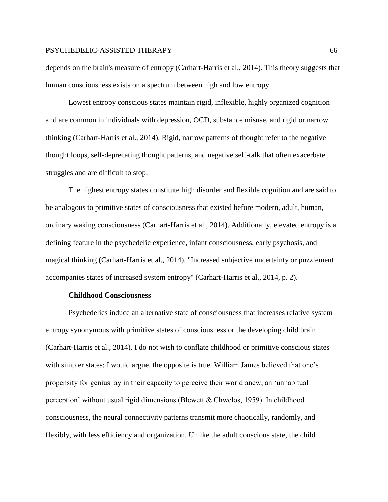depends on the brain's measure of entropy (Carhart-Harris et al., 2014). This theory suggests that human consciousness exists on a spectrum between high and low entropy.

Lowest entropy conscious states maintain rigid, inflexible, highly organized cognition and are common in individuals with depression, OCD, substance misuse, and rigid or narrow thinking (Carhart-Harris et al., 2014). Rigid, narrow patterns of thought refer to the negative thought loops, self-deprecating thought patterns, and negative self-talk that often exacerbate struggles and are difficult to stop.

The highest entropy states constitute high disorder and flexible cognition and are said to be analogous to primitive states of consciousness that existed before modern, adult, human, ordinary waking consciousness (Carhart-Harris et al., 2014). Additionally, elevated entropy is a defining feature in the psychedelic experience, infant consciousness, early psychosis, and magical thinking (Carhart-Harris et al., 2014). "Increased subjective uncertainty or puzzlement accompanies states of increased system entropy" (Carhart-Harris et al., 2014, p. 2).

## **Childhood Consciousness**

Psychedelics induce an alternative state of consciousness that increases relative system entropy synonymous with primitive states of consciousness or the developing child brain (Carhart-Harris et al., 2014)*.* I do not wish to conflate childhood or primitive conscious states with simpler states; I would argue, the opposite is true. William James believed that one's propensity for genius lay in their capacity to perceive their world anew, an 'unhabitual perception' without usual rigid dimensions (Blewett & Chwelos, 1959). In childhood consciousness, the neural connectivity patterns transmit more chaotically, randomly, and flexibly, with less efficiency and organization. Unlike the adult conscious state, the child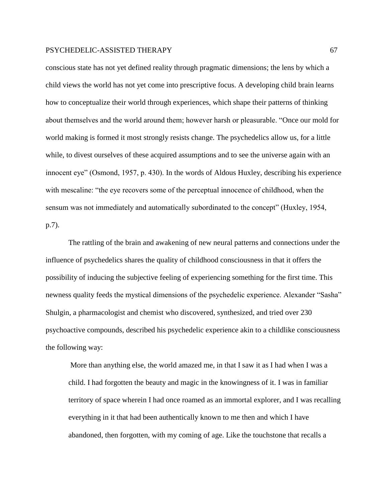conscious state has not yet defined reality through pragmatic dimensions; the lens by which a child views the world has not yet come into prescriptive focus. A developing child brain learns how to conceptualize their world through experiences, which shape their patterns of thinking about themselves and the world around them; however harsh or pleasurable. "Once our mold for world making is formed it most strongly resists change. The psychedelics allow us, for a little while, to divest ourselves of these acquired assumptions and to see the universe again with an innocent eye" (Osmond, 1957, p. 430). In the words of Aldous Huxley, describing his experience with mescaline: "the eye recovers some of the perceptual innocence of childhood, when the sensum was not immediately and automatically subordinated to the concept" (Huxley, 1954, p.7).

The rattling of the brain and awakening of new neural patterns and connections under the influence of psychedelics shares the quality of childhood consciousness in that it offers the possibility of inducing the subjective feeling of experiencing something for the first time. This newness quality feeds the mystical dimensions of the psychedelic experience. Alexander "Sasha" Shulgin, a pharmacologist and chemist who discovered, synthesized, and tried over 230 psychoactive compounds, described his psychedelic experience akin to a childlike consciousness the following way:

More than anything else, the world amazed me, in that I saw it as I had when I was a child. I had forgotten the beauty and magic in the knowingness of it. I was in familiar territory of space wherein I had once roamed as an immortal explorer, and I was recalling everything in it that had been authentically known to me then and which I have abandoned, then forgotten, with my coming of age. Like the touchstone that recalls a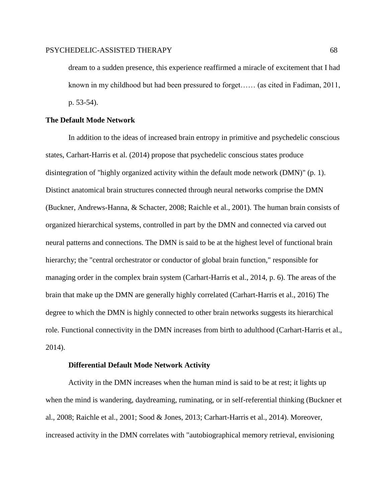dream to a sudden presence, this experience reaffirmed a miracle of excitement that I had known in my childhood but had been pressured to forget…… (as cited in Fadiman, 2011, p. 53-54).

## **The Default Mode Network**

In addition to the ideas of increased brain entropy in primitive and psychedelic conscious states, Carhart-Harris et al. (2014) propose that psychedelic conscious states produce disintegration of "highly organized activity within the default mode network (DMN)" (p. 1). Distinct anatomical brain structures connected through neural networks comprise the DMN (Buckner, Andrews-Hanna, & Schacter, 2008; Raichle et al., 2001). The human brain consists of organized hierarchical systems, controlled in part by the DMN and connected via carved out neural patterns and connections. The DMN is said to be at the highest level of functional brain hierarchy; the "central orchestrator or conductor of global brain function," responsible for managing order in the complex brain system (Carhart-Harris et al., 2014, p. 6). The areas of the brain that make up the DMN are generally highly correlated (Carhart-Harris et al., 2016) The degree to which the DMN is highly connected to other brain networks suggests its hierarchical role. Functional connectivity in the DMN increases from birth to adulthood (Carhart-Harris et al., 2014).

#### **Differential Default Mode Network Activity**

Activity in the DMN increases when the human mind is said to be at rest; it lights up when the mind is wandering, daydreaming, ruminating, or in self-referential thinking (Buckner et al., 2008; Raichle et al., 2001; Sood & Jones, 2013; Carhart-Harris et al., 2014). Moreover, increased activity in the DMN correlates with "autobiographical memory retrieval, envisioning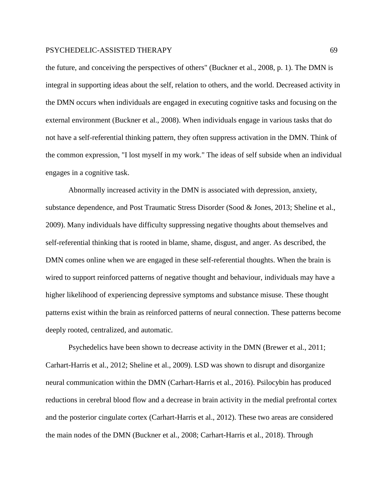the future, and conceiving the perspectives of others" (Buckner et al., 2008, p. 1). The DMN is integral in supporting ideas about the self, relation to others, and the world. Decreased activity in the DMN occurs when individuals are engaged in executing cognitive tasks and focusing on the external environment (Buckner et al., 2008). When individuals engage in various tasks that do not have a self-referential thinking pattern, they often suppress activation in the DMN. Think of the common expression, "I lost myself in my work." The ideas of self subside when an individual engages in a cognitive task.

Abnormally increased activity in the DMN is associated with depression, anxiety, substance dependence, and Post Traumatic Stress Disorder (Sood & Jones, 2013; Sheline et al., 2009). Many individuals have difficulty suppressing negative thoughts about themselves and self-referential thinking that is rooted in blame, shame, disgust, and anger. As described, the DMN comes online when we are engaged in these self-referential thoughts. When the brain is wired to support reinforced patterns of negative thought and behaviour, individuals may have a higher likelihood of experiencing depressive symptoms and substance misuse. These thought patterns exist within the brain as reinforced patterns of neural connection. These patterns become deeply rooted, centralized, and automatic.

Psychedelics have been shown to decrease activity in the DMN (Brewer et al., 2011; Carhart-Harris et al., 2012; Sheline et al., 2009). LSD was shown to disrupt and disorganize neural communication within the DMN (Carhart-Harris et al., 2016). Psilocybin has produced reductions in cerebral blood flow and a decrease in brain activity in the medial prefrontal cortex and the posterior cingulate cortex (Carhart-Harris et al., 2012). These two areas are considered the main nodes of the DMN (Buckner et al., 2008; Carhart-Harris et al., 2018). Through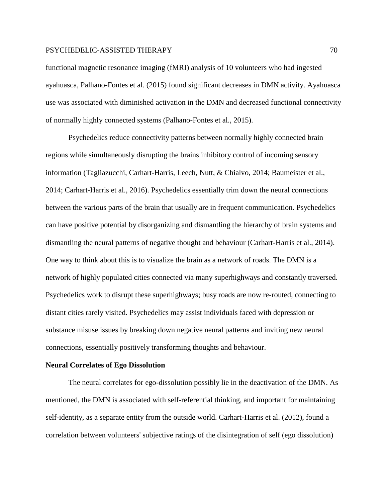functional magnetic resonance imaging (fMRI) analysis of 10 volunteers who had ingested ayahuasca, Palhano-Fontes et al. (2015) found significant decreases in DMN activity. Ayahuasca use was associated with diminished activation in the DMN and decreased functional connectivity of normally highly connected systems (Palhano-Fontes et al., 2015).

Psychedelics reduce connectivity patterns between normally highly connected brain regions while simultaneously disrupting the brains inhibitory control of incoming sensory information (Tagliazucchi, Carhart-Harris, Leech, Nutt, & Chialvo, 2014; Baumeister et al., 2014; Carhart-Harris et al., 2016). Psychedelics essentially trim down the neural connections between the various parts of the brain that usually are in frequent communication. Psychedelics can have positive potential by disorganizing and dismantling the hierarchy of brain systems and dismantling the neural patterns of negative thought and behaviour (Carhart-Harris et al., 2014). One way to think about this is to visualize the brain as a network of roads. The DMN is a network of highly populated cities connected via many superhighways and constantly traversed. Psychedelics work to disrupt these superhighways; busy roads are now re-routed, connecting to distant cities rarely visited. Psychedelics may assist individuals faced with depression or substance misuse issues by breaking down negative neural patterns and inviting new neural connections, essentially positively transforming thoughts and behaviour.

#### **Neural Correlates of Ego Dissolution**

The neural correlates for ego-dissolution possibly lie in the deactivation of the DMN. As mentioned, the DMN is associated with self-referential thinking, and important for maintaining self-identity, as a separate entity from the outside world. Carhart-Harris et al. (2012), found a correlation between volunteers' subjective ratings of the disintegration of self (ego dissolution)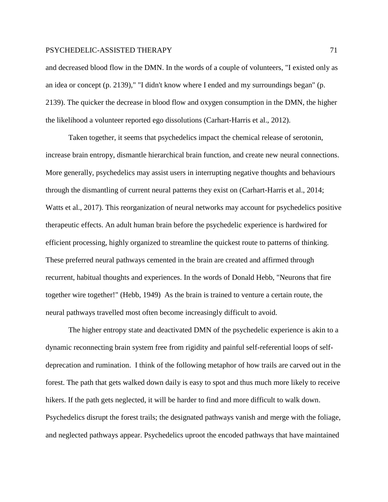and decreased blood flow in the DMN. In the words of a couple of volunteers, "I existed only as an idea or concept (p. 2139)," "I didn't know where I ended and my surroundings began" (p. 2139). The quicker the decrease in blood flow and oxygen consumption in the DMN, the higher the likelihood a volunteer reported ego dissolutions (Carhart-Harris et al., 2012).

Taken together, it seems that psychedelics impact the chemical release of serotonin, increase brain entropy, dismantle hierarchical brain function, and create new neural connections. More generally, psychedelics may assist users in interrupting negative thoughts and behaviours through the dismantling of current neural patterns they exist on (Carhart-Harris et al., 2014; Watts et al., 2017). This reorganization of neural networks may account for psychedelics positive therapeutic effects. An adult human brain before the psychedelic experience is hardwired for efficient processing, highly organized to streamline the quickest route to patterns of thinking. These preferred neural pathways cemented in the brain are created and affirmed through recurrent, habitual thoughts and experiences. In the words of Donald Hebb, "Neurons that fire together wire together!" (Hebb, 1949) As the brain is trained to venture a certain route, the neural pathways travelled most often become increasingly difficult to avoid.

The higher entropy state and deactivated DMN of the psychedelic experience is akin to a dynamic reconnecting brain system free from rigidity and painful self-referential loops of selfdeprecation and rumination. I think of the following metaphor of how trails are carved out in the forest. The path that gets walked down daily is easy to spot and thus much more likely to receive hikers. If the path gets neglected, it will be harder to find and more difficult to walk down. Psychedelics disrupt the forest trails; the designated pathways vanish and merge with the foliage, and neglected pathways appear. Psychedelics uproot the encoded pathways that have maintained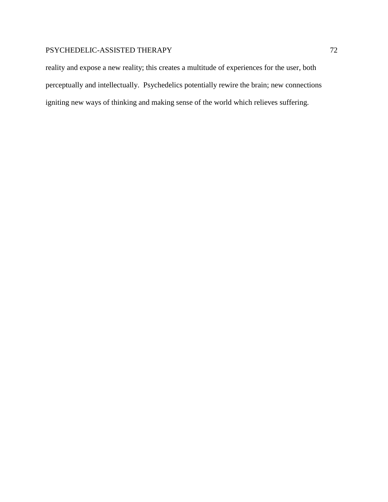reality and expose a new reality; this creates a multitude of experiences for the user, both perceptually and intellectually. Psychedelics potentially rewire the brain; new connections igniting new ways of thinking and making sense of the world which relieves suffering.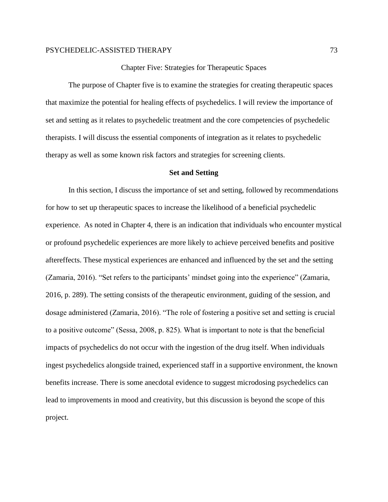# Chapter Five: Strategies for Therapeutic Spaces

The purpose of Chapter five is to examine the strategies for creating therapeutic spaces that maximize the potential for healing effects of psychedelics. I will review the importance of set and setting as it relates to psychedelic treatment and the core competencies of psychedelic therapists. I will discuss the essential components of integration as it relates to psychedelic therapy as well as some known risk factors and strategies for screening clients.

## **Set and Setting**

In this section, I discuss the importance of set and setting, followed by recommendations for how to set up therapeutic spaces to increase the likelihood of a beneficial psychedelic experience. As noted in Chapter 4, there is an indication that individuals who encounter mystical or profound psychedelic experiences are more likely to achieve perceived benefits and positive aftereffects. These mystical experiences are enhanced and influenced by the set and the setting (Zamaria, 2016). "Set refers to the participants' mindset going into the experience" (Zamaria, 2016, p. 289). The setting consists of the therapeutic environment, guiding of the session, and dosage administered (Zamaria, 2016). "The role of fostering a positive set and setting is crucial to a positive outcome" (Sessa, 2008, p. 825). What is important to note is that the beneficial impacts of psychedelics do not occur with the ingestion of the drug itself. When individuals ingest psychedelics alongside trained, experienced staff in a supportive environment, the known benefits increase. There is some anecdotal evidence to suggest microdosing psychedelics can lead to improvements in mood and creativity, but this discussion is beyond the scope of this project.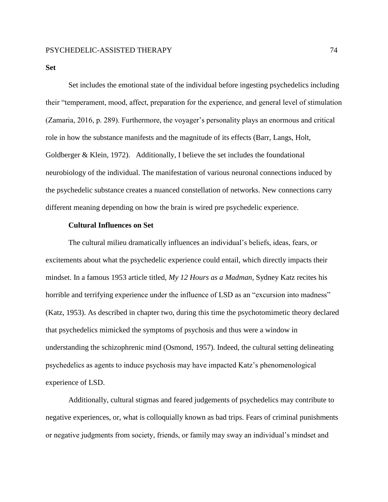**Set**

Set includes the emotional state of the individual before ingesting psychedelics including their "temperament, mood, affect, preparation for the experience, and general level of stimulation (Zamaria, 2016, p. 289). Furthermore, the voyager's personality plays an enormous and critical role in how the substance manifests and the magnitude of its effects (Barr, Langs, Holt, Goldberger & Klein, 1972). Additionally, I believe the set includes the foundational neurobiology of the individual. The manifestation of various neuronal connections induced by the psychedelic substance creates a nuanced constellation of networks. New connections carry different meaning depending on how the brain is wired pre psychedelic experience.

## **Cultural Influences on Set**

The cultural milieu dramatically influences an individual's beliefs, ideas, fears, or excitements about what the psychedelic experience could entail, which directly impacts their mindset. In a famous 1953 article titled, *My 12 Hours as a Madman*, Sydney Katz recites his horrible and terrifying experience under the influence of LSD as an "excursion into madness" (Katz, 1953). As described in chapter two, during this time the psychotomimetic theory declared that psychedelics mimicked the symptoms of psychosis and thus were a window in understanding the schizophrenic mind (Osmond, 1957). Indeed, the cultural setting delineating psychedelics as agents to induce psychosis may have impacted Katz's phenomenological experience of LSD.

Additionally, cultural stigmas and feared judgements of psychedelics may contribute to negative experiences, or, what is colloquially known as bad trips. Fears of criminal punishments or negative judgments from society, friends, or family may sway an individual's mindset and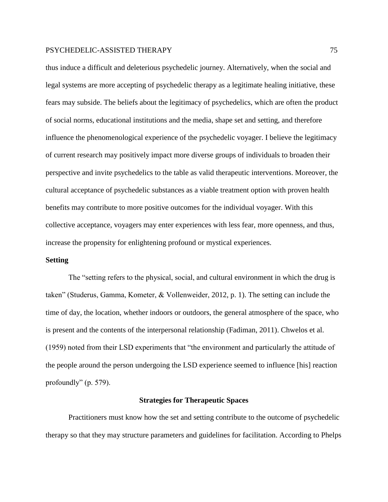thus induce a difficult and deleterious psychedelic journey. Alternatively, when the social and legal systems are more accepting of psychedelic therapy as a legitimate healing initiative, these fears may subside. The beliefs about the legitimacy of psychedelics, which are often the product of social norms, educational institutions and the media, shape set and setting, and therefore influence the phenomenological experience of the psychedelic voyager. I believe the legitimacy of current research may positively impact more diverse groups of individuals to broaden their perspective and invite psychedelics to the table as valid therapeutic interventions. Moreover, the cultural acceptance of psychedelic substances as a viable treatment option with proven health benefits may contribute to more positive outcomes for the individual voyager. With this collective acceptance, voyagers may enter experiences with less fear, more openness, and thus, increase the propensity for enlightening profound or mystical experiences.

# **Setting**

The "setting refers to the physical, social, and cultural environment in which the drug is taken" (Studerus, Gamma, Kometer, & Vollenweider, 2012, p. 1). The setting can include the time of day, the location, whether indoors or outdoors, the general atmosphere of the space, who is present and the contents of the interpersonal relationship (Fadiman, 2011). Chwelos et al. (1959) noted from their LSD experiments that "the environment and particularly the attitude of the people around the person undergoing the LSD experience seemed to influence [his] reaction profoundly" (p. 579).

#### **Strategies for Therapeutic Spaces**

Practitioners must know how the set and setting contribute to the outcome of psychedelic therapy so that they may structure parameters and guidelines for facilitation. According to Phelps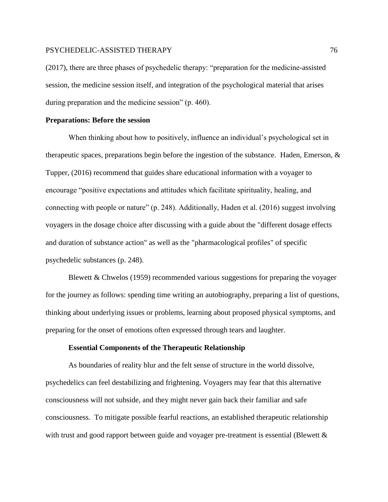(2017), there are three phases of psychedelic therapy: "preparation for the medicine-assisted session, the medicine session itself, and integration of the psychological material that arises during preparation and the medicine session" (p. 460).

# **Preparations: Before the session**

When thinking about how to positively, influence an individual's psychological set in therapeutic spaces, preparations begin before the ingestion of the substance. Haden, Emerson, & Tupper, (2016) recommend that guides share educational information with a voyager to encourage "positive expectations and attitudes which facilitate spirituality, healing, and connecting with people or nature" (p. 248). Additionally, Haden et al. (2016) suggest involving voyagers in the dosage choice after discussing with a guide about the "different dosage effects and duration of substance action" as well as the "pharmacological profiles" of specific psychedelic substances (p. 248).

Blewett & Chwelos (1959) recommended various suggestions for preparing the voyager for the journey as follows: spending time writing an autobiography, preparing a list of questions, thinking about underlying issues or problems, learning about proposed physical symptoms, and preparing for the onset of emotions often expressed through tears and laughter.

## **Essential Components of the Therapeutic Relationship**

As boundaries of reality blur and the felt sense of structure in the world dissolve, psychedelics can feel destabilizing and frightening. Voyagers may fear that this alternative consciousness will not subside, and they might never gain back their familiar and safe consciousness. To mitigate possible fearful reactions, an established therapeutic relationship with trust and good rapport between guide and voyager pre-treatment is essential (Blewett &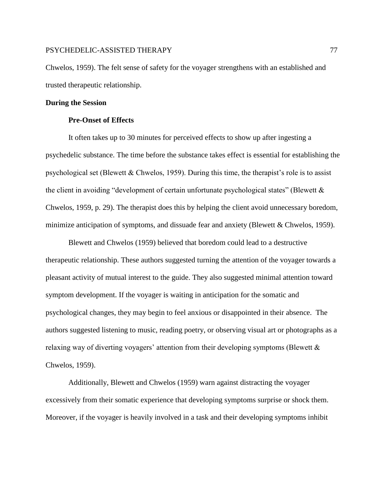Chwelos, 1959). The felt sense of safety for the voyager strengthens with an established and trusted therapeutic relationship.

#### **During the Session**

## **Pre-Onset of Effects**

It often takes up to 30 minutes for perceived effects to show up after ingesting a psychedelic substance. The time before the substance takes effect is essential for establishing the psychological set (Blewett & Chwelos, 1959). During this time, the therapist's role is to assist the client in avoiding "development of certain unfortunate psychological states" (Blewett & Chwelos, 1959, p. 29). The therapist does this by helping the client avoid unnecessary boredom, minimize anticipation of symptoms, and dissuade fear and anxiety (Blewett & Chwelos, 1959).

Blewett and Chwelos (1959) believed that boredom could lead to a destructive therapeutic relationship. These authors suggested turning the attention of the voyager towards a pleasant activity of mutual interest to the guide. They also suggested minimal attention toward symptom development. If the voyager is waiting in anticipation for the somatic and psychological changes, they may begin to feel anxious or disappointed in their absence. The authors suggested listening to music, reading poetry, or observing visual art or photographs as a relaxing way of diverting voyagers' attention from their developing symptoms (Blewett & Chwelos, 1959).

Additionally, Blewett and Chwelos (1959) warn against distracting the voyager excessively from their somatic experience that developing symptoms surprise or shock them. Moreover, if the voyager is heavily involved in a task and their developing symptoms inhibit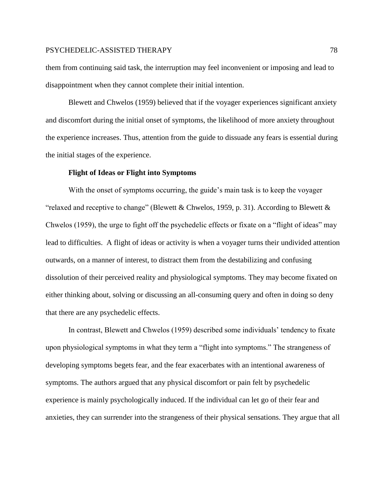them from continuing said task, the interruption may feel inconvenient or imposing and lead to disappointment when they cannot complete their initial intention.

Blewett and Chwelos (1959) believed that if the voyager experiences significant anxiety and discomfort during the initial onset of symptoms, the likelihood of more anxiety throughout the experience increases. Thus, attention from the guide to dissuade any fears is essential during the initial stages of the experience.

#### **Flight of Ideas or Flight into Symptoms**

With the onset of symptoms occurring, the guide's main task is to keep the voyager "relaxed and receptive to change" (Blewett & Chwelos, 1959, p. 31). According to Blewett  $\&$ Chwelos (1959), the urge to fight off the psychedelic effects or fixate on a "flight of ideas" may lead to difficulties. A flight of ideas or activity is when a voyager turns their undivided attention outwards, on a manner of interest, to distract them from the destabilizing and confusing dissolution of their perceived reality and physiological symptoms. They may become fixated on either thinking about, solving or discussing an all-consuming query and often in doing so deny that there are any psychedelic effects.

In contrast, Blewett and Chwelos (1959) described some individuals' tendency to fixate upon physiological symptoms in what they term a "flight into symptoms." The strangeness of developing symptoms begets fear, and the fear exacerbates with an intentional awareness of symptoms. The authors argued that any physical discomfort or pain felt by psychedelic experience is mainly psychologically induced. If the individual can let go of their fear and anxieties, they can surrender into the strangeness of their physical sensations. They argue that all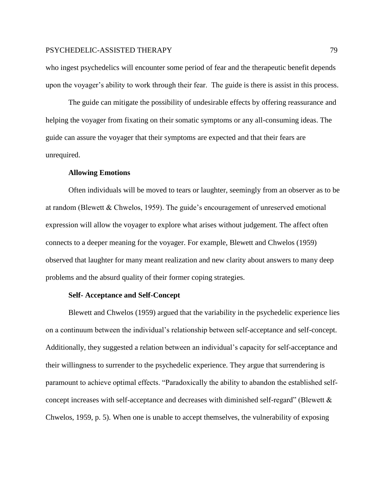who ingest psychedelics will encounter some period of fear and the therapeutic benefit depends upon the voyager's ability to work through their fear. The guide is there is assist in this process.

The guide can mitigate the possibility of undesirable effects by offering reassurance and helping the voyager from fixating on their somatic symptoms or any all-consuming ideas. The guide can assure the voyager that their symptoms are expected and that their fears are unrequired.

### **Allowing Emotions**

Often individuals will be moved to tears or laughter, seemingly from an observer as to be at random (Blewett & Chwelos, 1959). The guide's encouragement of unreserved emotional expression will allow the voyager to explore what arises without judgement. The affect often connects to a deeper meaning for the voyager. For example, Blewett and Chwelos (1959) observed that laughter for many meant realization and new clarity about answers to many deep problems and the absurd quality of their former coping strategies.

#### **Self- Acceptance and Self-Concept**

Blewett and Chwelos (1959) argued that the variability in the psychedelic experience lies on a continuum between the individual's relationship between self-acceptance and self-concept. Additionally, they suggested a relation between an individual's capacity for self-acceptance and their willingness to surrender to the psychedelic experience. They argue that surrendering is paramount to achieve optimal effects. "Paradoxically the ability to abandon the established selfconcept increases with self-acceptance and decreases with diminished self-regard" (Blewett & Chwelos, 1959, p. 5). When one is unable to accept themselves, the vulnerability of exposing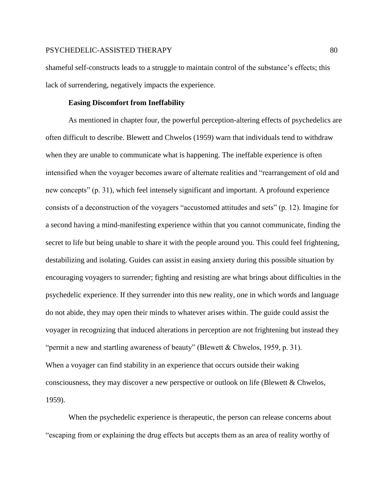shameful self-constructs leads to a struggle to maintain control of the substance's effects; this lack of surrendering, negatively impacts the experience.

# **Easing Discomfort from Ineffability**

As mentioned in chapter four, the powerful perception-altering effects of psychedelics are often difficult to describe. Blewett and Chwelos (1959) warn that individuals tend to withdraw when they are unable to communicate what is happening. The ineffable experience is often intensified when the voyager becomes aware of alternate realities and "rearrangement of old and new concepts" (p. 31), which feel intensely significant and important. A profound experience consists of a deconstruction of the voyagers "accustomed attitudes and sets" (p. 12). Imagine for a second having a mind-manifesting experience within that you cannot communicate, finding the secret to life but being unable to share it with the people around you. This could feel frightening, destabilizing and isolating. Guides can assist in easing anxiety during this possible situation by encouraging voyagers to surrender; fighting and resisting are what brings about difficulties in the psychedelic experience. If they surrender into this new reality, one in which words and language do not abide, they may open their minds to whatever arises within. The guide could assist the voyager in recognizing that induced alterations in perception are not frightening but instead they "permit a new and startling awareness of beauty" (Blewett & Chwelos, 1959, p. 31). When a voyager can find stability in an experience that occurs outside their waking consciousness, they may discover a new perspective or outlook on life (Blewett & Chwelos, 1959).

When the psychedelic experience is therapeutic, the person can release concerns about "escaping from or explaining the drug effects but accepts them as an area of reality worthy of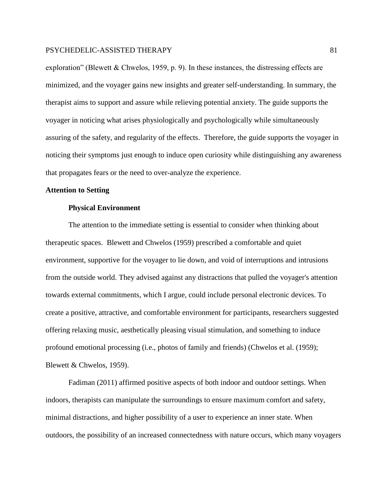exploration" (Blewett & Chwelos, 1959, p. 9). In these instances, the distressing effects are minimized, and the voyager gains new insights and greater self-understanding. In summary, the therapist aims to support and assure while relieving potential anxiety. The guide supports the voyager in noticing what arises physiologically and psychologically while simultaneously assuring of the safety, and regularity of the effects. Therefore, the guide supports the voyager in noticing their symptoms just enough to induce open curiosity while distinguishing any awareness that propagates fears or the need to over-analyze the experience.

# **Attention to Setting**

## **Physical Environment**

The attention to the immediate setting is essential to consider when thinking about therapeutic spaces. Blewett and Chwelos (1959) prescribed a comfortable and quiet environment, supportive for the voyager to lie down, and void of interruptions and intrusions from the outside world. They advised against any distractions that pulled the voyager's attention towards external commitments, which I argue, could include personal electronic devices. To create a positive, attractive, and comfortable environment for participants, researchers suggested offering relaxing music, aesthetically pleasing visual stimulation, and something to induce profound emotional processing (i.e., photos of family and friends) (Chwelos et al. (1959); Blewett & Chwelos, 1959).

Fadiman (2011) affirmed positive aspects of both indoor and outdoor settings. When indoors, therapists can manipulate the surroundings to ensure maximum comfort and safety, minimal distractions, and higher possibility of a user to experience an inner state. When outdoors, the possibility of an increased connectedness with nature occurs, which many voyagers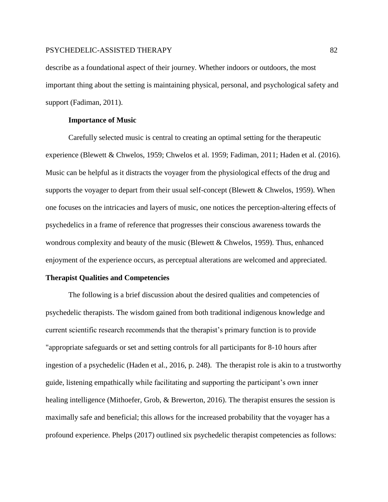describe as a foundational aspect of their journey. Whether indoors or outdoors, the most important thing about the setting is maintaining physical, personal, and psychological safety and support (Fadiman, 2011).

## **Importance of Music**

Carefully selected music is central to creating an optimal setting for the therapeutic experience (Blewett & Chwelos, 1959; Chwelos et al. 1959; Fadiman, 2011; Haden et al. (2016). Music can be helpful as it distracts the voyager from the physiological effects of the drug and supports the voyager to depart from their usual self-concept (Blewett & Chwelos, 1959). When one focuses on the intricacies and layers of music, one notices the perception-altering effects of psychedelics in a frame of reference that progresses their conscious awareness towards the wondrous complexity and beauty of the music (Blewett & Chwelos, 1959). Thus, enhanced enjoyment of the experience occurs, as perceptual alterations are welcomed and appreciated.

#### **Therapist Qualities and Competencies**

The following is a brief discussion about the desired qualities and competencies of psychedelic therapists. The wisdom gained from both traditional indigenous knowledge and current scientific research recommends that the therapist's primary function is to provide "appropriate safeguards or set and setting controls for all participants for 8-10 hours after ingestion of a psychedelic (Haden et al., 2016, p. 248). The therapist role is akin to a trustworthy guide, listening empathically while facilitating and supporting the participant's own inner healing intelligence (Mithoefer, Grob, & Brewerton, 2016). The therapist ensures the session is maximally safe and beneficial; this allows for the increased probability that the voyager has a profound experience. Phelps (2017) outlined six psychedelic therapist competencies as follows: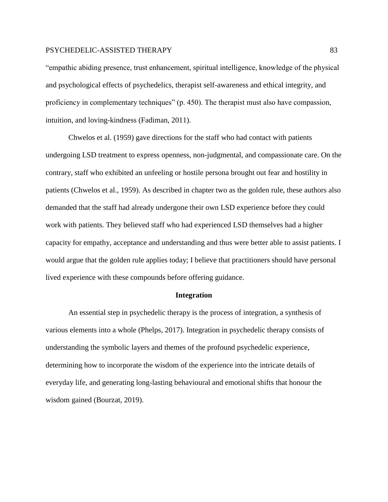"empathic abiding presence, trust enhancement, spiritual intelligence, knowledge of the physical and psychological effects of psychedelics, therapist self-awareness and ethical integrity, and proficiency in complementary techniques" (p. 450). The therapist must also have compassion, intuition, and loving-kindness (Fadiman, 2011).

Chwelos et al. (1959) gave directions for the staff who had contact with patients undergoing LSD treatment to express openness, non-judgmental, and compassionate care. On the contrary, staff who exhibited an unfeeling or hostile persona brought out fear and hostility in patients (Chwelos et al., 1959). As described in chapter two as the golden rule, these authors also demanded that the staff had already undergone their own LSD experience before they could work with patients. They believed staff who had experienced LSD themselves had a higher capacity for empathy, acceptance and understanding and thus were better able to assist patients. I would argue that the golden rule applies today; I believe that practitioners should have personal lived experience with these compounds before offering guidance.

#### **Integration**

An essential step in psychedelic therapy is the process of integration, a synthesis of various elements into a whole (Phelps, 2017). Integration in psychedelic therapy consists of understanding the symbolic layers and themes of the profound psychedelic experience, determining how to incorporate the wisdom of the experience into the intricate details of everyday life, and generating long-lasting behavioural and emotional shifts that honour the wisdom gained (Bourzat, 2019).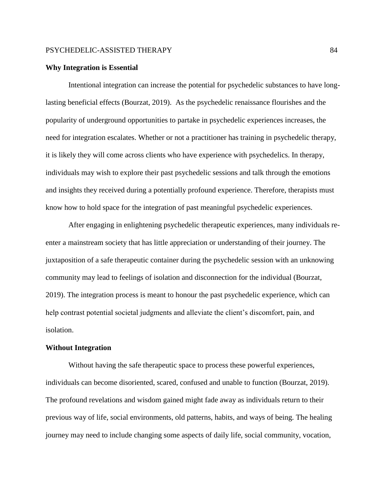#### **Why Integration is Essential**

Intentional integration can increase the potential for psychedelic substances to have longlasting beneficial effects (Bourzat, 2019). As the psychedelic renaissance flourishes and the popularity of underground opportunities to partake in psychedelic experiences increases, the need for integration escalates. Whether or not a practitioner has training in psychedelic therapy, it is likely they will come across clients who have experience with psychedelics. In therapy, individuals may wish to explore their past psychedelic sessions and talk through the emotions and insights they received during a potentially profound experience. Therefore, therapists must know how to hold space for the integration of past meaningful psychedelic experiences.

After engaging in enlightening psychedelic therapeutic experiences, many individuals reenter a mainstream society that has little appreciation or understanding of their journey. The juxtaposition of a safe therapeutic container during the psychedelic session with an unknowing community may lead to feelings of isolation and disconnection for the individual (Bourzat, 2019). The integration process is meant to honour the past psychedelic experience, which can help contrast potential societal judgments and alleviate the client's discomfort, pain, and isolation.

#### **Without Integration**

Without having the safe therapeutic space to process these powerful experiences, individuals can become disoriented, scared, confused and unable to function (Bourzat, 2019). The profound revelations and wisdom gained might fade away as individuals return to their previous way of life, social environments, old patterns, habits, and ways of being. The healing journey may need to include changing some aspects of daily life, social community, vocation,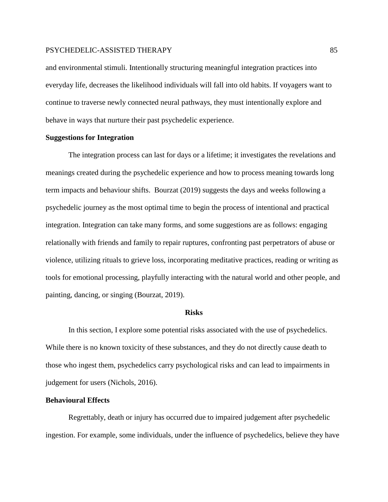and environmental stimuli. Intentionally structuring meaningful integration practices into everyday life, decreases the likelihood individuals will fall into old habits. If voyagers want to continue to traverse newly connected neural pathways, they must intentionally explore and behave in ways that nurture their past psychedelic experience.

# **Suggestions for Integration**

The integration process can last for days or a lifetime; it investigates the revelations and meanings created during the psychedelic experience and how to process meaning towards long term impacts and behaviour shifts. Bourzat (2019) suggests the days and weeks following a psychedelic journey as the most optimal time to begin the process of intentional and practical integration. Integration can take many forms, and some suggestions are as follows: engaging relationally with friends and family to repair ruptures, confronting past perpetrators of abuse or violence, utilizing rituals to grieve loss, incorporating meditative practices, reading or writing as tools for emotional processing, playfully interacting with the natural world and other people, and painting, dancing, or singing (Bourzat, 2019).

#### **Risks**

In this section, I explore some potential risks associated with the use of psychedelics. While there is no known toxicity of these substances, and they do not directly cause death to those who ingest them, psychedelics carry psychological risks and can lead to impairments in judgement for users (Nichols, 2016).

# **Behavioural Effects**

Regrettably, death or injury has occurred due to impaired judgement after psychedelic ingestion. For example, some individuals, under the influence of psychedelics, believe they have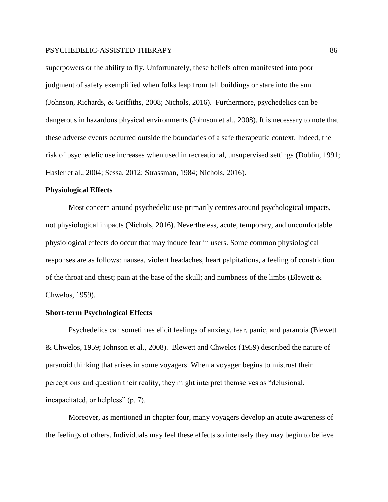superpowers or the ability to fly. Unfortunately, these beliefs often manifested into poor judgment of safety exemplified when folks leap from tall buildings or stare into the sun (Johnson, Richards, & Griffiths, 2008; Nichols, 2016). Furthermore, psychedelics can be dangerous in hazardous physical environments (Johnson et al., 2008). It is necessary to note that these adverse events occurred outside the boundaries of a safe therapeutic context. Indeed, the risk of psychedelic use increases when used in recreational, unsupervised settings (Doblin, 1991; Hasler et al., 2004; Sessa, 2012; Strassman, 1984; Nichols, 2016).

## **Physiological Effects**

Most concern around psychedelic use primarily centres around psychological impacts, not physiological impacts (Nichols, 2016). Nevertheless, acute, temporary, and uncomfortable physiological effects do occur that may induce fear in users. Some common physiological responses are as follows: nausea, violent headaches, heart palpitations, a feeling of constriction of the throat and chest; pain at the base of the skull; and numbness of the limbs (Blewett  $\&$ Chwelos, 1959).

# **Short-term Psychological Effects**

Psychedelics can sometimes elicit feelings of anxiety, fear, panic, and paranoia (Blewett & Chwelos, 1959; Johnson et al., 2008). Blewett and Chwelos (1959) described the nature of paranoid thinking that arises in some voyagers. When a voyager begins to mistrust their perceptions and question their reality, they might interpret themselves as "delusional, incapacitated, or helpless" (p. 7).

Moreover, as mentioned in chapter four, many voyagers develop an acute awareness of the feelings of others. Individuals may feel these effects so intensely they may begin to believe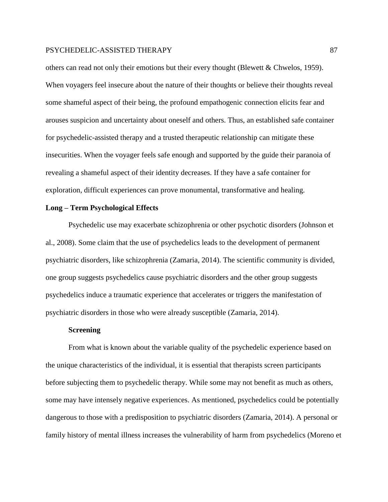others can read not only their emotions but their every thought (Blewett & Chwelos, 1959). When voyagers feel insecure about the nature of their thoughts or believe their thoughts reveal some shameful aspect of their being, the profound empathogenic connection elicits fear and arouses suspicion and uncertainty about oneself and others. Thus, an established safe container for psychedelic-assisted therapy and a trusted therapeutic relationship can mitigate these insecurities. When the voyager feels safe enough and supported by the guide their paranoia of revealing a shameful aspect of their identity decreases. If they have a safe container for exploration, difficult experiences can prove monumental, transformative and healing.

# **Long – Term Psychological Effects**

Psychedelic use may exacerbate schizophrenia or other psychotic disorders (Johnson et al., 2008). Some claim that the use of psychedelics leads to the development of permanent psychiatric disorders, like schizophrenia (Zamaria, 2014). The scientific community is divided, one group suggests psychedelics cause psychiatric disorders and the other group suggests psychedelics induce a traumatic experience that accelerates or triggers the manifestation of psychiatric disorders in those who were already susceptible (Zamaria, 2014).

### **Screening**

From what is known about the variable quality of the psychedelic experience based on the unique characteristics of the individual, it is essential that therapists screen participants before subjecting them to psychedelic therapy. While some may not benefit as much as others, some may have intensely negative experiences. As mentioned, psychedelics could be potentially dangerous to those with a predisposition to psychiatric disorders (Zamaria, 2014). A personal or family history of mental illness increases the vulnerability of harm from psychedelics (Moreno et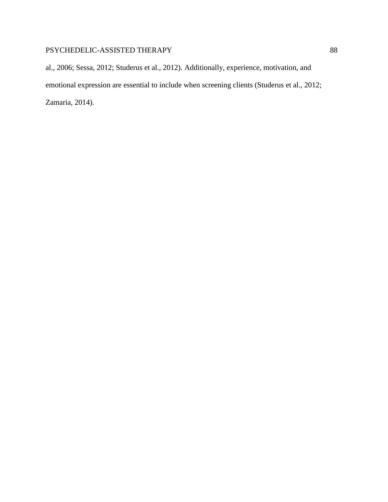al., 2006; Sessa, 2012; Studerus et al., 2012). Additionally, experience, motivation, and emotional expression are essential to include when screening clients (Studerus et al., 2012; Zamaria, 2014).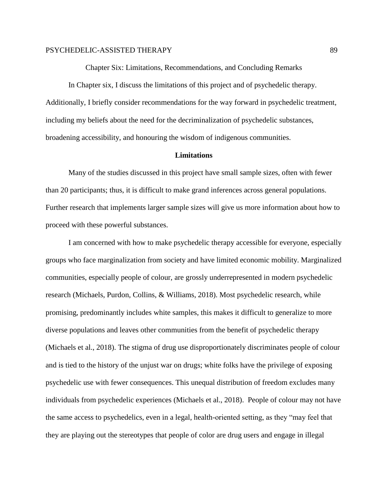Chapter Six: Limitations, Recommendations, and Concluding Remarks

In Chapter six, I discuss the limitations of this project and of psychedelic therapy. Additionally, I briefly consider recommendations for the way forward in psychedelic treatment, including my beliefs about the need for the decriminalization of psychedelic substances, broadening accessibility, and honouring the wisdom of indigenous communities.

# **Limitations**

Many of the studies discussed in this project have small sample sizes, often with fewer than 20 participants; thus, it is difficult to make grand inferences across general populations. Further research that implements larger sample sizes will give us more information about how to proceed with these powerful substances.

I am concerned with how to make psychedelic therapy accessible for everyone, especially groups who face marginalization from society and have limited economic mobility. Marginalized communities, especially people of colour, are grossly underrepresented in modern psychedelic research (Michaels, Purdon, Collins, & Williams, 2018). Most psychedelic research, while promising, predominantly includes white samples, this makes it difficult to generalize to more diverse populations and leaves other communities from the benefit of psychedelic therapy (Michaels et al., 2018). The stigma of drug use disproportionately discriminates people of colour and is tied to the history of the unjust war on drugs; white folks have the privilege of exposing psychedelic use with fewer consequences. This unequal distribution of freedom excludes many individuals from psychedelic experiences (Michaels et al., 2018). People of colour may not have the same access to psychedelics, even in a legal, health-oriented setting, as they "may feel that they are playing out the stereotypes that people of color are drug users and engage in illegal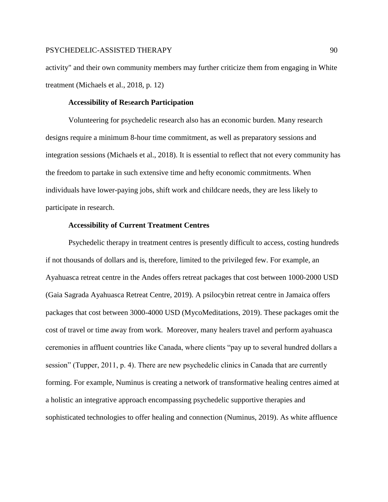activity" and their own community members may further criticize them from engaging in White treatment (Michaels et al., 2018, p. 12)

# **Accessibility of Re**s**earch Participation**

Volunteering for psychedelic research also has an economic burden. Many research designs require a minimum 8-hour time commitment, as well as preparatory sessions and integration sessions (Michaels et al., 2018). It is essential to reflect that not every community has the freedom to partake in such extensive time and hefty economic commitments. When individuals have lower-paying jobs, shift work and childcare needs, they are less likely to participate in research.

# **Accessibility of Current Treatment Centres**

Psychedelic therapy in treatment centres is presently difficult to access, costing hundreds if not thousands of dollars and is, therefore, limited to the privileged few. For example, an Ayahuasca retreat centre in the Andes offers retreat packages that cost between 1000-2000 USD (Gaia Sagrada Ayahuasca Retreat Centre, 2019). A psilocybin retreat centre in Jamaica offers packages that cost between 3000-4000 USD (MycoMeditations, 2019). These packages omit the cost of travel or time away from work. Moreover, many healers travel and perform ayahuasca ceremonies in affluent countries like Canada, where clients "pay up to several hundred dollars a session" (Tupper, 2011, p. 4). There are new psychedelic clinics in Canada that are currently forming. For example, Numinus is creating a network of transformative healing centres aimed at a holistic an integrative approach encompassing psychedelic supportive therapies and sophisticated technologies to offer healing and connection (Numinus, 2019). As white affluence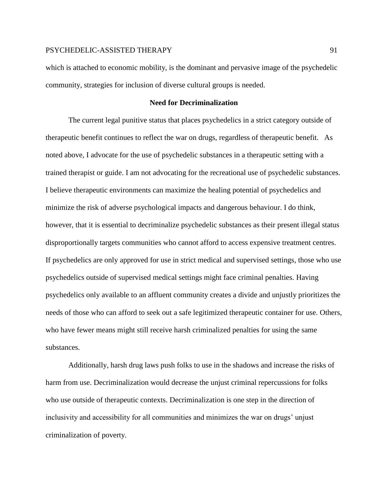which is attached to economic mobility, is the dominant and pervasive image of the psychedelic community, strategies for inclusion of diverse cultural groups is needed.

# **Need for Decriminalization**

The current legal punitive status that places psychedelics in a strict category outside of therapeutic benefit continues to reflect the war on drugs, regardless of therapeutic benefit. As noted above, I advocate for the use of psychedelic substances in a therapeutic setting with a trained therapist or guide. I am not advocating for the recreational use of psychedelic substances. I believe therapeutic environments can maximize the healing potential of psychedelics and minimize the risk of adverse psychological impacts and dangerous behaviour. I do think, however, that it is essential to decriminalize psychedelic substances as their present illegal status disproportionally targets communities who cannot afford to access expensive treatment centres. If psychedelics are only approved for use in strict medical and supervised settings, those who use psychedelics outside of supervised medical settings might face criminal penalties. Having psychedelics only available to an affluent community creates a divide and unjustly prioritizes the needs of those who can afford to seek out a safe legitimized therapeutic container for use. Others, who have fewer means might still receive harsh criminalized penalties for using the same substances.

Additionally, harsh drug laws push folks to use in the shadows and increase the risks of harm from use. Decriminalization would decrease the unjust criminal repercussions for folks who use outside of therapeutic contexts. Decriminalization is one step in the direction of inclusivity and accessibility for all communities and minimizes the war on drugs' unjust criminalization of poverty.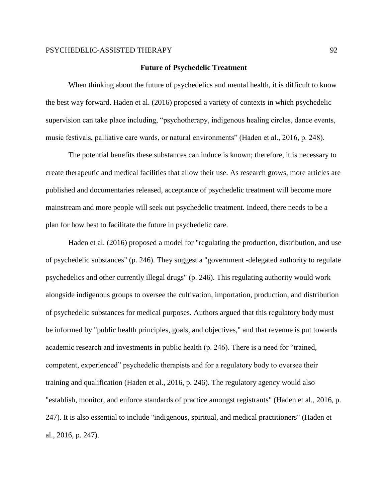#### **Future of Psychedelic Treatment**

When thinking about the future of psychedelics and mental health, it is difficult to know the best way forward. Haden et al. (2016) proposed a variety of contexts in which psychedelic supervision can take place including, "psychotherapy, indigenous healing circles, dance events, music festivals, palliative care wards, or natural environments" (Haden et al., 2016, p. 248).

The potential benefits these substances can induce is known; therefore, it is necessary to create therapeutic and medical facilities that allow their use. As research grows, more articles are published and documentaries released, acceptance of psychedelic treatment will become more mainstream and more people will seek out psychedelic treatment. Indeed, there needs to be a plan for how best to facilitate the future in psychedelic care.

Haden et al. (2016) proposed a model for "regulating the production, distribution, and use of psychedelic substances" (p. 246). They suggest a "government -delegated authority to regulate psychedelics and other currently illegal drugs" (p. 246). This regulating authority would work alongside indigenous groups to oversee the cultivation, importation, production, and distribution of psychedelic substances for medical purposes. Authors argued that this regulatory body must be informed by "public health principles, goals, and objectives," and that revenue is put towards academic research and investments in public health (p. 246). There is a need for "trained, competent, experienced" psychedelic therapists and for a regulatory body to oversee their training and qualification (Haden et al., 2016, p. 246). The regulatory agency would also "establish, monitor, and enforce standards of practice amongst registrants" (Haden et al., 2016, p. 247). It is also essential to include "indigenous, spiritual, and medical practitioners" (Haden et al., 2016, p. 247).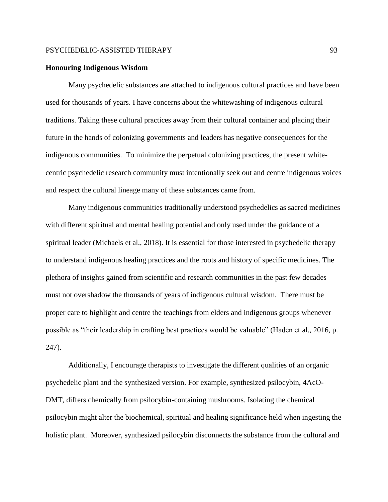## **Honouring Indigenous Wisdom**

Many psychedelic substances are attached to indigenous cultural practices and have been used for thousands of years. I have concerns about the whitewashing of indigenous cultural traditions. Taking these cultural practices away from their cultural container and placing their future in the hands of colonizing governments and leaders has negative consequences for the indigenous communities. To minimize the perpetual colonizing practices, the present whitecentric psychedelic research community must intentionally seek out and centre indigenous voices and respect the cultural lineage many of these substances came from.

Many indigenous communities traditionally understood psychedelics as sacred medicines with different spiritual and mental healing potential and only used under the guidance of a spiritual leader (Michaels et al., 2018). It is essential for those interested in psychedelic therapy to understand indigenous healing practices and the roots and history of specific medicines. The plethora of insights gained from scientific and research communities in the past few decades must not overshadow the thousands of years of indigenous cultural wisdom. There must be proper care to highlight and centre the teachings from elders and indigenous groups whenever possible as "their leadership in crafting best practices would be valuable" (Haden et al., 2016, p. 247).

Additionally, I encourage therapists to investigate the different qualities of an organic psychedelic plant and the synthesized version. For example, synthesized psilocybin, 4AcO-DMT, differs chemically from psilocybin-containing mushrooms. Isolating the chemical psilocybin might alter the biochemical, spiritual and healing significance held when ingesting the holistic plant. Moreover, synthesized psilocybin disconnects the substance from the cultural and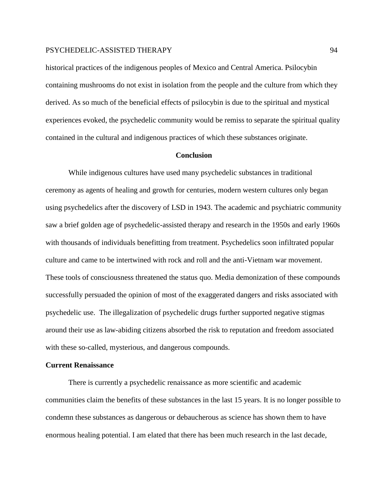historical practices of the indigenous peoples of Mexico and Central America. Psilocybin containing mushrooms do not exist in isolation from the people and the culture from which they derived. As so much of the beneficial effects of psilocybin is due to the spiritual and mystical experiences evoked, the psychedelic community would be remiss to separate the spiritual quality contained in the cultural and indigenous practices of which these substances originate.

#### **Conclusion**

While indigenous cultures have used many psychedelic substances in traditional ceremony as agents of healing and growth for centuries, modern western cultures only began using psychedelics after the discovery of LSD in 1943. The academic and psychiatric community saw a brief golden age of psychedelic-assisted therapy and research in the 1950s and early 1960s with thousands of individuals benefitting from treatment. Psychedelics soon infiltrated popular culture and came to be intertwined with rock and roll and the anti-Vietnam war movement. These tools of consciousness threatened the status quo. Media demonization of these compounds successfully persuaded the opinion of most of the exaggerated dangers and risks associated with psychedelic use. The illegalization of psychedelic drugs further supported negative stigmas around their use as law-abiding citizens absorbed the risk to reputation and freedom associated with these so-called, mysterious, and dangerous compounds.

#### **Current Renaissance**

There is currently a psychedelic renaissance as more scientific and academic communities claim the benefits of these substances in the last 15 years. It is no longer possible to condemn these substances as dangerous or debaucherous as science has shown them to have enormous healing potential. I am elated that there has been much research in the last decade,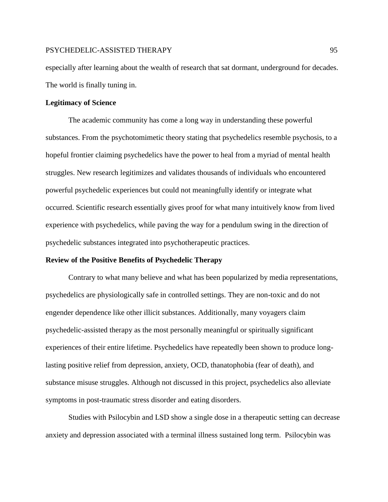especially after learning about the wealth of research that sat dormant, underground for decades. The world is finally tuning in.

## **Legitimacy of Science**

The academic community has come a long way in understanding these powerful substances. From the psychotomimetic theory stating that psychedelics resemble psychosis, to a hopeful frontier claiming psychedelics have the power to heal from a myriad of mental health struggles. New research legitimizes and validates thousands of individuals who encountered powerful psychedelic experiences but could not meaningfully identify or integrate what occurred. Scientific research essentially gives proof for what many intuitively know from lived experience with psychedelics, while paving the way for a pendulum swing in the direction of psychedelic substances integrated into psychotherapeutic practices.

## **Review of the Positive Benefits of Psychedelic Therapy**

Contrary to what many believe and what has been popularized by media representations, psychedelics are physiologically safe in controlled settings. They are non-toxic and do not engender dependence like other illicit substances. Additionally, many voyagers claim psychedelic-assisted therapy as the most personally meaningful or spiritually significant experiences of their entire lifetime. Psychedelics have repeatedly been shown to produce longlasting positive relief from depression, anxiety, OCD, thanatophobia (fear of death), and substance misuse struggles. Although not discussed in this project, psychedelics also alleviate symptoms in post-traumatic stress disorder and eating disorders.

Studies with Psilocybin and LSD show a single dose in a therapeutic setting can decrease anxiety and depression associated with a terminal illness sustained long term. Psilocybin was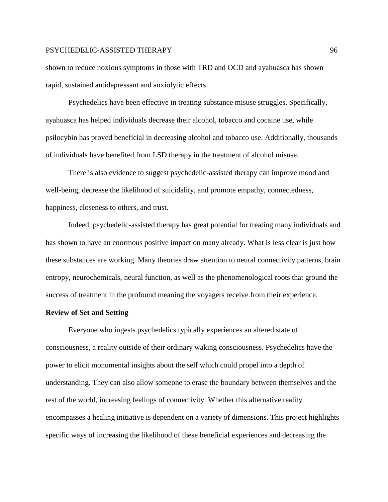shown to reduce noxious symptoms in those with TRD and OCD and ayahuasca has shown rapid, sustained antidepressant and anxiolytic effects.

Psychedelics have been effective in treating substance misuse struggles. Specifically, ayahuasca has helped individuals decrease their alcohol, tobacco and cocaine use, while psilocybin has proved beneficial in decreasing alcohol and tobacco use. Additionally, thousands of individuals have benefited from LSD therapy in the treatment of alcohol misuse.

There is also evidence to suggest psychedelic-assisted therapy can improve mood and well-being, decrease the likelihood of suicidality, and promote empathy, connectedness, happiness, closeness to others, and trust.

Indeed, psychedelic-assisted therapy has great potential for treating many individuals and has shown to have an enormous positive impact on many already. What is less clear is just how these substances are working. Many theories draw attention to neural connectivity patterns, brain entropy, neurochemicals, neural function, as well as the phenomenological roots that ground the success of treatment in the profound meaning the voyagers receive from their experience.

# **Review of Set and Setting**

Everyone who ingests psychedelics typically experiences an altered state of consciousness, a reality outside of their ordinary waking consciousness. Psychedelics have the power to elicit monumental insights about the self which could propel into a depth of understanding. They can also allow someone to erase the boundary between themselves and the rest of the world, increasing feelings of connectivity. Whether this alternative reality encompasses a healing initiative is dependent on a variety of dimensions. This project highlights specific ways of increasing the likelihood of these beneficial experiences and decreasing the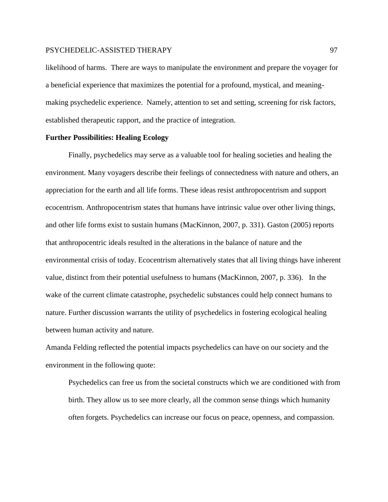likelihood of harms. There are ways to manipulate the environment and prepare the voyager for a beneficial experience that maximizes the potential for a profound, mystical, and meaningmaking psychedelic experience. Namely, attention to set and setting, screening for risk factors, established therapeutic rapport, and the practice of integration.

# **Further Possibilities: Healing Ecology**

Finally, psychedelics may serve as a valuable tool for healing societies and healing the environment. Many voyagers describe their feelings of connectedness with nature and others, an appreciation for the earth and all life forms. These ideas resist anthropocentrism and support ecocentrism. Anthropocentrism states that humans have intrinsic value over other living things, and other life forms exist to sustain humans (MacKinnon, 2007, p. 331). Gaston (2005) reports that anthropocentric ideals resulted in the alterations in the balance of nature and the environmental crisis of today. Ecocentrism alternatively states that all living things have inherent value, distinct from their potential usefulness to humans (MacKinnon, 2007, p. 336). In the wake of the current climate catastrophe, psychedelic substances could help connect humans to nature. Further discussion warrants the utility of psychedelics in fostering ecological healing between human activity and nature.

Amanda Felding reflected the potential impacts psychedelics can have on our society and the environment in the following quote:

Psychedelics can free us from the societal constructs which we are conditioned with from birth. They allow us to see more clearly, all the common sense things which humanity often forgets. Psychedelics can increase our focus on peace, openness, and compassion.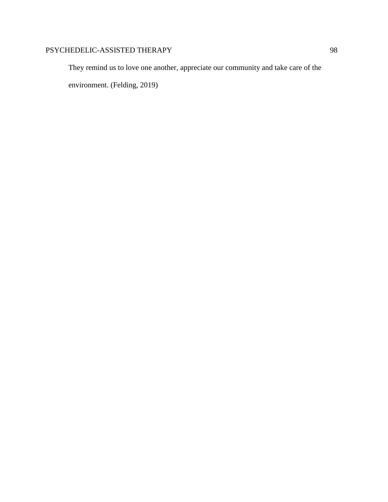They remind us to love one another, appreciate our community and take care of the environment. (Felding, 2019)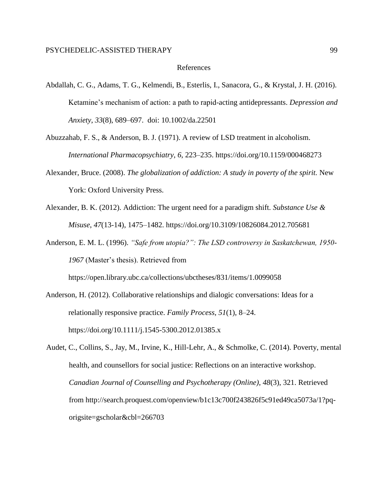#### References

- Abdallah, C. G., Adams, T. G., Kelmendi, B., Esterlis, I., Sanacora, G., & Krystal, J. H. (2016). Ketamine's mechanism of action: a path to rapid-acting antidepressants. *Depression and Anxiety*[,](http://paperpile.com/b/152Nts/dWp0) *[33](http://paperpile.com/b/152Nts/dWp0)*(8), 689–697. doi: 10.1002/da.22501
- Abuzzahab, F. S., & Anderson, B. J. (1971). A review of LSD treatment in alcoholism. *International Pharmacopsychiatry*, *6*, 223–235. https://doi.org/10.1159/000468273
- Alexander, Bruce. (2008). *The globalization of addiction: A study in poverty of the spirit.* New York: Oxford University Press.
- Alexander, B. K. (2012). Addiction: The urgent need for a paradigm shift. *Substance Use & Misuse*, *47*(13-14), 1475–1482. https://doi.org/10.3109/10826084.2012.705681
- Anderson, E. M. L. (1996). *"Safe from utopia?": The LSD controversy in Saskatchewan, 1950- 1967* (Master's thesis). Retrieved from

https://open.library.ubc.ca/collections/ubctheses/831/items/1.0099058

- Anderson, H. (2012). Collaborative relationships and dialogic conversations: Ideas for a relationally responsive practice. *Family Process*, *51*(1), 8–24. https://doi.org/10.1111/j.1545-5300.2012.01385.x
- Audet, C., Collins, S., Jay, M., Irvine, K., Hill-Lehr, A., & Schmolke, C. (2014). Poverty, mental health, and counsellors for social justice: Reflections on an interactive workshop. *Canadian Journal of Counselling and Psychotherapy (Online)*, *48*(3), 321. Retrieved from http://search.proquest.com/openview/b1c13c700f243826f5c91ed49ca5073a/1?pqorigsite=gscholar&cbl=266703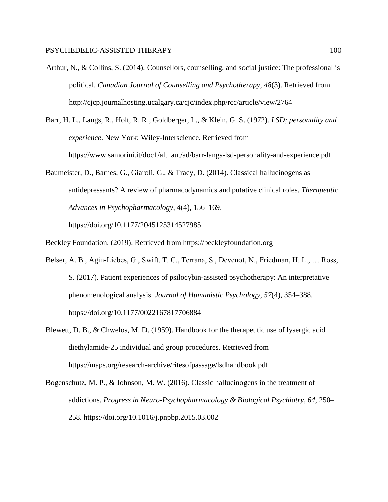- Arthur, N., & Collins, S. (2014). Counsellors, counselling, and social justice: The professional is political. *Canadian Journal of Counselling and Psychotherapy*, *48*(3). Retrieved from http://cjcp.journalhosting.ucalgary.ca/cjc/index.php/rcc/article/view/2764
- Barr, H. L., Langs, R., Holt, R. R., Goldberger, L., & Klein, G. S. (1972). *LSD; personality and experience*. New York: Wiley-Interscience. Retrieved from https://www.samorini.it/doc1/alt\_aut/ad/barr-langs-lsd-personality-and-experience.pdf
- Baumeister, D., Barnes, G., Giaroli, G., & Tracy, D. (2014). Classical hallucinogens as antidepressants? A review of pharmacodynamics and putative clinical roles. *Therapeutic Advances in Psychopharmacology*, *4*(4), 156–169. https://doi.org/10.1177/2045125314527985
- Beckley Foundation. (2019). Retrieved from https://beckleyfoundation.org
- Belser, A. B., Agin-Liebes, G., Swift, T. C., Terrana, S., Devenot, N., Friedman, H. L., … Ross, S. (2017). Patient experiences of psilocybin-assisted psychotherapy: An interpretative phenomenological analysis. *Journal of Humanistic Psychology*, *57*(4), 354–388. https://doi.org/10.1177/0022167817706884
- Blewett, D. B., & Chwelos, M. D. (1959). Handbook for the therapeutic use of lysergic acid diethylamide-25 individual and group procedures. Retrieved from https://maps.org/research-archive/ritesofpassage/lsdhandbook.pdf
- Bogenschutz, M. P., & Johnson, M. W. (2016). Classic hallucinogens in the treatment of addictions. *Progress in Neuro-Psychopharmacology & Biological Psychiatry*, *64*, 250– 258. https://doi.org/10.1016/j.pnpbp.2015.03.002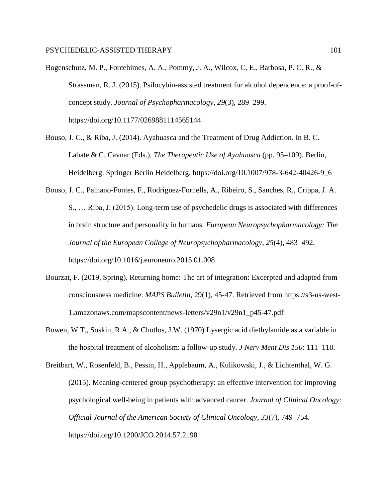Bogenschutz, M. P., Forcehimes, A. A., Pommy, J. A., Wilcox, C. E., Barbosa, P. C. R., & Strassman, R. J. (2015). Psilocybin-assisted treatment for alcohol dependence: a proof-ofconcept study. *Journal of Psychopharmacology*, *29*(3), 289–299. https://doi.org/10.1177/0269881114565144

Bouso, J. C., & Riba, J. (2014). Ayahuasca and the Treatment of Drug Addiction. In B. C. Labate & C. Cavnar (Eds.), *The Therapeutic Use of Ayahuasca* (pp. 95–109). Berlin, Heidelberg: Springer Berlin Heidelberg. https://doi.org/10.1007/978-3-642-40426-9\_6

- Bouso, J. C., Palhano-Fontes, F., Rodríguez-Fornells, A., Ribeiro, S., Sanches, R., Crippa, J. A. S., … Riba, J. (2015). Long-term use of psychedelic drugs is associated with differences in brain structure and personality in humans. *European Neuropsychopharmacology: The Journal of the European College of Neuropsychopharmacology*, *25*(4), 483–492. https://doi.org/10.1016/j.euroneuro.2015.01.008
- Bourzat, F. (2019, Spring). Returning home: The art of integration: Excerpted and adapted from consciousness medicine. *MAPS Bulletin*, 29(1), 45-47. Retrieved from https://s3-us-west-1.amazonaws.com/mapscontent/news-letters/v29n1/v29n1\_p45-47.pdf
- Bowen, W.T., Soskin, R.A., & Chotlos, J.W. (1970) Lysergic acid diethylamide as a variable in the hospital treatment of alcoholism: a follow-up study. *J Nerv Ment Dis 150*: 111–118.

Breitbart, W., Rosenfeld, B., Pessin, H., Applebaum, A., Kulikowski, J., & Lichtenthal, W. G. (2015). Meaning-centered group psychotherapy: an effective intervention for improving psychological well-being in patients with advanced cancer. *Journal of Clinical Oncology: Official Journal of the American Society of Clinical Oncology*, *33*(7), 749–754. https://doi.org/10.1200/JCO.2014.57.2198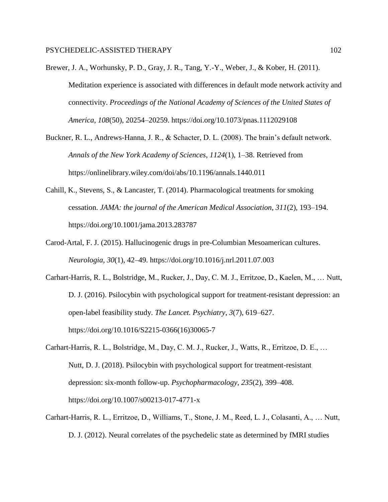- Brewer, J. A., Worhunsky, P. D., Gray, J. R., Tang, Y.-Y., Weber, J., & Kober, H. (2011). Meditation experience is associated with differences in default mode network activity and connectivity. *Proceedings of the National Academy of Sciences of the United States of America*, *108*(50), 20254–20259. https://doi.org/10.1073/pnas.1112029108
- Buckner, R. L., Andrews-Hanna, J. R., & Schacter, D. L. (2008). The brain's default network. *Annals of the New York Academy of Sciences*, *1124*(1), 1–38. Retrieved from https://onlinelibrary.wiley.com/doi/abs/10.1196/annals.1440.011
- Cahill, K., Stevens, S., & Lancaster, T. (2014). Pharmacological treatments for smoking cessation. *JAMA: the journal of the American Medical Association*, *311*(2), 193–194. https://doi.org/10.1001/jama.2013.283787
- Carod-Artal, F. J. (2015). Hallucinogenic drugs in pre-Columbian Mesoamerican cultures. *Neurologia*, *30*(1), 42–49. https://doi.org/10.1016/j.nrl.2011.07.003
- Carhart-Harris, R. L., Bolstridge, M., Rucker, J., Day, C. M. J., Erritzoe, D., Kaelen, M., … Nutt, D. J. (2016). Psilocybin with psychological support for treatment-resistant depression: an open-label feasibility study. *The Lancet. Psychiatry*, *3*(7), 619–627. https://doi.org/10.1016/S2215-0366(16)30065-7
- Carhart-Harris, R. L., Bolstridge, M., Day, C. M. J., Rucker, J., Watts, R., Erritzoe, D. E., … Nutt, D. J. (2018). Psilocybin with psychological support for treatment-resistant depression: six-month follow-up. *Psychopharmacology*, *235*(2), 399–408. https://doi.org/10.1007/s00213-017-4771-x
- Carhart-Harris, R. L., Erritzoe, D., Williams, T., Stone, J. M., Reed, L. J., Colasanti, A., … Nutt, D. J. (2012). Neural correlates of the psychedelic state as determined by fMRI studies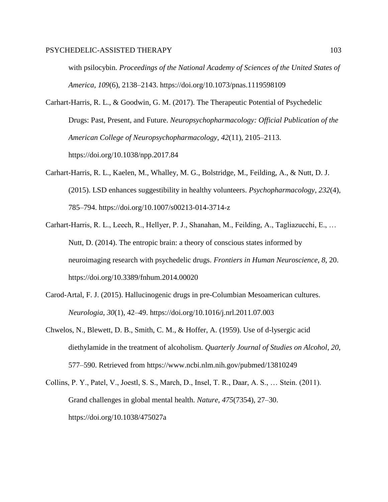with psilocybin. *Proceedings of the National Academy of Sciences of the United States of America*, *109*(6), 2138–2143. https://doi.org/10.1073/pnas.1119598109

- Carhart-Harris, R. L., & Goodwin, G. M. (2017). The Therapeutic Potential of Psychedelic Drugs: Past, Present, and Future. *Neuropsychopharmacology: Official Publication of the American College of Neuropsychopharmacology*, *42*(11), 2105–2113. https://doi.org/10.1038/npp.2017.84
- Carhart-Harris, R. L., Kaelen, M., Whalley, M. G., Bolstridge, M., Feilding, A., & Nutt, D. J. (2015). LSD enhances suggestibility in healthy volunteers. *Psychopharmacology*, *232*(4), 785–794. https://doi.org/10.1007/s00213-014-3714-z
- Carhart-Harris, R. L., Leech, R., Hellyer, P. J., Shanahan, M., Feilding, A., Tagliazucchi, E., … Nutt, D. (2014). The entropic brain: a theory of conscious states informed by neuroimaging research with psychedelic drugs. *Frontiers in Human Neuroscience*, *8*, 20. https://doi.org/10.3389/fnhum.2014.00020
- Carod-Artal, F. J. (2015). Hallucinogenic drugs in pre-Columbian Mesoamerican cultures. *Neurologia*, *30*(1), 42–49. https://doi.org/10.1016/j.nrl.2011.07.003
- Chwelos, N., Blewett, D. B., Smith, C. M., & Hoffer, A. (1959). Use of d-lysergic acid diethylamide in the treatment of alcoholism. *Quarterly Journal of Studies on Alcohol*, *20*, 577–590. Retrieved from https://www.ncbi.nlm.nih.gov/pubmed/13810249
- Collins, P. Y., Patel, V., Joestl, S. S., March, D., Insel, T. R., Daar, A. S., … Stein. (2011). Grand challenges in global mental health. *Nature*, *475*(7354), 27–30. https://doi.org/10.1038/475027a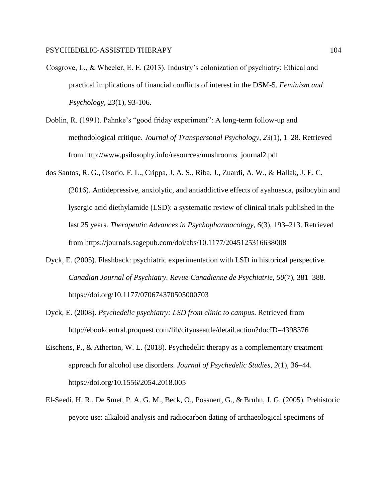- Cosgrove, L., & Wheeler, E. E. (2013). Industry's colonization of psychiatry: Ethical and practical implications of financial conflicts of interest in the DSM-5. *Feminism and Psychology, 23*(1), 93-106.
- Doblin, R. (1991). Pahnke's "good friday experiment": A long-term follow-up and methodological critique. *Journal of Transpersonal Psychology*, *23*(1), 1–28. Retrieved from http://www.psilosophy.info/resources/mushrooms\_journal2.pdf
- dos Santos, R. G., Osorio, F. L., Crippa, J. A. S., Riba, J., Zuardi, A. W., & Hallak, J. E. C. (2016). Antidepressive, anxiolytic, and antiaddictive effects of ayahuasca, psilocybin and lysergic acid diethylamide (LSD): a systematic review of clinical trials published in the last 25 years. *Therapeutic Advances in Psychopharmacology*, *6*(3), 193–213. Retrieved from https://journals.sagepub.com/doi/abs/10.1177/2045125316638008
- Dyck, E. (2005). Flashback: psychiatric experimentation with LSD in historical perspective. *Canadian Journal of Psychiatry. Revue Canadienne de Psychiatrie*, *50*(7), 381–388. https://doi.org/10.1177/070674370505000703
- Dyck, E. (2008). *Psychedelic psychiatry: LSD from clinic to campus*. Retrieved from http://ebookcentral.proquest.com/lib/cityuseattle/detail.action?docID=4398376
- Eischens, P., & Atherton, W. L. (2018). Psychedelic therapy as a complementary treatment approach for alcohol use disorders. *Journal of Psychedelic Studies*, *2*(1), 36–44. https://doi.org/10.1556/2054.2018.005
- El-Seedi, H. R., De Smet, P. A. G. M., Beck, O., Possnert, G., & Bruhn, J. G. (2005). Prehistoric peyote use: alkaloid analysis and radiocarbon dating of archaeological specimens of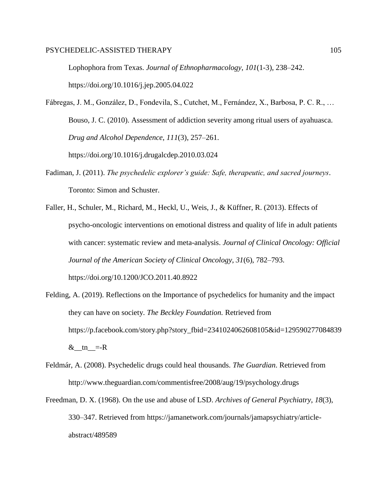Lophophora from Texas. *Journal of Ethnopharmacology*, *101*(1-3), 238–242. https://doi.org/10.1016/j.jep.2005.04.022

Fábregas, J. M., González, D., Fondevila, S., Cutchet, M., Fernández, X., Barbosa, P. C. R., … Bouso, J. C. (2010). Assessment of addiction severity among ritual users of ayahuasca. *Drug and Alcohol Dependence*, *111*(3), 257–261. https://doi.org/10.1016/j.drugalcdep.2010.03.024

- Fadiman, J. (2011). *The psychedelic explorer's guide: Safe, therapeutic, and sacred journeys*. Toronto: Simon and Schuster.
- Faller, H., Schuler, M., Richard, M., Heckl, U., Weis, J., & Küffner, R. (2013). Effects of psycho-oncologic interventions on emotional distress and quality of life in adult patients with cancer: systematic review and meta-analysis. *Journal of Clinical Oncology: Official Journal of the American Society of Clinical Oncology*, *31*(6), 782–793. https://doi.org/10.1200/JCO.2011.40.8922
- Felding, A. (2019). Reflections on the Importance of psychedelics for humanity and the impact they can have on society. *The Beckley Foundation.* Retrieved from https://p.facebook.com/story.php?story\_fbid=2341024062608105&id=129590277084839 & tn =-R
- Feldmár, A. (2008). Psychedelic drugs could heal thousands. *The Guardian*. Retrieved from http://www.theguardian.com/commentisfree/2008/aug/19/psychology.drugs
- Freedman, D. X. (1968). On the use and abuse of LSD. *Archives of General Psychiatry*, *18*(3), 330–347. Retrieved from https://jamanetwork.com/journals/jamapsychiatry/articleabstract/489589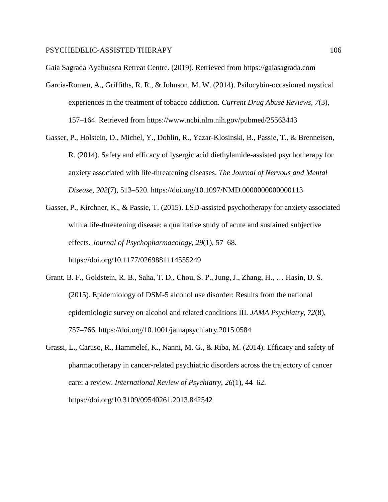Gaia Sagrada Ayahuasca Retreat Centre. (2019). Retrieved from https://gaiasagrada.com

- Garcia-Romeu, A., Griffiths, R. R., & Johnson, M. W. (2014). Psilocybin-occasioned mystical experiences in the treatment of tobacco addiction. *Current Drug Abuse Reviews*, *7*(3), 157–164. Retrieved from https://www.ncbi.nlm.nih.gov/pubmed/25563443
- Gasser, P., Holstein, D., Michel, Y., Doblin, R., Yazar-Klosinski, B., Passie, T., & Brenneisen, R. (2014). Safety and efficacy of lysergic acid diethylamide-assisted psychotherapy for anxiety associated with life-threatening diseases. *The Journal of Nervous and Mental Disease*, *202*(7), 513–520. https://doi.org/10.1097/NMD.0000000000000113
- Gasser, P., Kirchner, K., & Passie, T. (2015). LSD-assisted psychotherapy for anxiety associated with a life-threatening disease: a qualitative study of acute and sustained subjective effects. *Journal of Psychopharmacology*, *29*(1), 57–68. https://doi.org/10.1177/0269881114555249
- Grant, B. F., Goldstein, R. B., Saha, T. D., Chou, S. P., Jung, J., Zhang, H., … Hasin, D. S. (2015). Epidemiology of DSM-5 alcohol use disorder: Results from the national epidemiologic survey on alcohol and related conditions III. *JAMA Psychiatry*, *72*(8), 757–766. https://doi.org/10.1001/jamapsychiatry.2015.0584
- Grassi, L., Caruso, R., Hammelef, K., Nanni, M. G., & Riba, M. (2014). Efficacy and safety of pharmacotherapy in cancer-related psychiatric disorders across the trajectory of cancer care: a review. *International Review of Psychiatry*, *26*(1), 44–62. https://doi.org/10.3109/09540261.2013.842542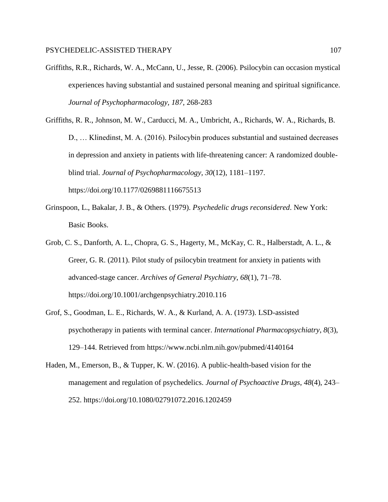- Griffiths, R.R., Richards, W. A., McCann, U., Jesse, R. (2006). Psilocybin can occasion mystical experiences having substantial and sustained personal meaning and spiritual significance. *Journal of Psychopharmacology, 187,* 268-283
- Griffiths, R. R., Johnson, M. W., Carducci, M. A., Umbricht, A., Richards, W. A., Richards, B. D., … Klinedinst, M. A. (2016). Psilocybin produces substantial and sustained decreases in depression and anxiety in patients with life-threatening cancer: A randomized doubleblind trial. *Journal of Psychopharmacology*, *30*(12), 1181–1197. https://doi.org/10.1177/0269881116675513
- Grinspoon, L., Bakalar, J. B., & Others. (1979). *Psychedelic drugs reconsidered*. New York: Basic Books.
- Grob, C. S., Danforth, A. L., Chopra, G. S., Hagerty, M., McKay, C. R., Halberstadt, A. L., & Greer, G. R. (2011). Pilot study of psilocybin treatment for anxiety in patients with advanced-stage cancer. *Archives of General Psychiatry*, *68*(1), 71–78. https://doi.org/10.1001/archgenpsychiatry.2010.116
- Grof, S., Goodman, L. E., Richards, W. A., & Kurland, A. A. (1973). LSD-assisted psychotherapy in patients with terminal cancer. *International Pharmacopsychiatry*, *8*(3), 129–144. Retrieved from https://www.ncbi.nlm.nih.gov/pubmed/4140164
- Haden, M., Emerson, B., & Tupper, K. W. (2016). A public-health-based vision for the management and regulation of psychedelics. *Journal of Psychoactive Drugs*, *48*(4), 243– 252. https://doi.org/10.1080/02791072.2016.1202459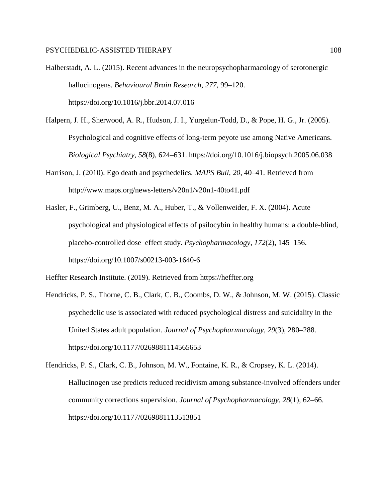- Halberstadt, A. L. (2015). Recent advances in the neuropsychopharmacology of serotonergic hallucinogens. *Behavioural Brain Research*, *277*, 99–120. https://doi.org/10.1016/j.bbr.2014.07.016
- Halpern, J. H., Sherwood, A. R., Hudson, J. I., Yurgelun-Todd, D., & Pope, H. G., Jr. (2005). Psychological and cognitive effects of long-term peyote use among Native Americans. *Biological Psychiatry*, *58*(8), 624–631. https://doi.org/10.1016/j.biopsych.2005.06.038
- Harrison, J. (2010). Ego death and psychedelics. *MAPS Bull*, *20*, 40–41. Retrieved from http://www.maps.org/news-letters/v20n1/v20n1-40to41.pdf
- Hasler, F., Grimberg, U., Benz, M. A., Huber, T., & Vollenweider, F. X. (2004). Acute psychological and physiological effects of psilocybin in healthy humans: a double-blind, placebo-controlled dose–effect study. *Psychopharmacology*, *172*(2), 145–156. https://doi.org/10.1007/s00213-003-1640-6

Heffter Research Institute. (2019). Retrieved from https://heffter.org

- Hendricks, P. S., Thorne, C. B., Clark, C. B., Coombs, D. W., & Johnson, M. W. (2015). Classic psychedelic use is associated with reduced psychological distress and suicidality in the United States adult population. *Journal of Psychopharmacology*, *29*(3), 280–288. https://doi.org/10.1177/0269881114565653
- Hendricks, P. S., Clark, C. B., Johnson, M. W., Fontaine, K. R., & Cropsey, K. L. (2014). Hallucinogen use predicts reduced recidivism among substance-involved offenders under community corrections supervision. *Journal of Psychopharmacology*, *28*(1), 62–66. https://doi.org/10.1177/0269881113513851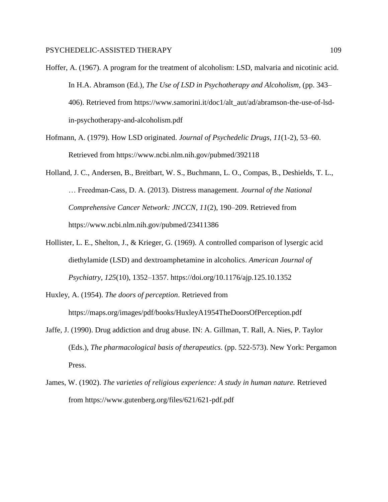- Hoffer, A. (1967). A program for the treatment of alcoholism: LSD, malvaria and nicotinic acid. In H.A. Abramson (Ed.), *The Use of LSD in Psychotherapy and Alcoholism*, (pp. 343– 406). Retrieved from https://www.samorini.it/doc1/alt\_aut/ad/abramson-the-use-of-lsdin-psychotherapy-and-alcoholism.pdf
- Hofmann, A. (1979). How LSD originated. *Journal of Psychedelic Drugs*, *11*(1-2), 53–60. Retrieved from https://www.ncbi.nlm.nih.gov/pubmed/392118
- Holland, J. C., Andersen, B., Breitbart, W. S., Buchmann, L. O., Compas, B., Deshields, T. L., … Freedman-Cass, D. A. (2013). Distress management. *Journal of the National Comprehensive Cancer Network: JNCCN*, *11*(2), 190–209. Retrieved from https://www.ncbi.nlm.nih.gov/pubmed/23411386
- Hollister, L. E., Shelton, J., & Krieger, G. (1969). A controlled comparison of lysergic acid diethylamide (LSD) and dextroamphetamine in alcoholics. *American Journal of Psychiatry*, *125*(10), 1352–1357. https://doi.org/10.1176/ajp.125.10.1352
- Huxley, A. (1954). *The doors of perception*. Retrieved from https://maps.org/images/pdf/books/HuxleyA1954TheDoorsOfPerception.pdf
- Jaffe, J. (1990). Drug addiction and drug abuse. IN: A. Gillman, T. Rall, A. Nies, P. Taylor (Eds.), *The pharmacological basis of therapeutics*. (pp. 522-573). New York: Pergamon Press.
- James, W. (1902). *The varieties of religious experience: A study in human nature.* Retrieved from https://www.gutenberg.org/files/621/621-pdf.pdf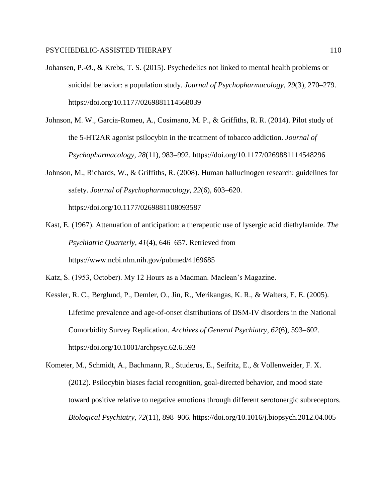- Johansen, P.-Ø., & Krebs, T. S. (2015). Psychedelics not linked to mental health problems or suicidal behavior: a population study. *Journal of Psychopharmacology*, *29*(3), 270–279. https://doi.org/10.1177/0269881114568039
- Johnson, M. W., Garcia-Romeu, A., Cosimano, M. P., & Griffiths, R. R. (2014). Pilot study of the 5-HT2AR agonist psilocybin in the treatment of tobacco addiction. *Journal of Psychopharmacology*, *28*(11), 983–992. https://doi.org/10.1177/0269881114548296
- Johnson, M., Richards, W., & Griffiths, R. (2008). Human hallucinogen research: guidelines for safety. *Journal of Psychopharmacology*, *22*(6), 603–620. https://doi.org/10.1177/0269881108093587
- Kast, E. (1967). Attenuation of anticipation: a therapeutic use of lysergic acid diethylamide. *The Psychiatric Quarterly*, *41*(4), 646–657. Retrieved from https://www.ncbi.nlm.nih.gov/pubmed/4169685
- Katz, S. (1953, October). My 12 Hours as a Madman. Maclean's Magazine.
- Kessler, R. C., Berglund, P., Demler, O., Jin, R., Merikangas, K. R., & Walters, E. E. (2005). Lifetime prevalence and age-of-onset distributions of DSM-IV disorders in the National Comorbidity Survey Replication. *Archives of General Psychiatry*, *62*(6), 593–602. https://doi.org/10.1001/archpsyc.62.6.593
- Kometer, M., Schmidt, A., Bachmann, R., Studerus, E., Seifritz, E., & Vollenweider, F. X. (2012). Psilocybin biases facial recognition, goal-directed behavior, and mood state toward positive relative to negative emotions through different serotonergic subreceptors. *Biological Psychiatry*, *72*(11), 898–906. https://doi.org/10.1016/j.biopsych.2012.04.005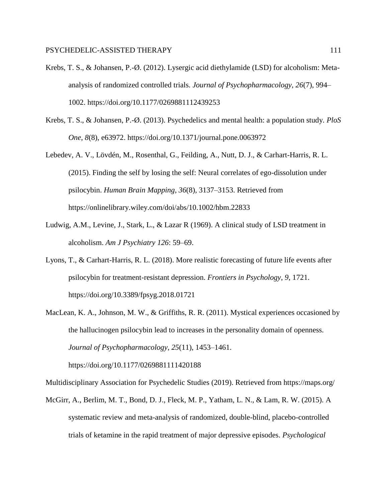- Krebs, T. S., & Johansen, P.-Ø. (2012). Lysergic acid diethylamide (LSD) for alcoholism: Metaanalysis of randomized controlled trials. *Journal of Psychopharmacology*, *26*(7), 994– 1002. https://doi.org/10.1177/0269881112439253
- Krebs, T. S., & Johansen, P.-Ø. (2013). Psychedelics and mental health: a population study. *PloS One*, *8*(8), e63972. https://doi.org/10.1371/journal.pone.0063972
- Lebedev, A. V., Lövdén, M., Rosenthal, G., Feilding, A., Nutt, D. J., & Carhart-Harris, R. L. (2015). Finding the self by losing the self: Neural correlates of ego-dissolution under psilocybin. *Human Brain Mapping*, *36*(8), 3137–3153. Retrieved from https://onlinelibrary.wiley.com/doi/abs/10.1002/hbm.22833
- Ludwig, A.M., Levine, J., Stark, L., & Lazar R (1969). A clinical study of LSD treatment in alcoholism. *Am J Psychiatry 126*: 59–69.
- Lyons, T., & Carhart-Harris, R. L. (2018). More realistic forecasting of future life events after psilocybin for treatment-resistant depression. *Frontiers in Psychology*, *9*, 1721. https://doi.org/10.3389/fpsyg.2018.01721
- MacLean, K. A., Johnson, M. W., & Griffiths, R. R. (2011). Mystical experiences occasioned by the hallucinogen psilocybin lead to increases in the personality domain of openness. *Journal of Psychopharmacology*, *25*(11), 1453–1461.

https://doi.org/10.1177/0269881111420188

Multidisciplinary Association for Psychedelic Studies (2019). Retrieved from https://maps.org/

McGirr, A., Berlim, M. T., Bond, D. J., Fleck, M. P., Yatham, L. N., & Lam, R. W. (2015). A systematic review and meta-analysis of randomized, double-blind, placebo-controlled trials of ketamine in the rapid treatment of major depressive episodes. *[Psychological](http://paperpile.com/b/152Nts/H02z)*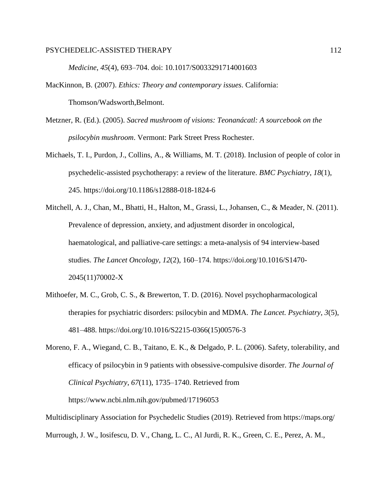## PSYCHEDELIC-ASSISTED THERAPY 112

*[Medicine](http://paperpile.com/b/152Nts/H02z)*[,](http://paperpile.com/b/152Nts/H02z) *[45](http://paperpile.com/b/152Nts/H02z)*(4), 693–704. doi: 10.1017/S0033291714001603

- MacKinnon, B. (2007). *Ethics: Theory and contemporary issues*. California: Thomson/Wadsworth,Belmont.
- Metzner, R. (Ed.). (2005). *Sacred mushroom of visions: Teonanácatl: A sourcebook on the psilocybin mushroom*. Vermont: Park Street Press Rochester.
- Michaels, T. I., Purdon, J., Collins, A., & Williams, M. T. (2018). Inclusion of people of color in psychedelic-assisted psychotherapy: a review of the literature. *BMC Psychiatry*, *18*(1), 245. https://doi.org/10.1186/s12888-018-1824-6
- Mitchell, A. J., Chan, M., Bhatti, H., Halton, M., Grassi, L., Johansen, C., & Meader, N. (2011). Prevalence of depression, anxiety, and adjustment disorder in oncological, haematological, and palliative-care settings: a meta-analysis of 94 interview-based studies. *The Lancet Oncology*, *12*(2), 160–174. https://doi.org/10.1016/S1470- 2045(11)70002-X
- Mithoefer, M. C., Grob, C. S., & Brewerton, T. D. (2016). Novel psychopharmacological therapies for psychiatric disorders: psilocybin and MDMA. *The Lancet. Psychiatry*, *3*(5), 481–488. https://doi.org/10.1016/S2215-0366(15)00576-3
- Moreno, F. A., Wiegand, C. B., Taitano, E. K., & Delgado, P. L. (2006). Safety, tolerability, and efficacy of psilocybin in 9 patients with obsessive-compulsive disorder. *The Journal of Clinical Psychiatry*, *67*(11), 1735–1740. Retrieved from https://www.ncbi.nlm.nih.gov/pubmed/17196053

Multidisciplinary Association for Psychedelic Studies (2019). Retrieved from https://maps.org/ Murrough, J. W., Iosifescu, D. V., Chang, L. C., Al Jurdi, R. K., Green, C. E., Perez, A. M.,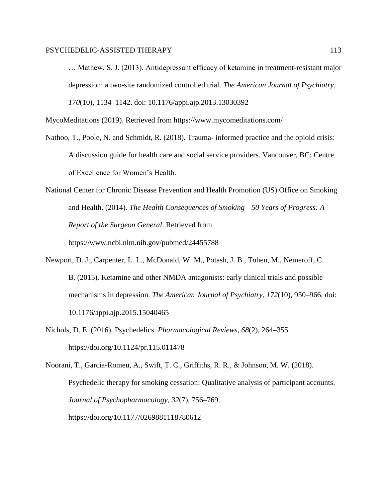## PSYCHEDELIC-ASSISTED THERAPY 113

… Mathew, S. J. (2013). Antidepressant efficacy of ketamine in treatment-resistant major depression: a two-site randomized controlled trial. *[The American Journal of Psychiatry](http://paperpile.com/b/152Nts/IQ8B)*[,](http://paperpile.com/b/152Nts/IQ8B)  *[170](http://paperpile.com/b/152Nts/IQ8B)*(10), 1134–1142. doi: 10.1176/appi.ajp.2013.13030392

MycoMeditations (2019). Retrieved from https://www.mycomeditations.com/

Nathoo, T., Poole, N. and Schmidt, R. (2018). Trauma- informed practice and the opioid crisis: A discussion guide for health care and social service providers. Vancouver, BC: Centre of Excellence for Women's Health.

National Center for Chronic Disease Prevention and Health Promotion (US) Office on Smoking and Health. (2014). *The Health Consequences of Smoking—50 Years of Progress: A Report of the Surgeon General*. Retrieved from https://www.ncbi.nlm.nih.gov/pubmed/24455788

- Newport, D. J., Carpenter, L. L., McDonald, W. M., Potash, J. B., Tohen, M., Nemeroff, C. B. (2015). Ketamine and other NMDA antagonists: early clinical trials and possible mechanisms in depression. *[The American Journal of Psychiatry](http://paperpile.com/b/152Nts/PM4e)*[,](http://paperpile.com/b/152Nts/PM4e) *[172](http://paperpile.com/b/152Nts/PM4e)*(10), 950–966. doi: 10.1176/appi.ajp.2015.15040465
- Nichols, D. E. (2016). Psychedelics. *Pharmacological Reviews*, *68*(2), 264–355. https://doi.org/10.1124/pr.115.011478

Noorani, T., Garcia-Romeu, A., Swift, T. C., Griffiths, R. R., & Johnson, M. W. (2018). Psychedelic therapy for smoking cessation: Qualitative analysis of participant accounts. *Journal of Psychopharmacology*, *32*(7), 756–769. https://doi.org/10.1177/0269881118780612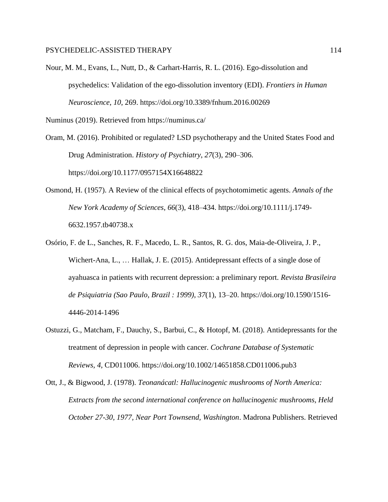Nour, M. M., Evans, L., Nutt, D., & Carhart-Harris, R. L. (2016). Ego-dissolution and psychedelics: Validation of the ego-dissolution inventory (EDI). *Frontiers in Human Neuroscience*, *10*, 269. https://doi.org/10.3389/fnhum.2016.00269

Numinus (2019). Retrieved from https://numinus.ca/

- Oram, M. (2016). Prohibited or regulated? LSD psychotherapy and the United States Food and Drug Administration. *History of Psychiatry*, *27*(3), 290–306. https://doi.org/10.1177/0957154X16648822
- Osmond, H. (1957). A Review of the clinical effects of psychotomimetic agents. *Annals of the New York Academy of Sciences*, *66*(3), 418–434. https://doi.org/10.1111/j.1749- 6632.1957.tb40738.x
- Osório, F. de L., Sanches, R. F., Macedo, L. R., Santos, R. G. dos, Maia-de-Oliveira, J. P., Wichert-Ana, L., … Hallak, J. E. (2015). Antidepressant effects of a single dose of ayahuasca in patients with recurrent depression: a preliminary report. *Revista Brasileira de Psiquiatria (Sao Paulo, Brazil : 1999)*, *37*(1), 13–20. https://doi.org/10.1590/1516- 4446-2014-1496
- Ostuzzi, G., Matcham, F., Dauchy, S., Barbui, C., & Hotopf, M. (2018). Antidepressants for the treatment of depression in people with cancer. *Cochrane Database of Systematic Reviews, 4*, CD011006. https://doi.org/10.1002/14651858.CD011006.pub3
- Ott, J., & Bigwood, J. (1978). *Teonanácatl: Hallucinogenic mushrooms of North America: Extracts from the second international conference on hallucinogenic mushrooms, Held October 27-30, 1977, Near Port Townsend, Washington*. Madrona Publishers. Retrieved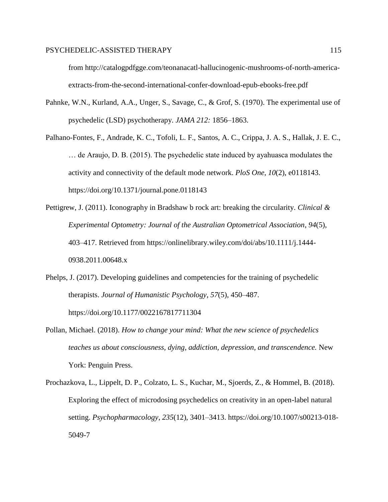## PSYCHEDELIC-ASSISTED THERAPY 115

from http://catalogpdfgge.com/teonanacatl-hallucinogenic-mushrooms-of-north-americaextracts-from-the-second-international-confer-download-epub-ebooks-free.pdf

- Pahnke, W.N., Kurland, A.A., Unger, S., Savage, C., & Grof, S. (1970). The experimental use of psychedelic (LSD) psychotherapy. *JAMA 212:* 1856–1863.
- Palhano-Fontes, F., Andrade, K. C., Tofoli, L. F., Santos, A. C., Crippa, J. A. S., Hallak, J. E. C., … de Araujo, D. B. (2015). The psychedelic state induced by ayahuasca modulates the activity and connectivity of the default mode network. *PloS One*, *10*(2), e0118143. https://doi.org/10.1371/journal.pone.0118143
- Pettigrew, J. (2011). Iconography in Bradshaw b rock art: breaking the circularity. *Clinical & Experimental Optometry: Journal of the Australian Optometrical Association*, *94*(5), 403–417. Retrieved from https://onlinelibrary.wiley.com/doi/abs/10.1111/j.1444- 0938.2011.00648.x
- Phelps, J. (2017). Developing guidelines and competencies for the training of psychedelic therapists. *Journal of Humanistic Psychology*, *57*(5), 450–487. https://doi.org/10.1177/0022167817711304
- Pollan, Michael. (2018). *How to change your mind: What the new science of psychedelics teaches us about consciousness, dying, addiction, depression, and transcendence.* New York: Penguin Press.
- Prochazkova, L., Lippelt, D. P., Colzato, L. S., Kuchar, M., Sjoerds, Z., & Hommel, B. (2018). Exploring the effect of microdosing psychedelics on creativity in an open-label natural setting. *Psychopharmacology*, *235*(12), 3401–3413. https://doi.org/10.1007/s00213-018- 5049-7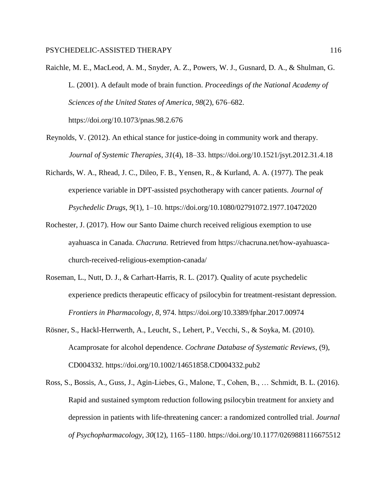Raichle, M. E., MacLeod, A. M., Snyder, A. Z., Powers, W. J., Gusnard, D. A., & Shulman, G. L. (2001). A default mode of brain function. *Proceedings of the National Academy of Sciences of the United States of America*, *98*(2), 676–682. https://doi.org/10.1073/pnas.98.2.676

- Reynolds, V. (2012). An ethical stance for justice-doing in community work and therapy. *Journal of Systemic Therapies*, *31*(4), 18–33. https://doi.org/10.1521/jsyt.2012.31.4.18
- Richards, W. A., Rhead, J. C., Dileo, F. B., Yensen, R., & Kurland, A. A. (1977). The peak experience variable in DPT-assisted psychotherapy with cancer patients. *Journal of Psychedelic Drugs*, *9*(1), 1–10. https://doi.org/10.1080/02791072.1977.10472020
- Rochester, J. (2017). How our Santo Daime church received religious exemption to use ayahuasca in Canada. *Chacruna.* Retrieved from https://chacruna.net/how-ayahuascachurch-received-religious-exemption-canada/
- Roseman, L., Nutt, D. J., & Carhart-Harris, R. L. (2017). Quality of acute psychedelic experience predicts therapeutic efficacy of psilocybin for treatment-resistant depression. *Frontiers in Pharmacology*, *8*, 974. https://doi.org/10.3389/fphar.2017.00974
- Rösner, S., Hackl-Herrwerth, A., Leucht, S., Lehert, P., Vecchi, S., & Soyka, M. (2010). Acamprosate for alcohol dependence. *Cochrane Database of Systematic Reviews*, (9), CD004332. https://doi.org/10.1002/14651858.CD004332.pub2
- Ross, S., Bossis, A., Guss, J., Agin-Liebes, G., Malone, T., Cohen, B., … Schmidt, B. L. (2016). Rapid and sustained symptom reduction following psilocybin treatment for anxiety and depression in patients with life-threatening cancer: a randomized controlled trial. *Journal of Psychopharmacology*, *30*(12), 1165–1180. https://doi.org/10.1177/0269881116675512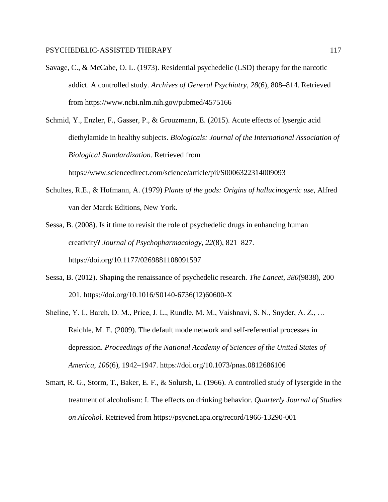- Savage, C., & McCabe, O. L. (1973). Residential psychedelic (LSD) therapy for the narcotic addict. A controlled study. *Archives of General Psychiatry*, *28*(6), 808–814. Retrieved from https://www.ncbi.nlm.nih.gov/pubmed/4575166
- Schmid, Y., Enzler, F., Gasser, P., & Grouzmann, E. (2015). Acute effects of lysergic acid diethylamide in healthy subjects. *Biologicals: Journal of the International Association of Biological Standardization*. Retrieved from

https://www.sciencedirect.com/science/article/pii/S0006322314009093

Schultes, R.E., & Hofmann, A. (1979) *Plants of the gods: Origins of hallucinogenic use*, Alfred van der Marck Editions, New York.

Sessa, B. (2008). Is it time to revisit the role of psychedelic drugs in enhancing human creativity? *Journal of Psychopharmacology*, *22*(8), 821–827. https://doi.org/10.1177/0269881108091597

- Sessa, B. (2012). Shaping the renaissance of psychedelic research. *The Lancet*, *380*(9838), 200– 201. https://doi.org/10.1016/S0140-6736(12)60600-X
- Sheline, Y. I., Barch, D. M., Price, J. L., Rundle, M. M., Vaishnavi, S. N., Snyder, A. Z., … Raichle, M. E. (2009). The default mode network and self-referential processes in depression. *Proceedings of the National Academy of Sciences of the United States of America*, *106*(6), 1942–1947. https://doi.org/10.1073/pnas.0812686106
- Smart, R. G., Storm, T., Baker, E. F., & Solursh, L. (1966). A controlled study of lysergide in the treatment of alcoholism: I. The effects on drinking behavior. *Quarterly Journal of Studies on Alcohol*. Retrieved from https://psycnet.apa.org/record/1966-13290-001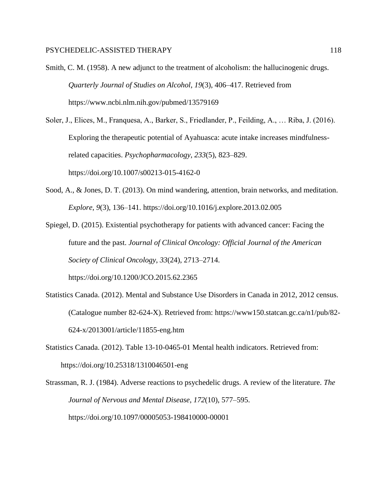- Smith, C. M. (1958). A new adjunct to the treatment of alcoholism: the hallucinogenic drugs. *Quarterly Journal of Studies on Alcohol*, *19*(3), 406–417. Retrieved from https://www.ncbi.nlm.nih.gov/pubmed/13579169
- Soler, J., Elices, M., Franquesa, A., Barker, S., Friedlander, P., Feilding, A., … Riba, J. (2016). Exploring the therapeutic potential of Ayahuasca: acute intake increases mindfulnessrelated capacities. *Psychopharmacology*, *233*(5), 823–829. https://doi.org/10.1007/s00213-015-4162-0
- Sood, A., & Jones, D. T. (2013). On mind wandering, attention, brain networks, and meditation. *Explore*, *9*(3), 136–141. https://doi.org/10.1016/j.explore.2013.02.005
- Spiegel, D. (2015). Existential psychotherapy for patients with advanced cancer: Facing the future and the past. *Journal of Clinical Oncology: Official Journal of the American Society of Clinical Oncology*, *33*(24), 2713–2714.

https://doi.org/10.1200/JCO.2015.62.2365

- Statistics Canada. (2012). Mental and Substance Use Disorders in Canada in 2012, 2012 census*.*  (Catalogue number 82-624-X). Retrieved from: https://www150.statcan.gc.ca/n1/pub/82- 624-x/2013001/article/11855-eng.htm
- Statistics Canada. (2012). Table 13-10-0465-01 Mental health indicators. Retrieved from: https://doi.org/10.25318/1310046501-eng
- Strassman, R. J. (1984). Adverse reactions to psychedelic drugs. A review of the literature. *The Journal of Nervous and Mental Disease*, *172*(10), 577–595. https://doi.org/10.1097/00005053-198410000-00001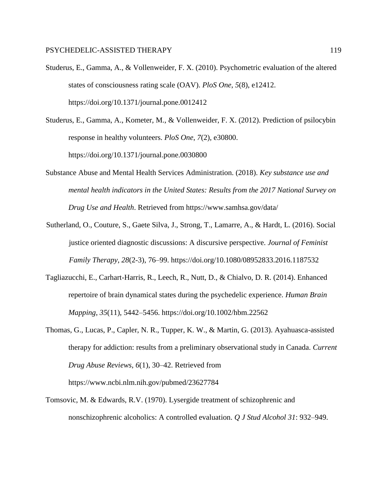- Studerus, E., Gamma, A., & Vollenweider, F. X. (2010). Psychometric evaluation of the altered states of consciousness rating scale (OAV). *PloS One*, *5*(8), e12412. https://doi.org/10.1371/journal.pone.0012412
- Studerus, E., Gamma, A., Kometer, M., & Vollenweider, F. X. (2012). Prediction of psilocybin response in healthy volunteers. *PloS One*, *7*(2), e30800. https://doi.org/10.1371/journal.pone.0030800
- Substance Abuse and Mental Health Services Administration. (2018). *Key substance use and mental health indicators in the United States: Results from the 2017 National Survey on Drug Use and Health*. Retrieved from https://www.samhsa.gov/data/
- Sutherland, O., Couture, S., Gaete Silva, J., Strong, T., Lamarre, A., & Hardt, L. (2016). Social justice oriented diagnostic discussions: A discursive perspective. *Journal of Feminist Family Therapy*, *28*(2-3), 76–99. https://doi.org/10.1080/08952833.2016.1187532
- Tagliazucchi, E., Carhart-Harris, R., Leech, R., Nutt, D., & Chialvo, D. R. (2014). Enhanced repertoire of brain dynamical states during the psychedelic experience. *Human Brain Mapping*, *35*(11), 5442–5456. https://doi.org/10.1002/hbm.22562
- Thomas, G., Lucas, P., Capler, N. R., Tupper, K. W., & Martin, G. (2013). Ayahuasca-assisted therapy for addiction: results from a preliminary observational study in Canada. *Current Drug Abuse Reviews*, *6*(1), 30–42. Retrieved from https://www.ncbi.nlm.nih.gov/pubmed/23627784
- Tomsovic, M. & Edwards, R.V. (1970). Lysergide treatment of schizophrenic and nonschizophrenic alcoholics: A controlled evaluation. *Q J Stud Alcohol 31*: 932–949.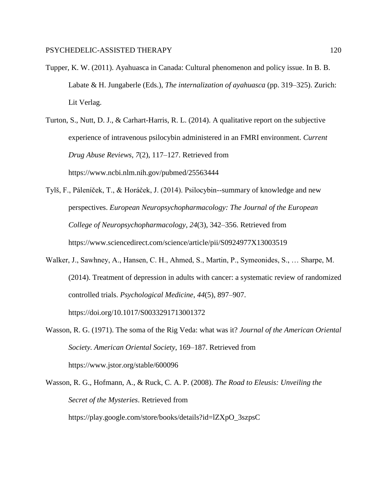- Tupper, K. W. (2011). Ayahuasca in Canada: Cultural phenomenon and policy issue. In B. B. Labate & H. Jungaberle (Eds.), *The internalization of ayahuasca* (pp. 319–325). Zurich: Lit Verlag.
- Turton, S., Nutt, D. J., & Carhart-Harris, R. L. (2014). A qualitative report on the subjective experience of intravenous psilocybin administered in an FMRI environment. *Current Drug Abuse Reviews*, *7*(2), 117–127. Retrieved from https://www.ncbi.nlm.nih.gov/pubmed/25563444
- Tylš, F., Páleníček, T., & Horáček, J. (2014). Psilocybin--summary of knowledge and new perspectives. *European Neuropsychopharmacology: The Journal of the European College of Neuropsychopharmacology*, *24*(3), 342–356. Retrieved from https://www.sciencedirect.com/science/article/pii/S0924977X13003519
- Walker, J., Sawhney, A., Hansen, C. H., Ahmed, S., Martin, P., Symeonides, S., … Sharpe, M. (2014). Treatment of depression in adults with cancer: a systematic review of randomized controlled trials. *Psychological Medicine*, *44*(5), 897–907. https://doi.org/10.1017/S0033291713001372
- Wasson, R. G. (1971). The soma of the Rig Veda: what was it? *Journal of the American Oriental Society. American Oriental Society*, 169–187. Retrieved from https://www.jstor.org/stable/600096
- Wasson, R. G., Hofmann, A., & Ruck, C. A. P. (2008). *The Road to Eleusis: Unveiling the Secret of the Mysteries*. Retrieved from https://play.google.com/store/books/details?id=lZXpO\_3szpsC